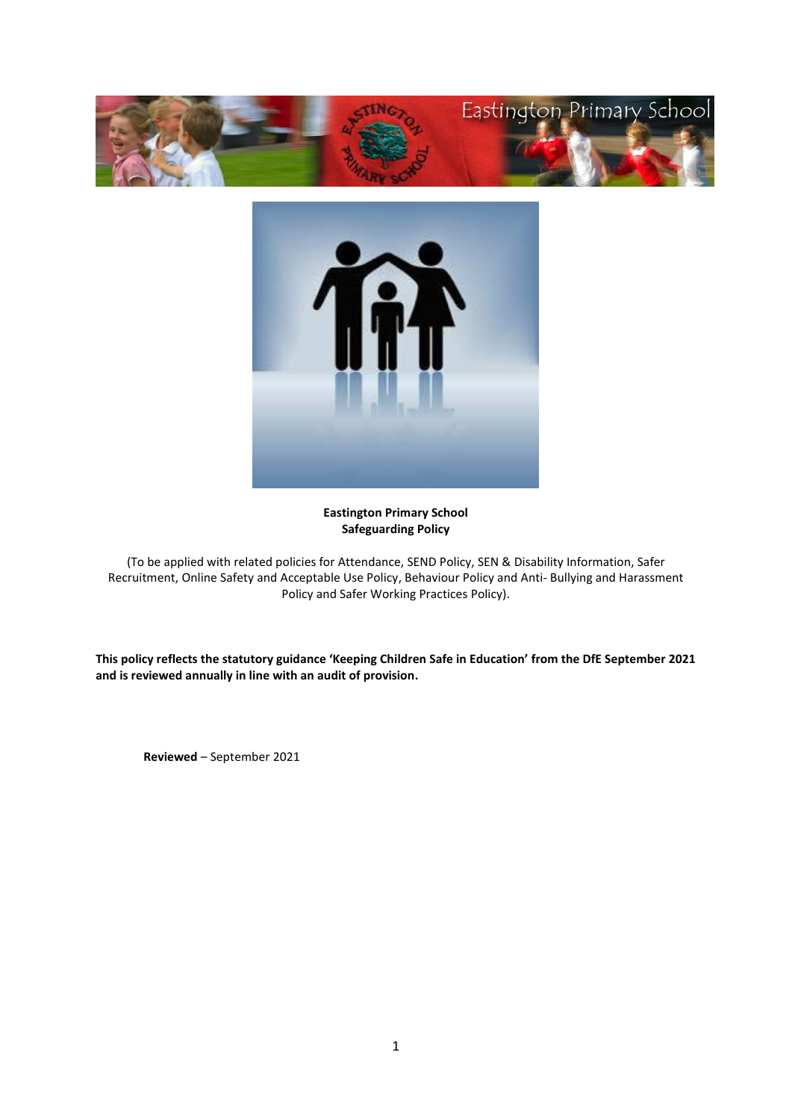

**Eastington Primary School Safeguarding Policy**

(To be applied with related policies for Attendance, SEND Policy, SEN & Disability Information, Safer Recruitment, Online Safety and Acceptable Use Policy, Behaviour Policy and Anti- Bullying and Harassment Policy and Safer Working Practices Policy).

**This policy reflects the statutory guidance 'Keeping Children Safe in Education' from the DfE September 2021 and is reviewed annually in line with an audit of provision.**

**Reviewed** – September 2021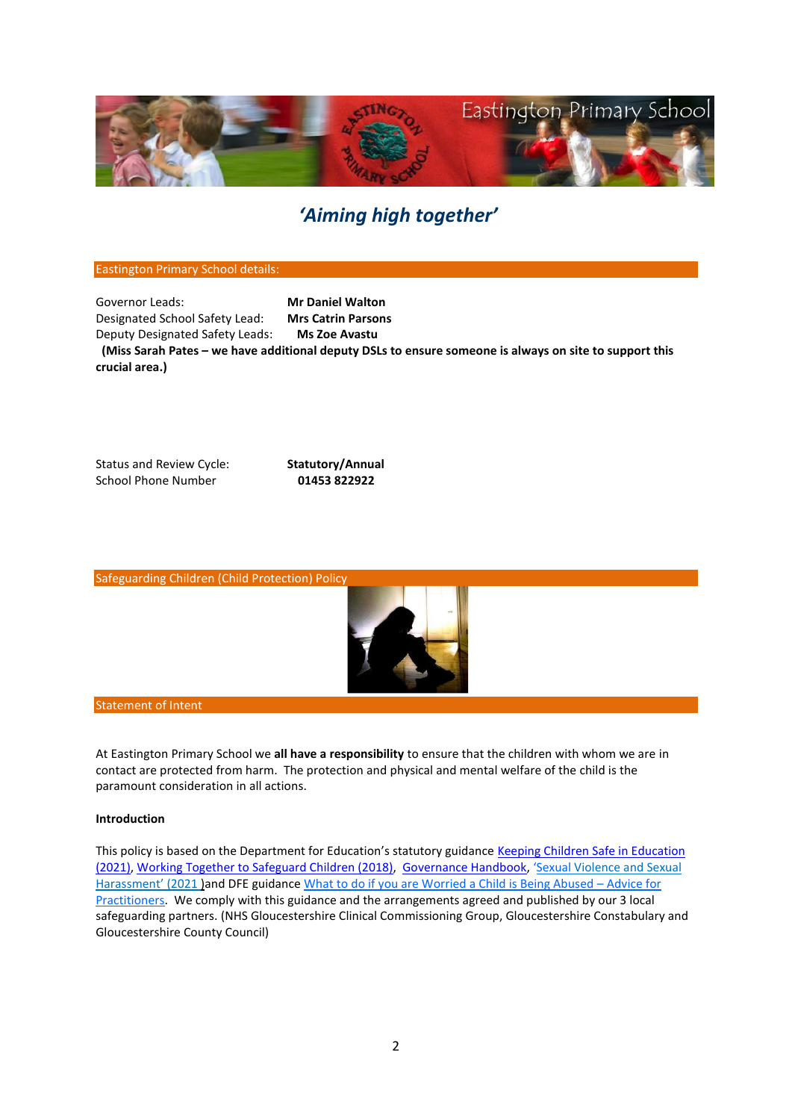

# *'Aiming high together'*

## Eastington Primary School details:

Governor Leads: **Mr Daniel Walton** Designated School Safety Lead: **Mrs Catrin Parsons** Deputy Designated Safety Leads: **Ms Zoe Avastu (Miss Sarah Pates – we have additional deputy DSLs to ensure someone is always on site to support this crucial area.)**

Status and Review Cycle: **Statutory/Annual**<br>
School Phone Number **COLET 1988 822922 School Phone Number** 

#### Safeguarding Children (Child Protection) Policy



Statement of Intent

At Eastington Primary School we **all have a responsibility** to ensure that the children with whom we are in contact are protected from harm. The protection and physical and mental welfare of the child is the paramount consideration in all actions.

## **Introduction**

This policy is based on the Department for Education's statutory guidance [Keeping Children Safe in Education](https://www.gov.uk/government/publications/keeping-children-safe-in-education--2)  [\(2021\),](https://www.gov.uk/government/publications/keeping-children-safe-in-education--2) [Working Together to Safeguard Children \(2018\),](https://www.gov.uk/government/publications/working-together-to-safeguard-children--2) [Governance Handbook,](https://www.gov.uk/government/publications/governance-handbook) 'Sexual Violence and Sexual Harassment' (2021 )and DFE guidance What to do if you are Worried a Child is Being Abused – Advice for Practitioners. We comply with this guidance and the arrangements agreed and published by our 3 local safeguarding partners. (NHS Gloucestershire Clinical Commissioning Group, Gloucestershire Constabulary and Gloucestershire County Council)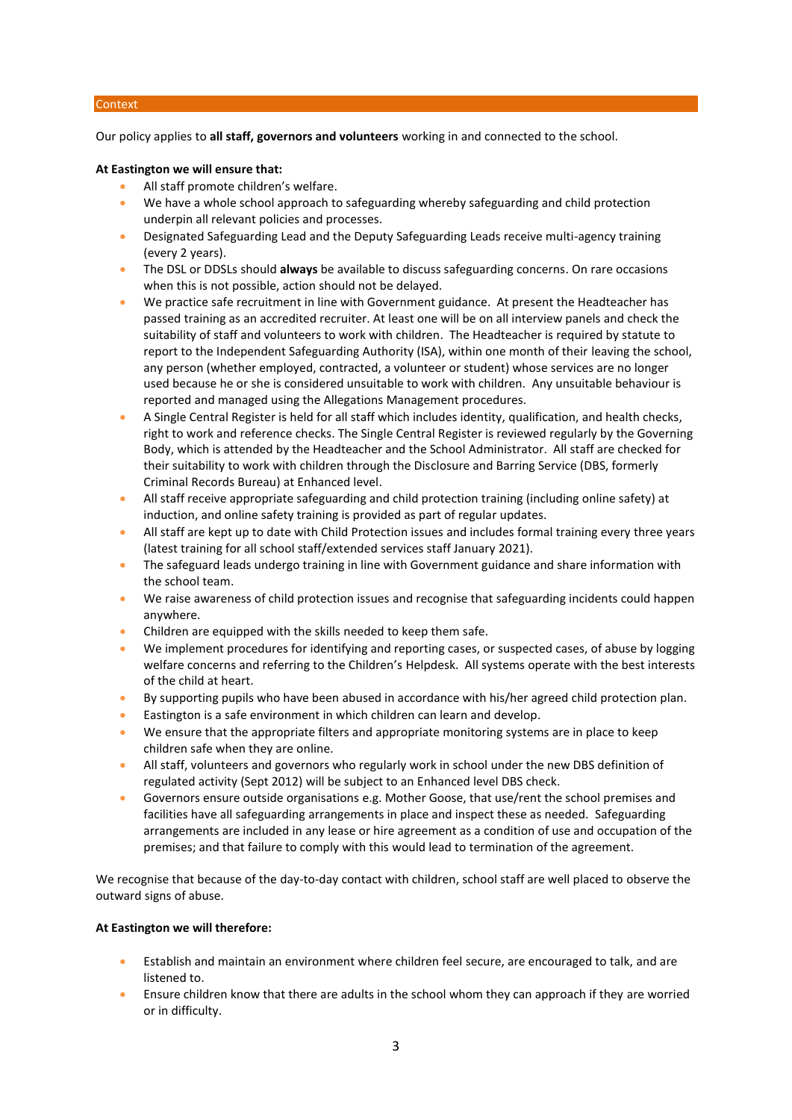## **Context**

Our policy applies to **all staff, governors and volunteers** working in and connected to the school.

## **At Eastington we will ensure that:**

- All staff promote children's welfare.
- We have a whole school approach to safeguarding whereby safeguarding and child protection underpin all relevant policies and processes.
- Designated Safeguarding Lead and the Deputy Safeguarding Leads receive multi-agency training (every 2 years).
- The DSL or DDSLs should **always** be available to discuss safeguarding concerns. On rare occasions when this is not possible, action should not be delayed.
- We practice safe recruitment in line with Government guidance. At present the Headteacher has passed training as an accredited recruiter. At least one will be on all interview panels and check the suitability of staff and volunteers to work with children. The Headteacher is required by statute to report to the Independent Safeguarding Authority (ISA), within one month of their leaving the school, any person (whether employed, contracted, a volunteer or student) whose services are no longer used because he or she is considered unsuitable to work with children. Any unsuitable behaviour is reported and managed using the Allegations Management procedures.
- A Single Central Register is held for all staff which includes identity, qualification, and health checks, right to work and reference checks. The Single Central Register is reviewed regularly by the Governing Body, which is attended by the Headteacher and the School Administrator. All staff are checked for their suitability to work with children through the Disclosure and Barring Service (DBS, formerly Criminal Records Bureau) at Enhanced level.
- All staff receive appropriate safeguarding and child protection training (including online safety) at induction, and online safety training is provided as part of regular updates.
- All staff are kept up to date with Child Protection issues and includes formal training every three years (latest training for all school staff/extended services staff January 2021).
- The safeguard leads undergo training in line with Government guidance and share information with the school team.
- We raise awareness of child protection issues and recognise that safeguarding incidents could happen anywhere.
- Children are equipped with the skills needed to keep them safe.
- We implement procedures for identifying and reporting cases, or suspected cases, of abuse by logging welfare concerns and referring to the Children's Helpdesk. All systems operate with the best interests of the child at heart.
- By supporting pupils who have been abused in accordance with his/her agreed child protection plan.
- Eastington is a safe environment in which children can learn and develop.
- We ensure that the appropriate filters and appropriate monitoring systems are in place to keep children safe when they are online.
- All staff, volunteers and governors who regularly work in school under the new DBS definition of regulated activity (Sept 2012) will be subject to an Enhanced level DBS check.
- Governors ensure outside organisations e.g. Mother Goose, that use/rent the school premises and facilities have all safeguarding arrangements in place and inspect these as needed. Safeguarding arrangements are included in any lease or hire agreement as a condition of use and occupation of the premises; and that failure to comply with this would lead to termination of the agreement.

We recognise that because of the day-to-day contact with children, school staff are well placed to observe the outward signs of abuse.

## **At Eastington we will therefore:**

- Establish and maintain an environment where children feel secure, are encouraged to talk, and are listened to.
- Ensure children know that there are adults in the school whom they can approach if they are worried or in difficulty.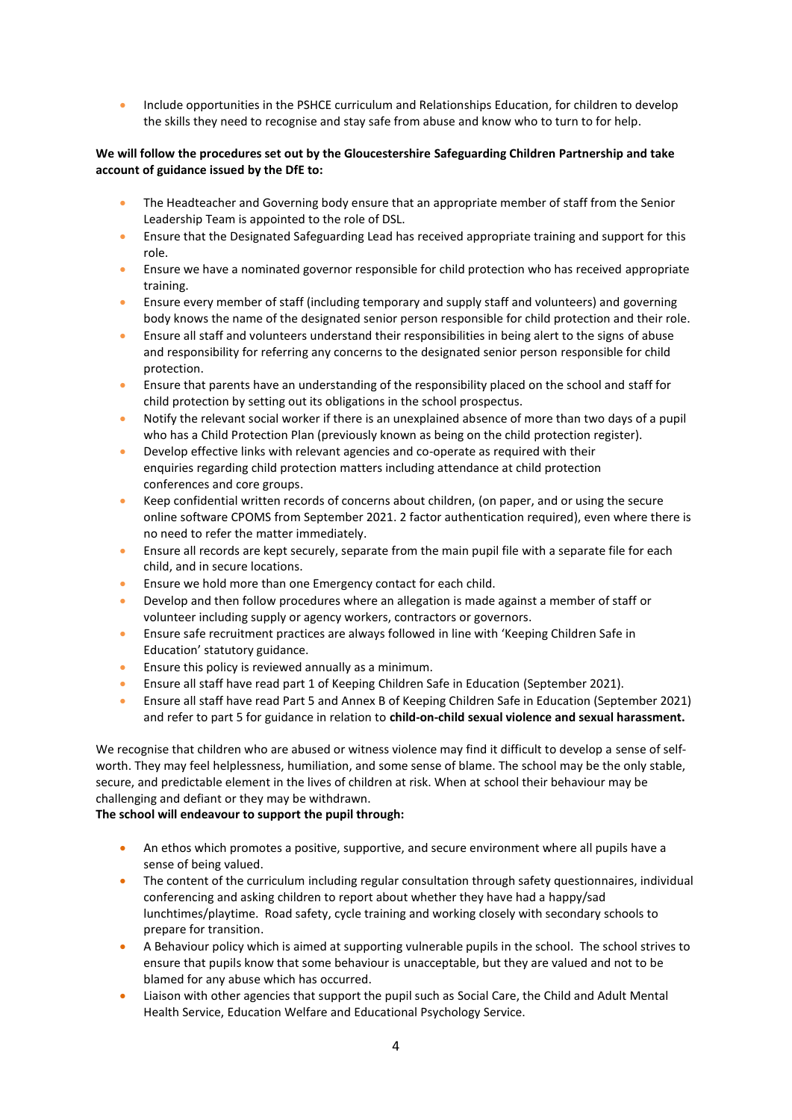• Include opportunities in the PSHCE curriculum and Relationships Education, for children to develop the skills they need to recognise and stay safe from abuse and know who to turn to for help.

## **We will follow the procedures set out by the Gloucestershire Safeguarding Children Partnership and take account of guidance issued by the DfE to:**

- The Headteacher and Governing body ensure that an appropriate member of staff from the Senior Leadership Team is appointed to the role of DSL.
- Ensure that the Designated Safeguarding Lead has received appropriate training and support for this role.
- Ensure we have a nominated governor responsible for child protection who has received appropriate training.
- Ensure every member of staff (including temporary and supply staff and volunteers) and governing body knows the name of the designated senior person responsible for child protection and their role.
- Ensure all staff and volunteers understand their responsibilities in being alert to the signs of abuse and responsibility for referring any concerns to the designated senior person responsible for child protection.
- Ensure that parents have an understanding of the responsibility placed on the school and staff for child protection by setting out its obligations in the school prospectus.
- Notify the relevant social worker if there is an unexplained absence of more than two days of a pupil who has a Child Protection Plan (previously known as being on the child protection register).
- Develop effective links with relevant agencies and co-operate as required with their enquiries regarding child protection matters including attendance at child protection conferences and core groups.
- Keep confidential written records of concerns about children, (on paper, and or using the secure online software CPOMS from September 2021. 2 factor authentication required), even where there is no need to refer the matter immediately.
- Ensure all records are kept securely, separate from the main pupil file with a separate file for each child, and in secure locations.
- Ensure we hold more than one Emergency contact for each child.
- Develop and then follow procedures where an allegation is made against a member of staff or volunteer including supply or agency workers, contractors or governors.
- Ensure safe recruitment practices are always followed in line with 'Keeping Children Safe in Education' statutory guidance.
- Ensure this policy is reviewed annually as a minimum.
- Ensure all staff have read part 1 of Keeping Children Safe in Education (September 2021).
- Ensure all staff have read Part 5 and Annex B of Keeping Children Safe in Education (September 2021) and refer to part 5 for guidance in relation to **child-on-child sexual violence and sexual harassment.**

We recognise that children who are abused or witness violence may find it difficult to develop a sense of selfworth. They may feel helplessness, humiliation, and some sense of blame. The school may be the only stable, secure, and predictable element in the lives of children at risk. When at school their behaviour may be challenging and defiant or they may be withdrawn.

## **The school will endeavour to support the pupil through:**

- An ethos which promotes a positive, supportive, and secure environment where all pupils have a sense of being valued.
- The content of the curriculum including regular consultation through safety questionnaires, individual conferencing and asking children to report about whether they have had a happy/sad lunchtimes/playtime. Road safety, cycle training and working closely with secondary schools to prepare for transition.
- A Behaviour policy which is aimed at supporting vulnerable pupils in the school. The school strives to ensure that pupils know that some behaviour is unacceptable, but they are valued and not to be blamed for any abuse which has occurred.
- Liaison with other agencies that support the pupil such as Social Care, the Child and Adult Mental Health Service, Education Welfare and Educational Psychology Service.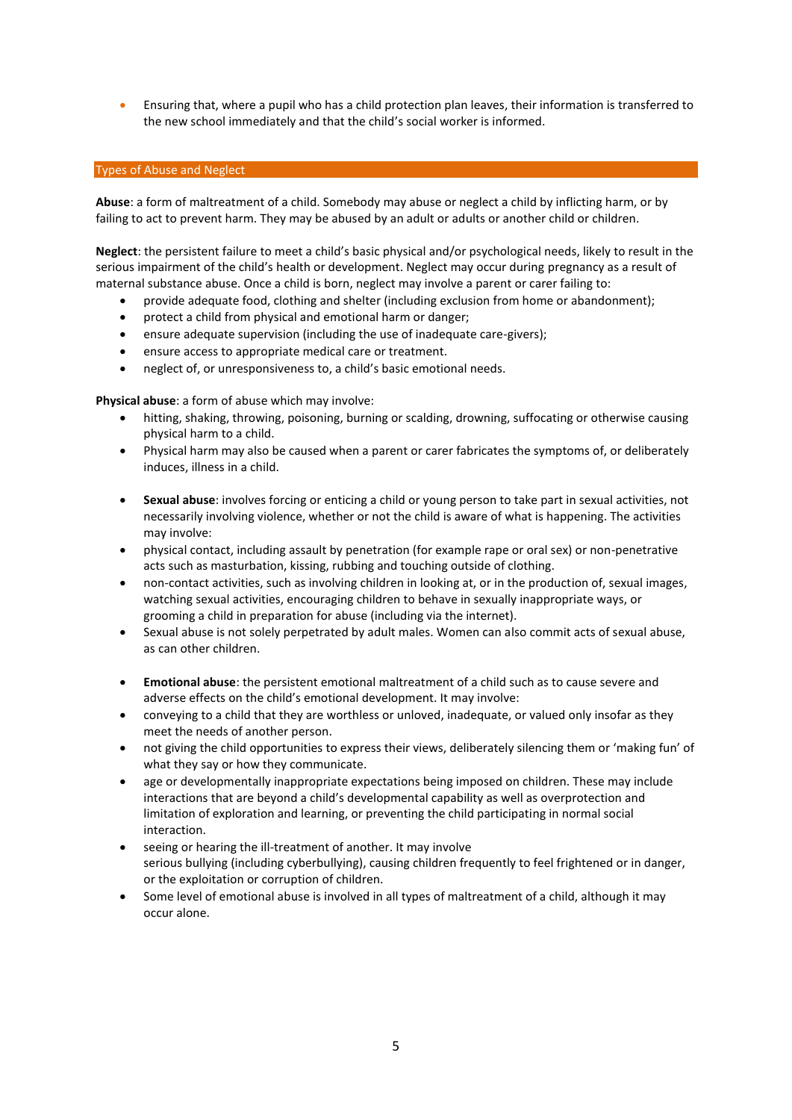• Ensuring that, where a pupil who has a child protection plan leaves, their information is transferred to the new school immediately and that the child's social worker is informed.

## Types of Abuse and Neglect

**Abuse**: a form of maltreatment of a child. Somebody may abuse or neglect a child by inflicting harm, or by failing to act to prevent harm. They may be abused by an adult or adults or another child or children.

**Neglect**: the persistent failure to meet a child's basic physical and/or psychological needs, likely to result in the serious impairment of the child's health or development. Neglect may occur during pregnancy as a result of maternal substance abuse. Once a child is born, neglect may involve a parent or carer failing to:

- provide adequate food, clothing and shelter (including exclusion from home or abandonment);
- protect a child from physical and emotional harm or danger;
- ensure adequate supervision (including the use of inadequate care-givers);
- ensure access to appropriate medical care or treatment.
- neglect of, or unresponsiveness to, a child's basic emotional needs.

**Physical abuse**: a form of abuse which may involve:

- hitting, shaking, throwing, poisoning, burning or scalding, drowning, suffocating or otherwise causing physical harm to a child.
- Physical harm may also be caused when a parent or carer fabricates the symptoms of, or deliberately induces, illness in a child.
- **Sexual abuse**: involves forcing or enticing a child or young person to take part in sexual activities, not necessarily involving violence, whether or not the child is aware of what is happening. The activities may involve:
- physical contact, including assault by penetration (for example rape or oral sex) or non-penetrative acts such as masturbation, kissing, rubbing and touching outside of clothing.
- non-contact activities, such as involving children in looking at, or in the production of, sexual images, watching sexual activities, encouraging children to behave in sexually inappropriate ways, or grooming a child in preparation for abuse (including via the internet).
- Sexual abuse is not solely perpetrated by adult males. Women can also commit acts of sexual abuse, as can other children.
- **Emotional abuse**: the persistent emotional maltreatment of a child such as to cause severe and adverse effects on the child's emotional development. It may involve:
- conveying to a child that they are worthless or unloved, inadequate, or valued only insofar as they meet the needs of another person.
- not giving the child opportunities to express their views, deliberately silencing them or 'making fun' of what they say or how they communicate.
- age or developmentally inappropriate expectations being imposed on children. These may include interactions that are beyond a child's developmental capability as well as overprotection and limitation of exploration and learning, or preventing the child participating in normal social interaction.
- seeing or hearing the ill-treatment of another. It may involve serious bullying (including cyberbullying), causing children frequently to feel frightened or in danger, or the exploitation or corruption of children.
- Some level of emotional abuse is involved in all types of maltreatment of a child, although it may occur alone.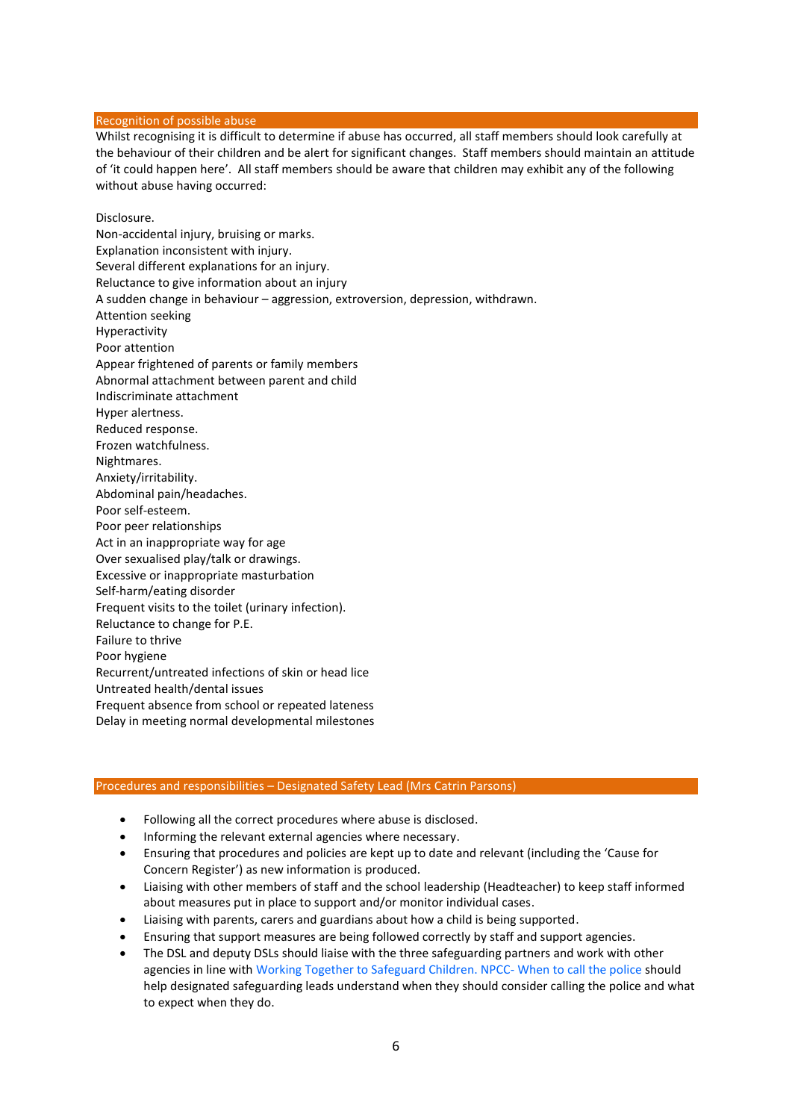## Recognition of possible abuse

Whilst recognising it is difficult to determine if abuse has occurred, all staff members should look carefully at the behaviour of their children and be alert for significant changes. Staff members should maintain an attitude of 'it could happen here'. All staff members should be aware that children may exhibit any of the following without abuse having occurred:

**Disclosure** Non-accidental injury, bruising or marks. Explanation inconsistent with injury. Several different explanations for an injury. Reluctance to give information about an injury A sudden change in behaviour – aggression, extroversion, depression, withdrawn. Attention seeking Hyperactivity Poor attention Appear frightened of parents or family members Abnormal attachment between parent and child Indiscriminate attachment Hyper alertness. Reduced response. Frozen watchfulness. Nightmares. Anxiety/irritability. Abdominal pain/headaches. Poor self-esteem. Poor peer relationships Act in an inappropriate way for age Over sexualised play/talk or drawings. Excessive or inappropriate masturbation Self-harm/eating disorder Frequent visits to the toilet (urinary infection). Reluctance to change for P.E. Failure to thrive Poor hygiene Recurrent/untreated infections of skin or head lice Untreated health/dental issues Frequent absence from school or repeated lateness Delay in meeting normal developmental milestones

#### Procedures and responsibilities – Designated Safety Lead (Mrs Catrin Parsons)

- Following all the correct procedures where abuse is disclosed.
- Informing the relevant external agencies where necessary.
- Ensuring that procedures and policies are kept up to date and relevant (including the 'Cause for Concern Register') as new information is produced.
- Liaising with other members of staff and the school leadership (Headteacher) to keep staff informed about measures put in place to support and/or monitor individual cases.
- Liaising with parents, carers and guardians about how a child is being supported.
- Ensuring that support measures are being followed correctly by staff and support agencies.
- The DSL and deputy DSLs should liaise with the three safeguarding partners and work with other agencies in line with Working Together to Safeguard Children. NPCC- When to call the police should help designated safeguarding leads understand when they should consider calling the police and what to expect when they do.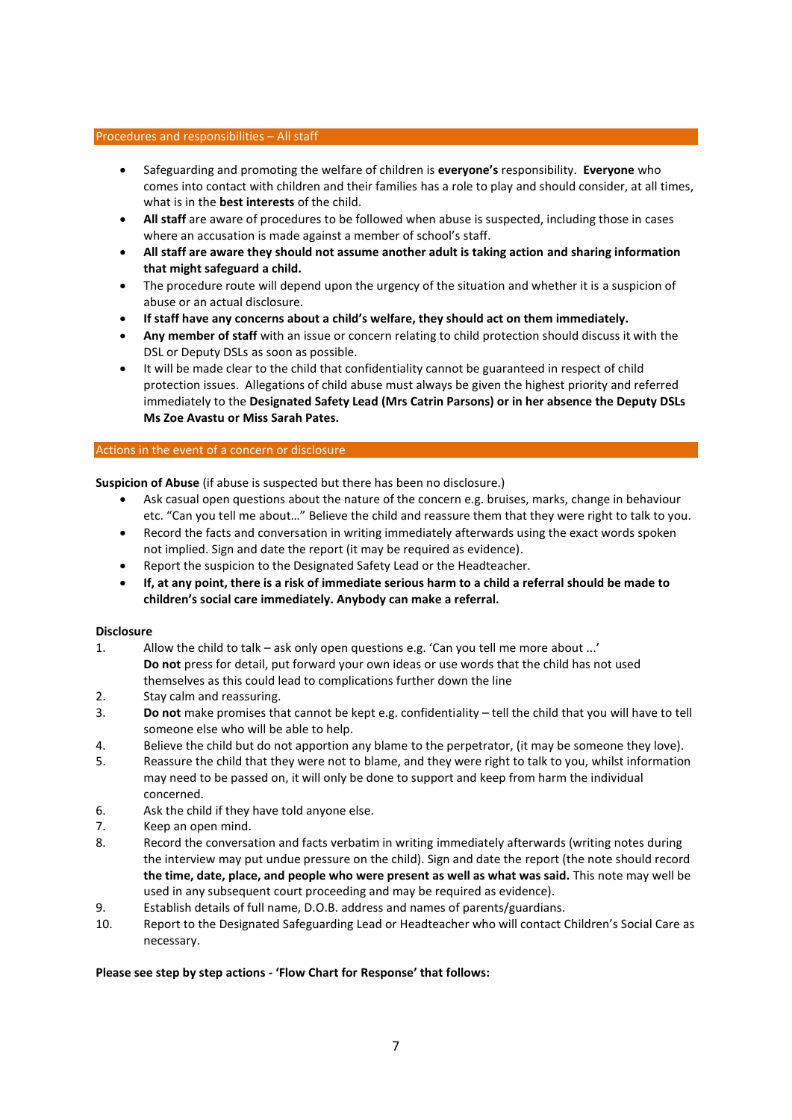## Procedures and responsibilities – All staff

- Safeguarding and promoting the welfare of children is **everyone's** responsibility. **Everyone** who comes into contact with children and their families has a role to play and should consider, at all times, what is in the **best interests** of the child.
- **All staff** are aware of procedures to be followed when abuse is suspected, including those in cases where an accusation is made against a member of school's staff.
- **All staff are aware they should not assume another adult is taking action and sharing information that might safeguard a child.**
- The procedure route will depend upon the urgency of the situation and whether it is a suspicion of abuse or an actual disclosure.
- **If staff have any concerns about a child's welfare, they should act on them immediately.**
- **Any member of staff** with an issue or concern relating to child protection should discuss it with the DSL or Deputy DSLs as soon as possible.
- It will be made clear to the child that confidentiality cannot be guaranteed in respect of child protection issues. Allegations of child abuse must always be given the highest priority and referred immediately to the **Designated Safety Lead (Mrs Catrin Parsons) or in her absence the Deputy DSLs Ms Zoe Avastu or Miss Sarah Pates.**

#### Actions in the event of a concern or disclosure

**Suspicion of Abuse** (if abuse is suspected but there has been no disclosure.)

- Ask casual open questions about the nature of the concern e.g. bruises, marks, change in behaviour etc. "Can you tell me about…" Believe the child and reassure them that they were right to talk to you.
- Record the facts and conversation in writing immediately afterwards using the exact words spoken not implied. Sign and date the report (it may be required as evidence).
- Report the suspicion to the Designated Safety Lead or the Headteacher.
- **If, at any point, there is a risk of immediate serious harm to a child a referral should be made to children's social care immediately. Anybody can make a referral.**

## **Disclosure**

- 1. Allow the child to talk ask only open questions e.g. 'Can you tell me more about ...' **Do not** press for detail, put forward your own ideas or use words that the child has not used themselves as this could lead to complications further down the line
- 2. Stay calm and reassuring.
- 3. **Do not** make promises that cannot be kept e.g. confidentiality tell the child that you will have to tell someone else who will be able to help.
- 4. Believe the child but do not apportion any blame to the perpetrator, (it may be someone they love).
- 5. Reassure the child that they were not to blame, and they were right to talk to you, whilst information may need to be passed on, it will only be done to support and keep from harm the individual concerned.
- 6. Ask the child if they have told anyone else.
- 7. Keep an open mind.
- 8. Record the conversation and facts verbatim in writing immediately afterwards (writing notes during the interview may put undue pressure on the child). Sign and date the report (the note should record **the time, date, place, and people who were present as well as what was said.** This note may well be used in any subsequent court proceeding and may be required as evidence).
- 9. Establish details of full name, D.O.B. address and names of parents/guardians.
- 10. Report to the Designated Safeguarding Lead or Headteacher who will contact Children's Social Care as necessary.

## **Please see step by step actions - 'Flow Chart for Response' that follows:**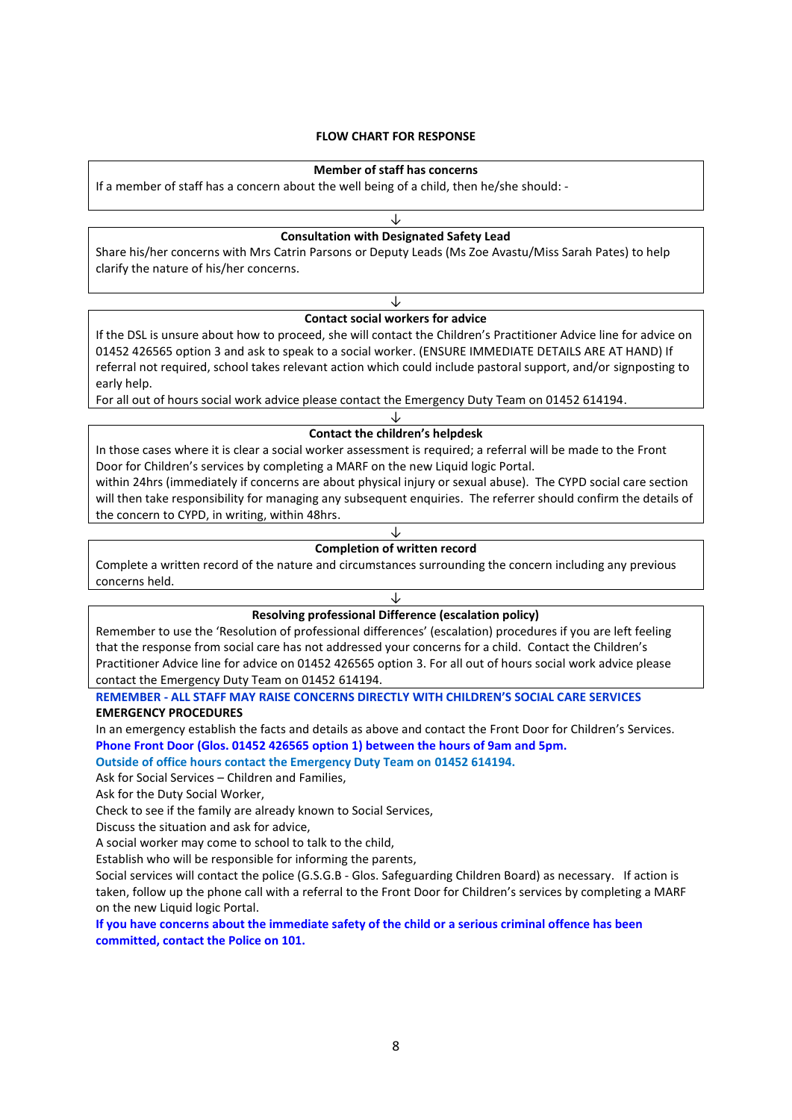## **FLOW CHART FOR RESPONSE**

## **Member of staff has concerns**

If a member of staff has a concern about the well being of a child, then he/she should: -

#### ↓

## **Consultation with Designated Safety Lead**

Share his/her concerns with Mrs Catrin Parsons or Deputy Leads (Ms Zoe Avastu/Miss Sarah Pates) to help clarify the nature of his/her concerns.

## ↓ **Contact social workers for advice**

If the DSL is unsure about how to proceed, she will contact the Children's Practitioner Advice line for advice on 01452 426565 option 3 and ask to speak to a social worker. (ENSURE IMMEDIATE DETAILS ARE AT HAND) If referral not required, school takes relevant action which could include pastoral support, and/or signposting to early help.

For all out of hours social work advice please contact the Emergency Duty Team on 01452 614194.

#### ↓ **Contact the children's helpdesk**

In those cases where it is clear a social worker assessment is required; a referral will be made to the Front Door for Children's services by completing a MARF on the new Liquid logic Portal.

within 24hrs (immediately if concerns are about physical injury or sexual abuse). The CYPD social care section will then take responsibility for managing any subsequent enquiries. The referrer should confirm the details of the concern to CYPD, in writing, within 48hrs.

## ↓

## **Completion of written record**

Complete a written record of the nature and circumstances surrounding the concern including any previous concerns held.

#### ↓

## **Resolving professional Difference (escalation policy)**

Remember to use the 'Resolution of professional differences' (escalation) procedures if you are left feeling that the response from social care has not addressed your concerns for a child. Contact the Children's Practitioner Advice line for advice on 01452 426565 option 3. For all out of hours social work advice please contact the Emergency Duty Team on 01452 614194.

## **REMEMBER - ALL STAFF MAY RAISE CONCERNS DIRECTLY WITH CHILDREN'S SOCIAL CARE SERVICES EMERGENCY PROCEDURES**

In an emergency establish the facts and details as above and contact the Front Door for Children's Services. **Phone Front Door (Glos. 01452 426565 option 1) between the hours of 9am and 5pm.**

**Outside of office hours contact the Emergency Duty Team on 01452 614194.**

Ask for Social Services – Children and Families,

Ask for the Duty Social Worker,

Check to see if the family are already known to Social Services,

Discuss the situation and ask for advice,

A social worker may come to school to talk to the child,

Establish who will be responsible for informing the parents,

Social services will contact the police (G.S.G.B - Glos. Safeguarding Children Board) as necessary. If action is taken, follow up the phone call with a referral to the Front Door for Children's services by completing a MARF on the new Liquid logic Portal.

## **If you have concerns about the immediate safety of the child or a serious criminal offence has been committed, contact the Police on 101.**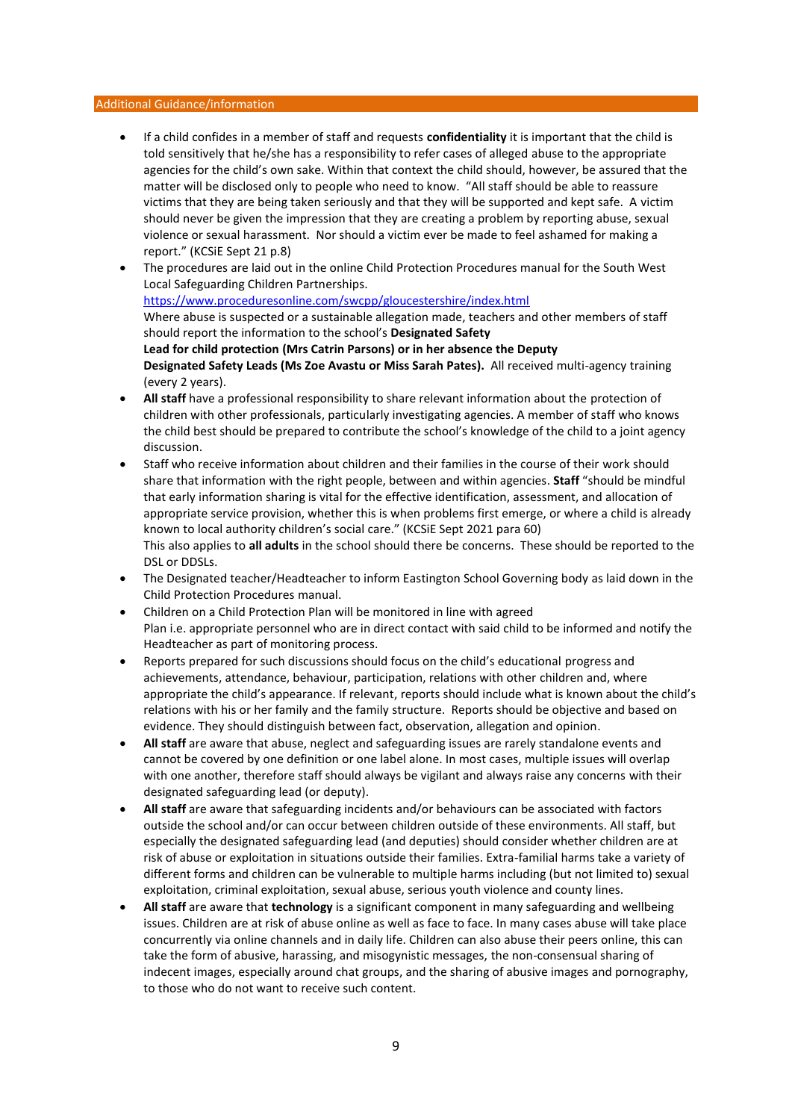#### Additional Guidance/information

- If a child confides in a member of staff and requests **confidentiality** it is important that the child is told sensitively that he/she has a responsibility to refer cases of alleged abuse to the appropriate agencies for the child's own sake. Within that context the child should, however, be assured that the matter will be disclosed only to people who need to know. "All staff should be able to reassure victims that they are being taken seriously and that they will be supported and kept safe. A victim should never be given the impression that they are creating a problem by reporting abuse, sexual violence or sexual harassment. Nor should a victim ever be made to feel ashamed for making a report." (KCSiE Sept 21 p.8)
- The procedures are laid out in the online Child Protection Procedures manual for the South West Local Safeguarding Children Partnerships. <https://www.proceduresonline.com/swcpp/gloucestershire/index.html> Where abuse is suspected or a sustainable allegation made, teachers and other members of staff should report the information to the school's **Designated Safety Lead for child protection (Mrs Catrin Parsons) or in her absence the Deputy Designated Safety Leads (Ms Zoe Avastu or Miss Sarah Pates).** All received multi-agency training (every 2 years).
- **All staff** have a professional responsibility to share relevant information about the protection of children with other professionals, particularly investigating agencies. A member of staff who knows the child best should be prepared to contribute the school's knowledge of the child to a joint agency discussion.
- Staff who receive information about children and their families in the course of their work should share that information with the right people, between and within agencies. **Staff** "should be mindful that early information sharing is vital for the effective identification, assessment, and allocation of appropriate service provision, whether this is when problems first emerge, or where a child is already known to local authority children's social care." (KCSiE Sept 2021 para 60) This also applies to **all adults** in the school should there be concerns. These should be reported to the DSL or DDSLs.
- The Designated teacher/Headteacher to inform Eastington School Governing body as laid down in the Child Protection Procedures manual.
- Children on a Child Protection Plan will be monitored in line with agreed Plan i.e. appropriate personnel who are in direct contact with said child to be informed and notify the Headteacher as part of monitoring process.
- Reports prepared for such discussions should focus on the child's educational progress and achievements, attendance, behaviour, participation, relations with other children and, where appropriate the child's appearance. If relevant, reports should include what is known about the child's relations with his or her family and the family structure. Reports should be objective and based on evidence. They should distinguish between fact, observation, allegation and opinion.
- **All staff** are aware that abuse, neglect and safeguarding issues are rarely standalone events and cannot be covered by one definition or one label alone. In most cases, multiple issues will overlap with one another, therefore staff should always be vigilant and always raise any concerns with their designated safeguarding lead (or deputy).
- **All staff** are aware that safeguarding incidents and/or behaviours can be associated with factors outside the school and/or can occur between children outside of these environments. All staff, but especially the designated safeguarding lead (and deputies) should consider whether children are at risk of abuse or exploitation in situations outside their families. Extra-familial harms take a variety of different forms and children can be vulnerable to multiple harms including (but not limited to) sexual exploitation, criminal exploitation, sexual abuse, serious youth violence and county lines.
- **All staff** are aware that **technology** is a significant component in many safeguarding and wellbeing issues. Children are at risk of abuse online as well as face to face. In many cases abuse will take place concurrently via online channels and in daily life. Children can also abuse their peers online, this can take the form of abusive, harassing, and misogynistic messages, the non-consensual sharing of indecent images, especially around chat groups, and the sharing of abusive images and pornography, to those who do not want to receive such content.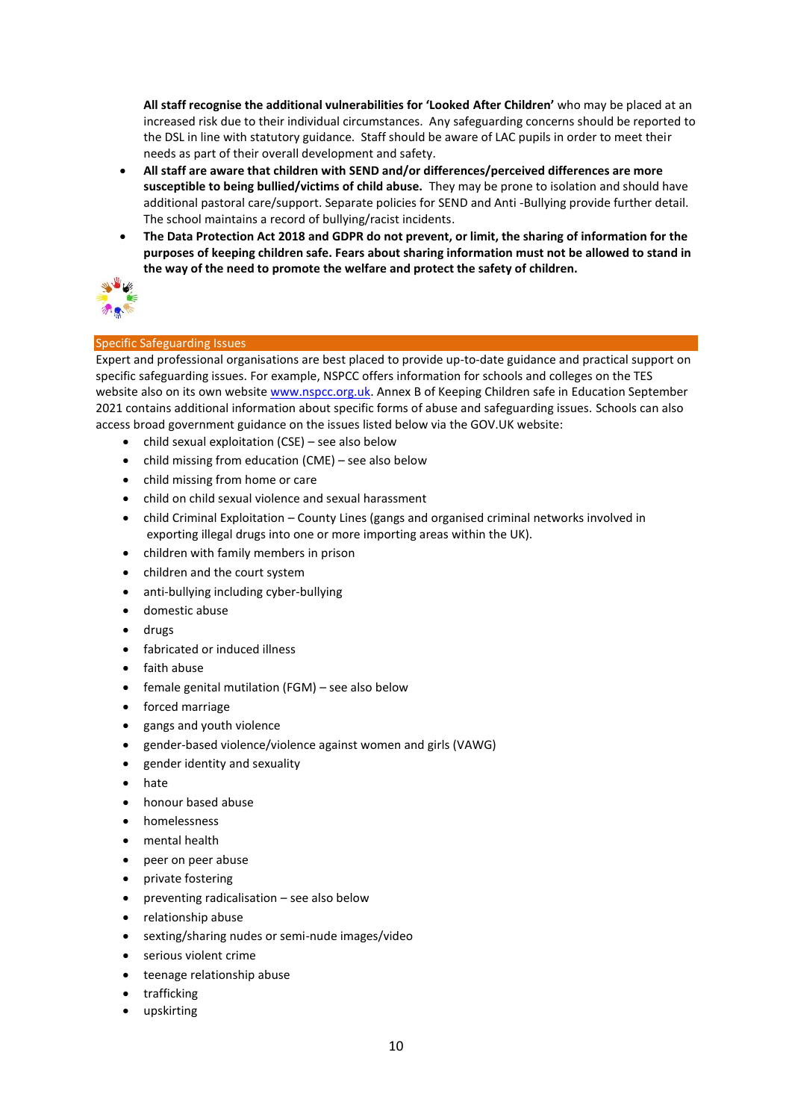• **All staff recognise the additional vulnerabilities for 'Looked After Children'** who may be placed at an increased risk due to their individual circumstances. Any safeguarding concerns should be reported to the DSL in line with statutory guidance. Staff should be aware of LAC pupils in order to meet their needs as part of their overall development and safety.

- **All staff are aware that children with SEND and/or differences/perceived differences are more susceptible to being bullied/victims of child abuse.** They may be prone to isolation and should have additional pastoral care/support. Separate policies for SEND and Anti -Bullying provide further detail. The school maintains a record of bullying/racist incidents.
- **The Data Protection Act 2018 and GDPR do not prevent, or limit, the sharing of information for the purposes of keeping children safe. Fears about sharing information must not be allowed to stand in the way of the need to promote the welfare and protect the safety of children.**



## Specific Safeguarding Issues

Expert and professional organisations are best placed to provide up-to-date guidance and practical support on specific safeguarding issues. For example, NSPCC offers information for schools and colleges on the TES website also on its own websit[e www.nspcc.org.uk.](http://www.nspcc.org.uk/) Annex B of Keeping Children safe in Education September 2021 contains additional information about specific forms of abuse and safeguarding issues. Schools can also access broad government guidance on the issues listed below via the GOV.UK website:

- child sexual exploitation (CSE) see also below
- child missing from education (CME) see also below
- child missing from home or care
- child on child sexual violence and sexual harassment
- child Criminal Exploitation County Lines (gangs and organised criminal networks involved in exporting illegal drugs into one or more importing areas within the UK).
- children with family members in prison
- children and the court system
- anti-bullying including cyber-bullying
- domestic abuse
- drugs
- fabricated or induced illness
- faith abuse
- female genital mutilation (FGM) see also below
- forced marriage
- gangs and youth violence
- gender-based violence/violence against women and girls (VAWG)
- gender identity and sexuality
- hate
- honour based abuse
- homelessness
- mental health
- peer on peer abuse
- private fostering
- preventing radicalisation see also below
- relationship abuse
- sexting/sharing nudes or semi-nude images/video
- serious violent crime
- teenage relationship abuse
- trafficking
- upskirting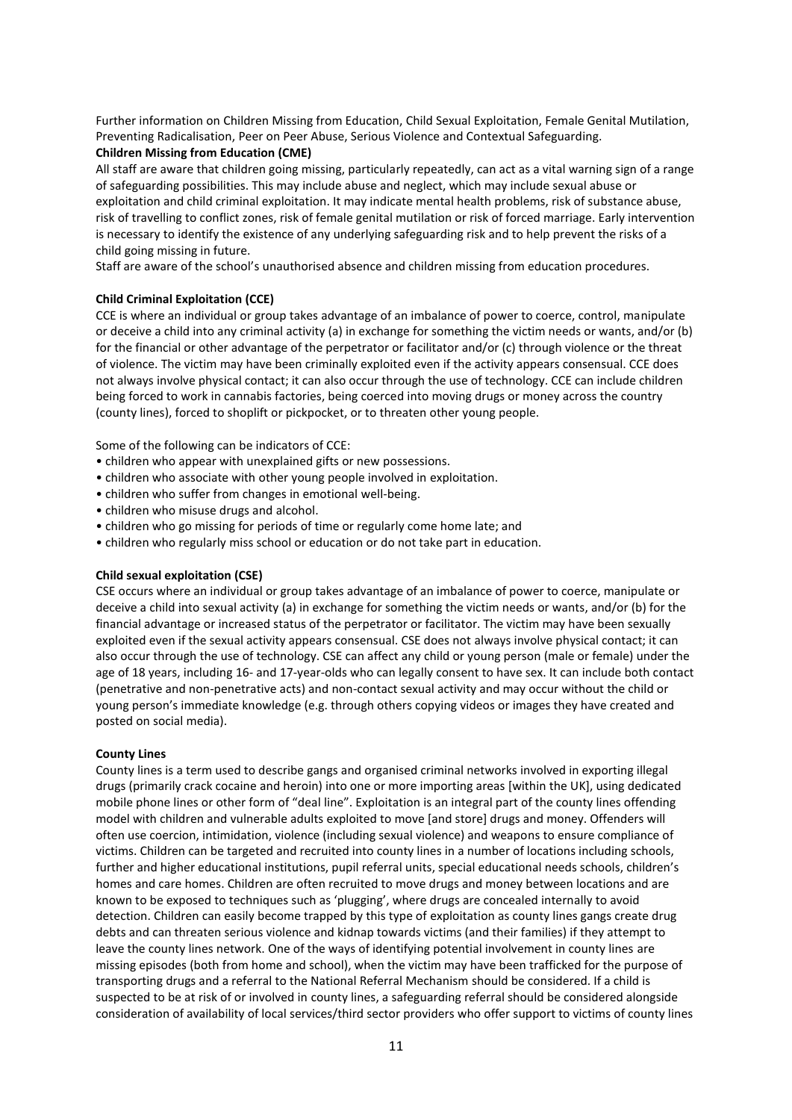Further information on Children Missing from Education, Child Sexual Exploitation, Female Genital Mutilation, Preventing Radicalisation, Peer on Peer Abuse, Serious Violence and Contextual Safeguarding.

## **Children Missing from Education (CME)**

All staff are aware that children going missing, particularly repeatedly, can act as a vital warning sign of a range of safeguarding possibilities. This may include abuse and neglect, which may include sexual abuse or exploitation and child criminal exploitation. It may indicate mental health problems, risk of substance abuse, risk of travelling to conflict zones, risk of female genital mutilation or risk of forced marriage. Early intervention is necessary to identify the existence of any underlying safeguarding risk and to help prevent the risks of a child going missing in future.

Staff are aware of the school's unauthorised absence and children missing from education procedures.

## **Child Criminal Exploitation (CCE)**

CCE is where an individual or group takes advantage of an imbalance of power to coerce, control, manipulate or deceive a child into any criminal activity (a) in exchange for something the victim needs or wants, and/or (b) for the financial or other advantage of the perpetrator or facilitator and/or (c) through violence or the threat of violence. The victim may have been criminally exploited even if the activity appears consensual. CCE does not always involve physical contact; it can also occur through the use of technology. CCE can include children being forced to work in cannabis factories, being coerced into moving drugs or money across the country (county lines), forced to shoplift or pickpocket, or to threaten other young people.

Some of the following can be indicators of CCE:

- children who appear with unexplained gifts or new possessions.
- children who associate with other young people involved in exploitation.
- children who suffer from changes in emotional well-being.
- children who misuse drugs and alcohol.
- children who go missing for periods of time or regularly come home late; and
- children who regularly miss school or education or do not take part in education.

## **Child sexual exploitation (CSE)**

CSE occurs where an individual or group takes advantage of an imbalance of power to coerce, manipulate or deceive a child into sexual activity (a) in exchange for something the victim needs or wants, and/or (b) for the financial advantage or increased status of the perpetrator or facilitator. The victim may have been sexually exploited even if the sexual activity appears consensual. CSE does not always involve physical contact; it can also occur through the use of technology. CSE can affect any child or young person (male or female) under the age of 18 years, including 16- and 17-year-olds who can legally consent to have sex. It can include both contact (penetrative and non-penetrative acts) and non-contact sexual activity and may occur without the child or young person's immediate knowledge (e.g. through others copying videos or images they have created and posted on social media).

#### **County Lines**

County lines is a term used to describe gangs and organised criminal networks involved in exporting illegal drugs (primarily crack cocaine and heroin) into one or more importing areas [within the UK], using dedicated mobile phone lines or other form of "deal line". Exploitation is an integral part of the county lines offending model with children and vulnerable adults exploited to move [and store] drugs and money. Offenders will often use coercion, intimidation, violence (including sexual violence) and weapons to ensure compliance of victims. Children can be targeted and recruited into county lines in a number of locations including schools, further and higher educational institutions, pupil referral units, special educational needs schools, children's homes and care homes. Children are often recruited to move drugs and money between locations and are known to be exposed to techniques such as 'plugging', where drugs are concealed internally to avoid detection. Children can easily become trapped by this type of exploitation as county lines gangs create drug debts and can threaten serious violence and kidnap towards victims (and their families) if they attempt to leave the county lines network. One of the ways of identifying potential involvement in county lines are missing episodes (both from home and school), when the victim may have been trafficked for the purpose of transporting drugs and a referral to the National Referral Mechanism should be considered. If a child is suspected to be at risk of or involved in county lines, a safeguarding referral should be considered alongside consideration of availability of local services/third sector providers who offer support to victims of county lines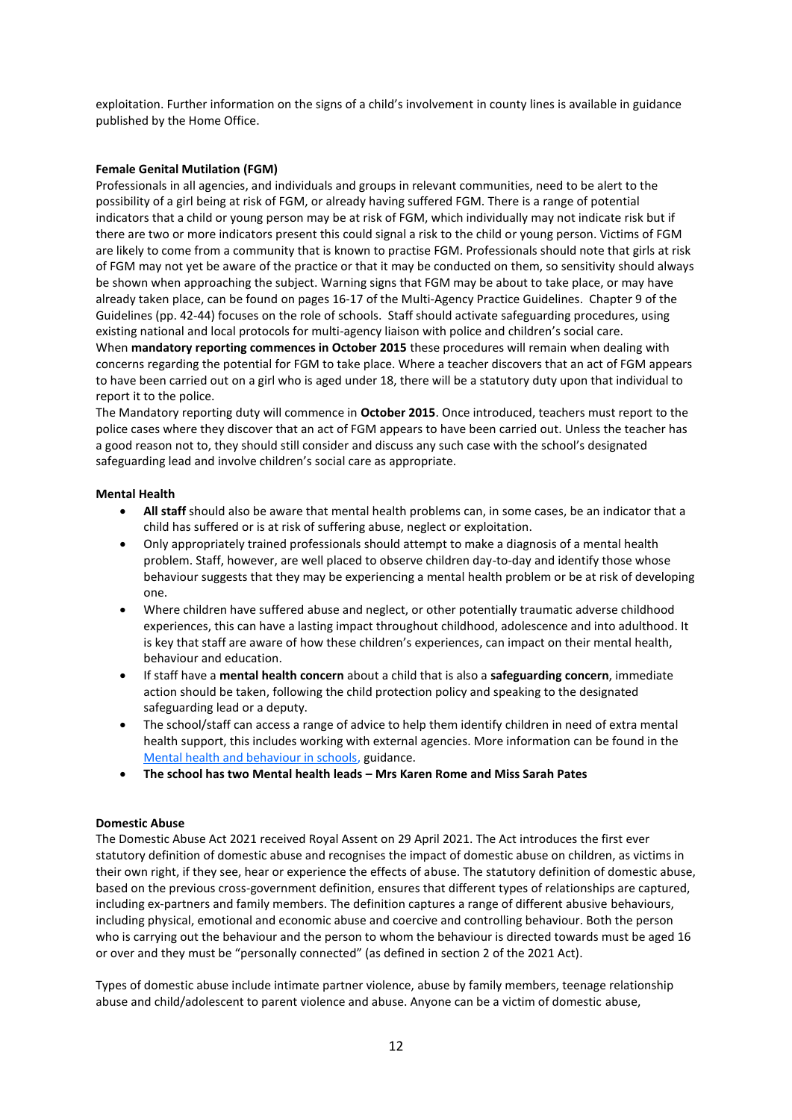exploitation. Further information on the signs of a child's involvement in county lines is available in guidance published by the Home Office.

## **Female Genital Mutilation (FGM)**

Professionals in all agencies, and individuals and groups in relevant communities, need to be alert to the possibility of a girl being at risk of FGM, or already having suffered FGM. There is a range of potential indicators that a child or young person may be at risk of FGM, which individually may not indicate risk but if there are two or more indicators present this could signal a risk to the child or young person. Victims of FGM are likely to come from a community that is known to practise FGM. Professionals should note that girls at risk of FGM may not yet be aware of the practice or that it may be conducted on them, so sensitivity should always be shown when approaching the subject. Warning signs that FGM may be about to take place, or may have already taken place, can be found on pages 16-17 of the Multi-Agency Practice Guidelines. Chapter 9 of the Guidelines (pp. 42-44) focuses on the role of schools. Staff should activate safeguarding procedures, using existing national and local protocols for multi-agency liaison with police and children's social care. When **mandatory reporting commences in October 2015** these procedures will remain when dealing with concerns regarding the potential for FGM to take place. Where a teacher discovers that an act of FGM appears to have been carried out on a girl who is aged under 18, there will be a statutory duty upon that individual to report it to the police.

The Mandatory reporting duty will commence in **October 2015**. Once introduced, teachers must report to the police cases where they discover that an act of FGM appears to have been carried out. Unless the teacher has a good reason not to, they should still consider and discuss any such case with the school's designated safeguarding lead and involve children's social care as appropriate.

## **Mental Health**

- **All staff** should also be aware that mental health problems can, in some cases, be an indicator that a child has suffered or is at risk of suffering abuse, neglect or exploitation.
- Only appropriately trained professionals should attempt to make a diagnosis of a mental health problem. Staff, however, are well placed to observe children day-to-day and identify those whose behaviour suggests that they may be experiencing a mental health problem or be at risk of developing one.
- Where children have suffered abuse and neglect, or other potentially traumatic adverse childhood experiences, this can have a lasting impact throughout childhood, adolescence and into adulthood. It is key that staff are aware of how these children's experiences, can impact on their mental health, behaviour and education.
- If staff have a **mental health concern** about a child that is also a **safeguarding concern**, immediate action should be taken, following the child protection policy and speaking to the designated safeguarding lead or a deputy.
- The school/staff can access a range of advice to help them identify children in need of extra mental health support, this includes working with external agencies. More information can be found in the Mental health and behaviour in schools, guidance.
- **The school has two Mental health leads – Mrs Karen Rome and Miss Sarah Pates**

## **Domestic Abuse**

The Domestic Abuse Act 2021 received Royal Assent on 29 April 2021. The Act introduces the first ever statutory definition of domestic abuse and recognises the impact of domestic abuse on children, as victims in their own right, if they see, hear or experience the effects of abuse. The statutory definition of domestic abuse, based on the previous cross-government definition, ensures that different types of relationships are captured, including ex-partners and family members. The definition captures a range of different abusive behaviours, including physical, emotional and economic abuse and coercive and controlling behaviour. Both the person who is carrying out the behaviour and the person to whom the behaviour is directed towards must be aged 16 or over and they must be "personally connected" (as defined in section 2 of the 2021 Act).

Types of domestic abuse include intimate partner violence, abuse by family members, teenage relationship abuse and child/adolescent to parent violence and abuse. Anyone can be a victim of domestic abuse,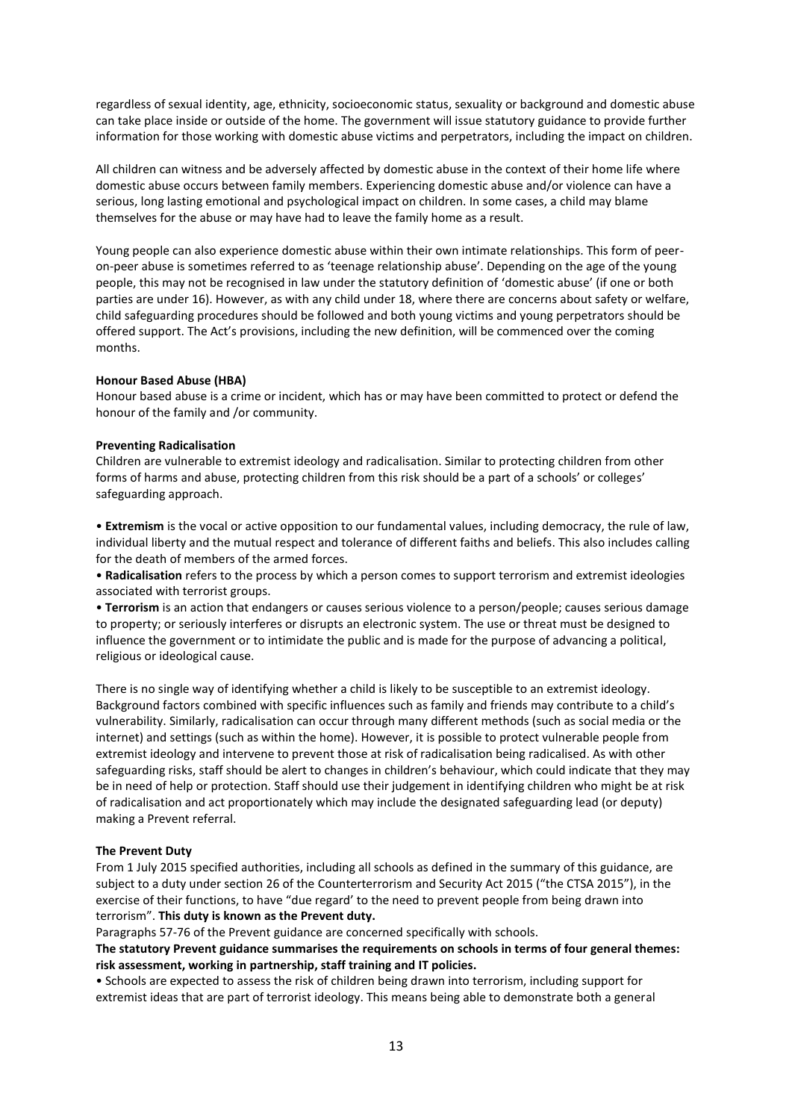regardless of sexual identity, age, ethnicity, socioeconomic status, sexuality or background and domestic abuse can take place inside or outside of the home. The government will issue statutory guidance to provide further information for those working with domestic abuse victims and perpetrators, including the impact on children.

All children can witness and be adversely affected by domestic abuse in the context of their home life where domestic abuse occurs between family members. Experiencing domestic abuse and/or violence can have a serious, long lasting emotional and psychological impact on children. In some cases, a child may blame themselves for the abuse or may have had to leave the family home as a result.

Young people can also experience domestic abuse within their own intimate relationships. This form of peeron-peer abuse is sometimes referred to as 'teenage relationship abuse'. Depending on the age of the young people, this may not be recognised in law under the statutory definition of 'domestic abuse' (if one or both parties are under 16). However, as with any child under 18, where there are concerns about safety or welfare, child safeguarding procedures should be followed and both young victims and young perpetrators should be offered support. The Act's provisions, including the new definition, will be commenced over the coming months.

## **Honour Based Abuse (HBA)**

Honour based abuse is a crime or incident, which has or may have been committed to protect or defend the honour of the family and /or community.

## **Preventing Radicalisation**

Children are vulnerable to extremist ideology and radicalisation. Similar to protecting children from other forms of harms and abuse, protecting children from this risk should be a part of a schools' or colleges' safeguarding approach.

• **Extremism** is the vocal or active opposition to our fundamental values, including democracy, the rule of law, individual liberty and the mutual respect and tolerance of different faiths and beliefs. This also includes calling for the death of members of the armed forces.

• **Radicalisation** refers to the process by which a person comes to support terrorism and extremist ideologies associated with terrorist groups.

• **Terrorism** is an action that endangers or causes serious violence to a person/people; causes serious damage to property; or seriously interferes or disrupts an electronic system. The use or threat must be designed to influence the government or to intimidate the public and is made for the purpose of advancing a political, religious or ideological cause.

There is no single way of identifying whether a child is likely to be susceptible to an extremist ideology. Background factors combined with specific influences such as family and friends may contribute to a child's vulnerability. Similarly, radicalisation can occur through many different methods (such as social media or the internet) and settings (such as within the home). However, it is possible to protect vulnerable people from extremist ideology and intervene to prevent those at risk of radicalisation being radicalised. As with other safeguarding risks, staff should be alert to changes in children's behaviour, which could indicate that they may be in need of help or protection. Staff should use their judgement in identifying children who might be at risk of radicalisation and act proportionately which may include the designated safeguarding lead (or deputy) making a Prevent referral.

## **The Prevent Duty**

From 1 July 2015 specified authorities, including all schools as defined in the summary of this guidance, are subject to a duty under section 26 of the Counterterrorism and Security Act 2015 ("the CTSA 2015"), in the exercise of their functions, to have "due regard' to the need to prevent people from being drawn into terrorism". **This duty is known as the Prevent duty.**

Paragraphs 57-76 of the Prevent guidance are concerned specifically with schools.

**The statutory Prevent guidance summarises the requirements on schools in terms of four general themes: risk assessment, working in partnership, staff training and IT policies.** 

• Schools are expected to assess the risk of children being drawn into terrorism, including support for extremist ideas that are part of terrorist ideology. This means being able to demonstrate both a general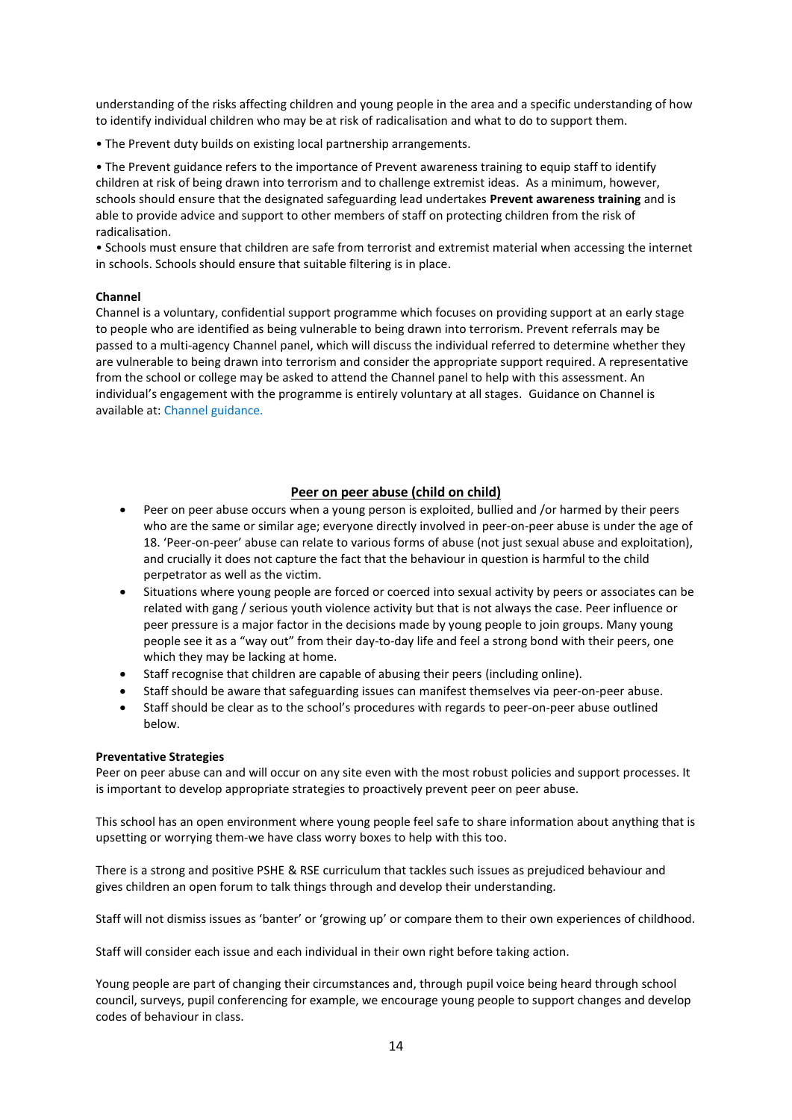understanding of the risks affecting children and young people in the area and a specific understanding of how to identify individual children who may be at risk of radicalisation and what to do to support them.

• The Prevent duty builds on existing local partnership arrangements.

• The Prevent guidance refers to the importance of Prevent awareness training to equip staff to identify children at risk of being drawn into terrorism and to challenge extremist ideas. As a minimum, however, schools should ensure that the designated safeguarding lead undertakes **Prevent awareness training** and is able to provide advice and support to other members of staff on protecting children from the risk of radicalisation.

• Schools must ensure that children are safe from terrorist and extremist material when accessing the internet in schools. Schools should ensure that suitable filtering is in place.

## **Channel**

Channel is a voluntary, confidential support programme which focuses on providing support at an early stage to people who are identified as being vulnerable to being drawn into terrorism. Prevent referrals may be passed to a multi-agency Channel panel, which will discuss the individual referred to determine whether they are vulnerable to being drawn into terrorism and consider the appropriate support required. A representative from the school or college may be asked to attend the Channel panel to help with this assessment. An individual's engagement with the programme is entirely voluntary at all stages. Guidance on Channel is available at: Channel guidance.

## **Peer on peer abuse (child on child)**

- Peer on peer abuse occurs when a young person is exploited, bullied and /or harmed by their peers who are the same or similar age; everyone directly involved in peer-on-peer abuse is under the age of 18. 'Peer-on-peer' abuse can relate to various forms of abuse (not just sexual abuse and exploitation), and crucially it does not capture the fact that the behaviour in question is harmful to the child perpetrator as well as the victim.
- Situations where young people are forced or coerced into sexual activity by peers or associates can be related with gang / serious youth violence activity but that is not always the case. Peer influence or peer pressure is a major factor in the decisions made by young people to join groups. Many young people see it as a "way out" from their day-to-day life and feel a strong bond with their peers, one which they may be lacking at home.
- Staff recognise that children are capable of abusing their peers (including online).
- Staff should be aware that safeguarding issues can manifest themselves via peer-on-peer abuse.
- Staff should be clear as to the school's procedures with regards to peer-on-peer abuse outlined below.

#### **Preventative Strategies**

Peer on peer abuse can and will occur on any site even with the most robust policies and support processes. It is important to develop appropriate strategies to proactively prevent peer on peer abuse.

This school has an open environment where young people feel safe to share information about anything that is upsetting or worrying them-we have class worry boxes to help with this too.

There is a strong and positive PSHE & RSE curriculum that tackles such issues as prejudiced behaviour and gives children an open forum to talk things through and develop their understanding.

Staff will not dismiss issues as 'banter' or 'growing up' or compare them to their own experiences of childhood.

Staff will consider each issue and each individual in their own right before taking action.

Young people are part of changing their circumstances and, through pupil voice being heard through school council, surveys, pupil conferencing for example, we encourage young people to support changes and develop codes of behaviour in class.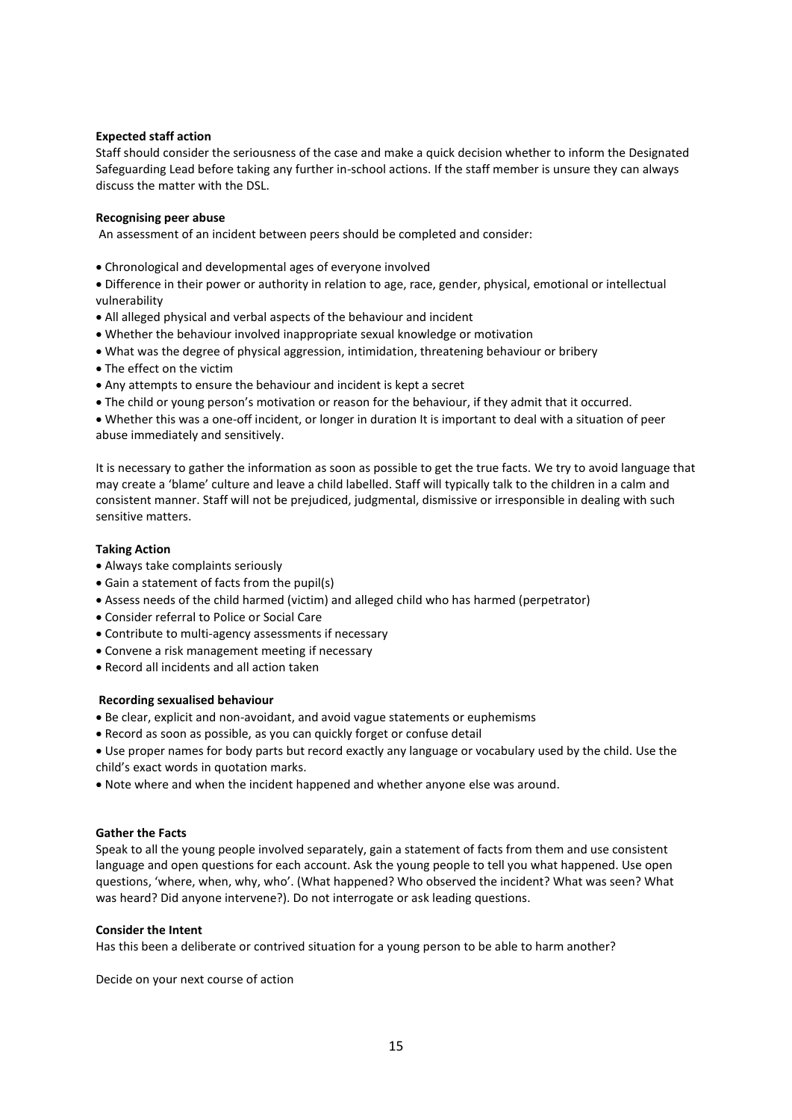## **Expected staff action**

Staff should consider the seriousness of the case and make a quick decision whether to inform the Designated Safeguarding Lead before taking any further in-school actions. If the staff member is unsure they can always discuss the matter with the DSL.

## **Recognising peer abuse**

An assessment of an incident between peers should be completed and consider:

- Chronological and developmental ages of everyone involved
- Difference in their power or authority in relation to age, race, gender, physical, emotional or intellectual vulnerability
- All alleged physical and verbal aspects of the behaviour and incident
- Whether the behaviour involved inappropriate sexual knowledge or motivation
- What was the degree of physical aggression, intimidation, threatening behaviour or bribery
- The effect on the victim
- Any attempts to ensure the behaviour and incident is kept a secret
- The child or young person's motivation or reason for the behaviour, if they admit that it occurred.
- Whether this was a one-off incident, or longer in duration It is important to deal with a situation of peer abuse immediately and sensitively.

It is necessary to gather the information as soon as possible to get the true facts. We try to avoid language that may create a 'blame' culture and leave a child labelled. Staff will typically talk to the children in a calm and consistent manner. Staff will not be prejudiced, judgmental, dismissive or irresponsible in dealing with such sensitive matters.

## **Taking Action**

- Always take complaints seriously
- Gain a statement of facts from the pupil(s)
- Assess needs of the child harmed (victim) and alleged child who has harmed (perpetrator)
- Consider referral to Police or Social Care
- Contribute to multi-agency assessments if necessary
- Convene a risk management meeting if necessary
- Record all incidents and all action taken

#### **Recording sexualised behaviour**

- Be clear, explicit and non-avoidant, and avoid vague statements or euphemisms
- Record as soon as possible, as you can quickly forget or confuse detail
- Use proper names for body parts but record exactly any language or vocabulary used by the child. Use the child's exact words in quotation marks.
- Note where and when the incident happened and whether anyone else was around.

#### **Gather the Facts**

Speak to all the young people involved separately, gain a statement of facts from them and use consistent language and open questions for each account. Ask the young people to tell you what happened. Use open questions, 'where, when, why, who'. (What happened? Who observed the incident? What was seen? What was heard? Did anyone intervene?). Do not interrogate or ask leading questions.

#### **Consider the Intent**

Has this been a deliberate or contrived situation for a young person to be able to harm another?

Decide on your next course of action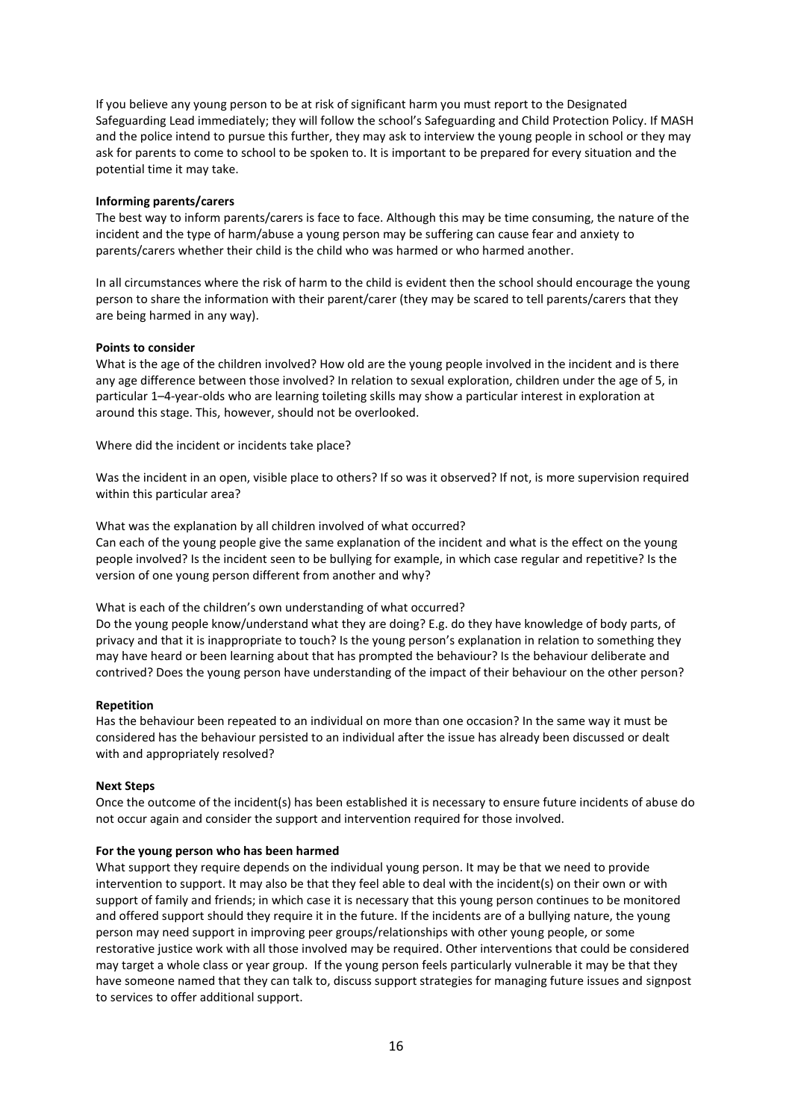If you believe any young person to be at risk of significant harm you must report to the Designated Safeguarding Lead immediately; they will follow the school's Safeguarding and Child Protection Policy. If MASH and the police intend to pursue this further, they may ask to interview the young people in school or they may ask for parents to come to school to be spoken to. It is important to be prepared for every situation and the potential time it may take.

## **Informing parents/carers**

The best way to inform parents/carers is face to face. Although this may be time consuming, the nature of the incident and the type of harm/abuse a young person may be suffering can cause fear and anxiety to parents/carers whether their child is the child who was harmed or who harmed another.

In all circumstances where the risk of harm to the child is evident then the school should encourage the young person to share the information with their parent/carer (they may be scared to tell parents/carers that they are being harmed in any way).

## **Points to consider**

What is the age of the children involved? How old are the young people involved in the incident and is there any age difference between those involved? In relation to sexual exploration, children under the age of 5, in particular 1–4-year-olds who are learning toileting skills may show a particular interest in exploration at around this stage. This, however, should not be overlooked.

Where did the incident or incidents take place?

Was the incident in an open, visible place to others? If so was it observed? If not, is more supervision required within this particular area?

## What was the explanation by all children involved of what occurred?

Can each of the young people give the same explanation of the incident and what is the effect on the young people involved? Is the incident seen to be bullying for example, in which case regular and repetitive? Is the version of one young person different from another and why?

#### What is each of the children's own understanding of what occurred?

Do the young people know/understand what they are doing? E.g. do they have knowledge of body parts, of privacy and that it is inappropriate to touch? Is the young person's explanation in relation to something they may have heard or been learning about that has prompted the behaviour? Is the behaviour deliberate and contrived? Does the young person have understanding of the impact of their behaviour on the other person?

#### **Repetition**

Has the behaviour been repeated to an individual on more than one occasion? In the same way it must be considered has the behaviour persisted to an individual after the issue has already been discussed or dealt with and appropriately resolved?

#### **Next Steps**

Once the outcome of the incident(s) has been established it is necessary to ensure future incidents of abuse do not occur again and consider the support and intervention required for those involved.

## **For the young person who has been harmed**

What support they require depends on the individual young person. It may be that we need to provide intervention to support. It may also be that they feel able to deal with the incident(s) on their own or with support of family and friends; in which case it is necessary that this young person continues to be monitored and offered support should they require it in the future. If the incidents are of a bullying nature, the young person may need support in improving peer groups/relationships with other young people, or some restorative justice work with all those involved may be required. Other interventions that could be considered may target a whole class or year group. If the young person feels particularly vulnerable it may be that they have someone named that they can talk to, discuss support strategies for managing future issues and signpost to services to offer additional support.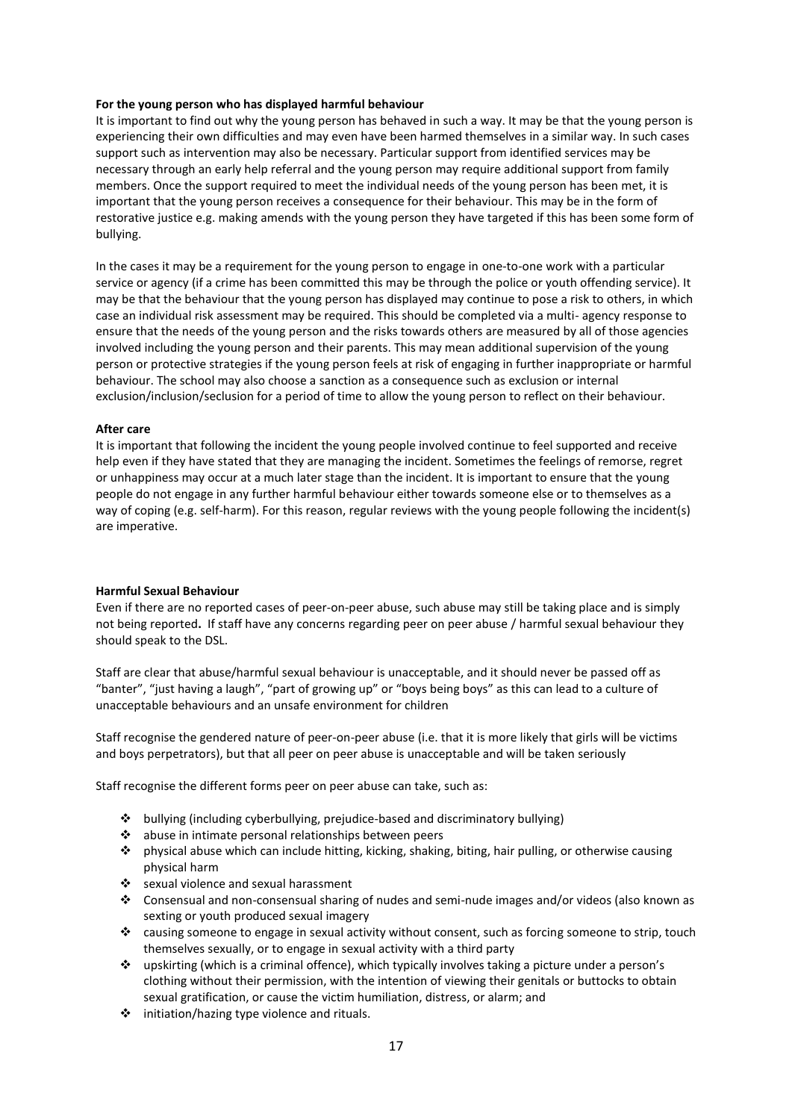## **For the young person who has displayed harmful behaviour**

It is important to find out why the young person has behaved in such a way. It may be that the young person is experiencing their own difficulties and may even have been harmed themselves in a similar way. In such cases support such as intervention may also be necessary. Particular support from identified services may be necessary through an early help referral and the young person may require additional support from family members. Once the support required to meet the individual needs of the young person has been met, it is important that the young person receives a consequence for their behaviour. This may be in the form of restorative justice e.g. making amends with the young person they have targeted if this has been some form of bullying.

In the cases it may be a requirement for the young person to engage in one-to-one work with a particular service or agency (if a crime has been committed this may be through the police or youth offending service). It may be that the behaviour that the young person has displayed may continue to pose a risk to others, in which case an individual risk assessment may be required. This should be completed via a multi- agency response to ensure that the needs of the young person and the risks towards others are measured by all of those agencies involved including the young person and their parents. This may mean additional supervision of the young person or protective strategies if the young person feels at risk of engaging in further inappropriate or harmful behaviour. The school may also choose a sanction as a consequence such as exclusion or internal exclusion/inclusion/seclusion for a period of time to allow the young person to reflect on their behaviour.

## **After care**

It is important that following the incident the young people involved continue to feel supported and receive help even if they have stated that they are managing the incident. Sometimes the feelings of remorse, regret or unhappiness may occur at a much later stage than the incident. It is important to ensure that the young people do not engage in any further harmful behaviour either towards someone else or to themselves as a way of coping (e.g. self-harm). For this reason, regular reviews with the young people following the incident(s) are imperative.

## **Harmful Sexual Behaviour**

Even if there are no reported cases of peer-on-peer abuse, such abuse may still be taking place and is simply not being reported**.** If staff have any concerns regarding peer on peer abuse / harmful sexual behaviour they should speak to the DSL.

Staff are clear that abuse/harmful sexual behaviour is unacceptable, and it should never be passed off as "banter", "just having a laugh", "part of growing up" or "boys being boys" as this can lead to a culture of unacceptable behaviours and an unsafe environment for children

Staff recognise the gendered nature of peer-on-peer abuse (i.e. that it is more likely that girls will be victims and boys perpetrators), but that all peer on peer abuse is unacceptable and will be taken seriously

Staff recognise the different forms peer on peer abuse can take, such as:

- ❖ bullying (including cyberbullying, prejudice-based and discriminatory bullying)
- ❖ abuse in intimate personal relationships between peers
- ❖ physical abuse which can include hitting, kicking, shaking, biting, hair pulling, or otherwise causing physical harm
- ❖ sexual violence and sexual harassment
- ❖ Consensual and non-consensual sharing of nudes and semi-nude images and/or videos (also known as sexting or youth produced sexual imagery
- ❖ causing someone to engage in sexual activity without consent, such as forcing someone to strip, touch themselves sexually, or to engage in sexual activity with a third party
- ❖ upskirting (which is a criminal offence), which typically involves taking a picture under a person's clothing without their permission, with the intention of viewing their genitals or buttocks to obtain sexual gratification, or cause the victim humiliation, distress, or alarm; and
- ❖ initiation/hazing type violence and rituals.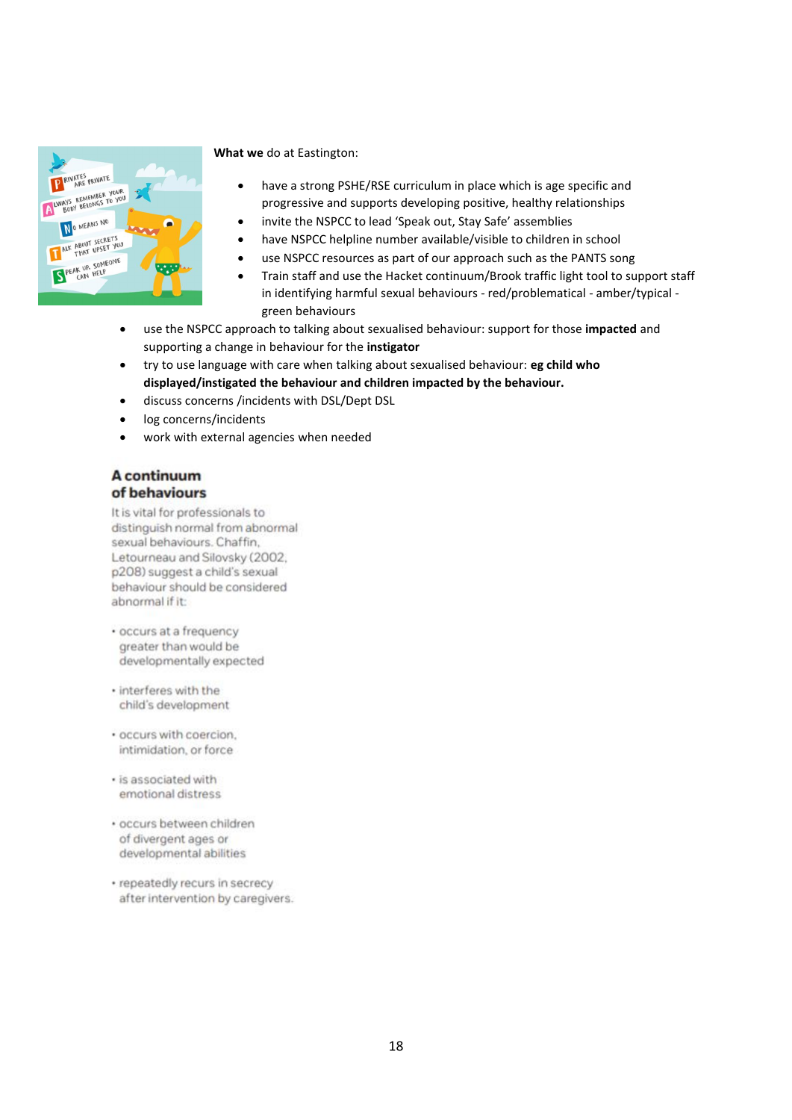

**What we** do at Eastington:

- have a strong PSHE/RSE curriculum in place which is age specific and progressive and supports developing positive, healthy relationships
- invite the NSPCC to lead 'Speak out, Stay Safe' assemblies
- have NSPCC helpline number available/visible to children in school
- use NSPCC resources as part of our approach such as the PANTS song
	- Train staff and use the Hacket continuum/Brook traffic light tool to support staff in identifying harmful sexual behaviours - red/problematical - amber/typical green behaviours
- use the NSPCC approach to talking about sexualised behaviour: support for those **impacted** and supporting a change in behaviour for the **instigator**
- try to use language with care when talking about sexualised behaviour: **eg child who displayed/instigated the behaviour and children impacted by the behaviour.**
- discuss concerns /incidents with DSL/Dept DSL
- log concerns/incidents
- work with external agencies when needed

## A continuum of behaviours

It is vital for professionals to distinguish normal from abnormal sexual behaviours. Chaffin, Letourneau and Silovsky (2002, p208) suggest a child's sexual behaviour should be considered abnormal if it:

- · occurs at a frequency greater than would be developmentally expected
- · interferes with the child's development
- · occurs with coercion, intimidation, or force
- · is associated with emotional distress
- · occurs between children of divergent ages or developmental abilities
- · repeatedly recurs in secrecy after intervention by caregivers.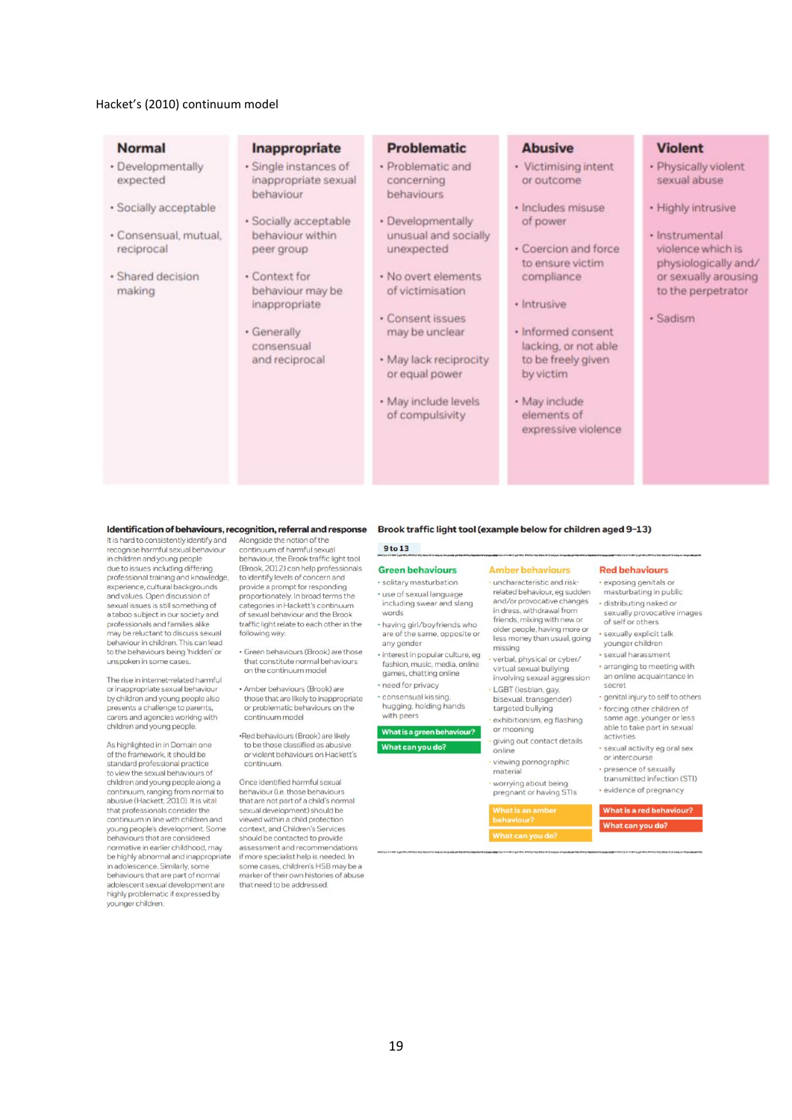#### Hacket's (2010) continuum model

#### **Normal**

- · Developmentally expected
- · Socially acceptable
- · Consensual, mutual, reciprocal
- · Shared decision making

## Inappropriate

- · Single instances of inappropriate sexual behaviour
- · Socially acceptable behaviour within peer group
- · Context for behaviour may be inappropriate
- · Generally consensual and reciprocal

#### **Problematic**

- · Problematic and concerning behaviours
- · Developmentally unusual and socially unexpected
- · No overt elements of victimisation.
- · Consent issues may be unclear
- · May lack reciprocity or equal power
- · May include levels of compulsivity

#### **Abusive**

- · Victimising intent or outcome
- · Includes misuse of power
- · Coercion and force to ensure victim compliance
- · Intrusive
- · Informed consent lacking, or not able to be freely given by victim
- · May include elements of expressive violence

## **Violent**

- · Physically violent sexual abuse
- · Highly intrusive
- · Instrumental violence which is physiologically and/ or sexually arousing to the perpetrator
- · Sadism

#### Identification of behaviours, recognition, referral and response

It is hard to consistently identify and recognise harmful sexual behaviour in children and young people<br>due to issues including differing professional training and knowledge. experience, cultural backgrounds and values. Open discussion of sexual issues is still something of a taboo subject in our society and professionals and families alike may be reluctant to discuss sexual behaviour in children. This can lead to the behaviours being 'hidden' or unspoken in some cases

The rise in internet-related harmful or inappropriate sexual behaviour by children and young people also presents a challenge to parents. carers and agencies working with children and young people

As highlighted in in Domain one of the framework, it should be<br>standard professional practice to view the sexual behaviours of children and young people along a continuum, ranging from normal to<br>abusive (Hackett, 2010). It is vital that professionals consider the<br>continuum in line with children and young people's development. Some behaviours that are considered normative in earlier childhood, may be highly abnormal and inappropriate in adolescence. Similarly, some behaviours that are part of normal adolescent sexual development are highly problematic if expressed by younger children

Alonaside the notion of the continuum of harmful sexual behaviour the Brook traffic light tool (Brook, 2012) can help professionals to identify levels of concern and

provide a prompt for responding proportionately In broad terms the categories in Hackett's continuum of sexual behaviour and the Brook traffic light relate to each other in the following way

· Green behaviours (Brook) are those

that constitute normal behaviours on the continuum model · Amber behaviours (Brook) are those that are likely to inappropriate<br>or problematic behaviours on the

·Red behaviours (Brook) are likely to be those classified as abusive or violent behaviours on Hackett's continuum.

continuum model

Once identified harmful sexual behaviour (i.e. those behaviours that are not part of a child's normal sexual development) should be viewed within a child protection context, and Children's Services<br>should be contacted to provide issessment and recommendations if more specialist help is needed. In some cases, children's HSB may be a<br>marker of their own histories of abuse that need to be addressed.

#### Brook traffic light tool (example below for children aged 9-13)

## 9 to 13

#### **Green hehaviours**

- · solitary masturbation · use of sexual language including swear and slang words
- having girl/boyfriends who are of the same, opposite or any gender
- interest in popular culture, eg fashion, music, media, online<br>games, chatting online · need for privacy

#### · consensual kissing hugging, holding hands with peers

## at is a green behav

- **Amber hehaviours** uncharacteristic and riskrelated behaviour, eg sudden and/or provocative changes in dress withdrawal from friends, mixing with new or older people, having more or less money than usual, going missing verbal, physical or cyber/
- virtual sexual bullying involving sexual aggression
- LGBT (lesbian, gay,<br>bisexual, transgender) targeted bullying
- or mooning giving out contact details
- $online$ 
	- viewing pornographic material
		- worrying about being<br>pregnant or having STIs

#### **Red hehaviours** · exposing genitals or masturbating in public

- · distributing naked or sexually provocative images
- of self or others sexually explicit talk
- younger children · sexual harassment
- · arranging to meeting with
- an online acquaintance in secret · genital injury to self to others
- · forcing other children of same age, younger or less able to take part in sexual activities
- · sexual activity eg oral sex or intercourse presence of sexually
- transmitted infection (STI) · evidence of pregnancy

What is a red behav

exhibitionism, eg flashing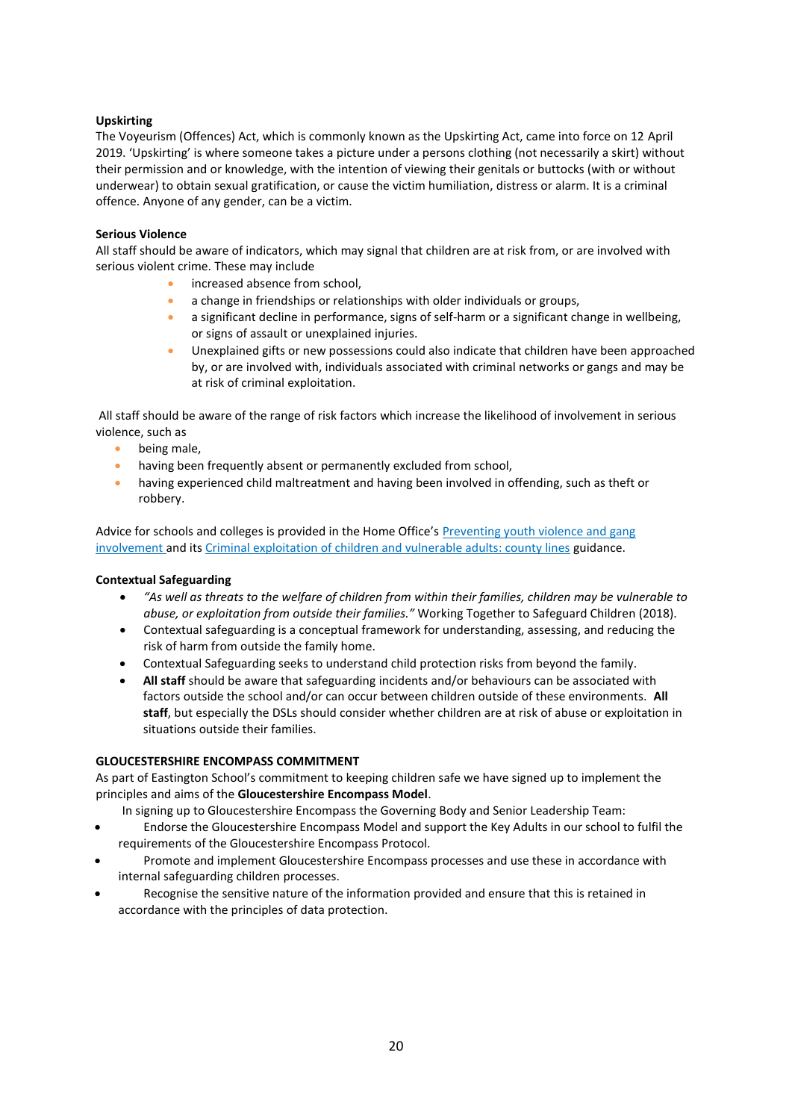## **Upskirting**

The Voyeurism (Offences) Act, which is commonly known as the Upskirting Act, came into force on 12 April 2019. 'Upskirting' is where someone takes a picture under a persons clothing (not necessarily a skirt) without their permission and or knowledge, with the intention of viewing their genitals or buttocks (with or without underwear) to obtain sexual gratification, or cause the victim humiliation, distress or alarm. It is a criminal offence. Anyone of any gender, can be a victim.

## **Serious Violence**

All staff should be aware of indicators, which may signal that children are at risk from, or are involved with serious violent crime. These may include

- increased absence from school,
- a change in friendships or relationships with older individuals or groups,
- a significant decline in performance, signs of self-harm or a significant change in wellbeing, or signs of assault or unexplained injuries.
- Unexplained gifts or new possessions could also indicate that children have been approached by, or are involved with, individuals associated with criminal networks or gangs and may be at risk of criminal exploitation.

All staff should be aware of the range of risk factors which increase the likelihood of involvement in serious violence, such as

- being male,
- having been frequently absent or permanently excluded from school,
- having experienced child maltreatment and having been involved in offending, such as theft or robbery.

Advice for schools and colleges is provided in the Home Office's Preventing youth violence and gang involvement and its Criminal exploitation of children and vulnerable adults: county lines guidance.

## **Contextual Safeguarding**

- "As well as threats to the welfare of children from within their families, children may be vulnerable to *abuse, or exploitation from outside their families."* Working Together to Safeguard Children (2018).
- Contextual safeguarding is a conceptual framework for understanding, assessing, and reducing the risk of harm from outside the family home.
- Contextual Safeguarding seeks to understand child protection risks from beyond the family.
- **All staff** should be aware that safeguarding incidents and/or behaviours can be associated with factors outside the school and/or can occur between children outside of these environments. **All staff**, but especially the DSLs should consider whether children are at risk of abuse or exploitation in situations outside their families.

## **GLOUCESTERSHIRE ENCOMPASS COMMITMENT**

As part of Eastington School's commitment to keeping children safe we have signed up to implement the principles and aims of the **Gloucestershire Encompass Model**.

- In signing up to Gloucestershire Encompass the Governing Body and Senior Leadership Team:
- Endorse the Gloucestershire Encompass Model and support the Key Adults in our school to fulfil the requirements of the Gloucestershire Encompass Protocol.
- Promote and implement Gloucestershire Encompass processes and use these in accordance with internal safeguarding children processes.
- Recognise the sensitive nature of the information provided and ensure that this is retained in accordance with the principles of data protection.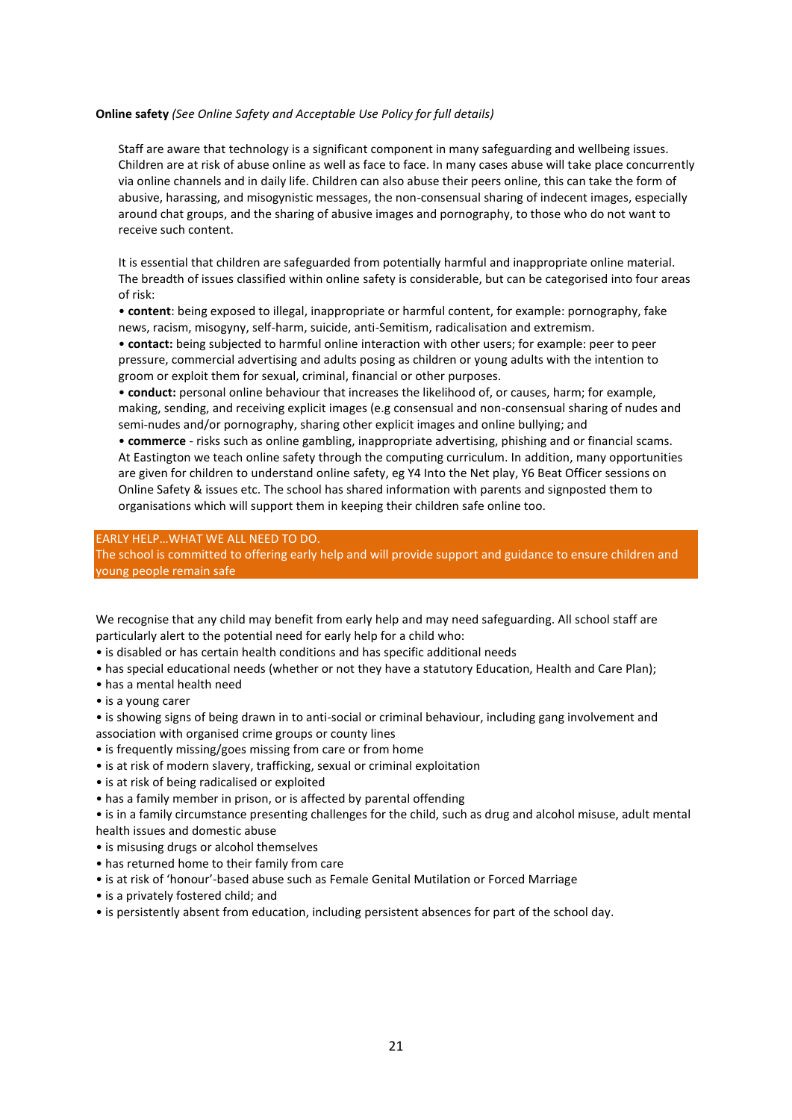#### **Online safety** *(See Online Safety and Acceptable Use Policy for full details)*

Staff are aware that technology is a significant component in many safeguarding and wellbeing issues. Children are at risk of abuse online as well as face to face. In many cases abuse will take place concurrently via online channels and in daily life. Children can also abuse their peers online, this can take the form of abusive, harassing, and misogynistic messages, the non-consensual sharing of indecent images, especially around chat groups, and the sharing of abusive images and pornography, to those who do not want to receive such content.

It is essential that children are safeguarded from potentially harmful and inappropriate online material. The breadth of issues classified within online safety is considerable, but can be categorised into four areas of risk:

• **content**: being exposed to illegal, inappropriate or harmful content, for example: pornography, fake news, racism, misogyny, self-harm, suicide, anti-Semitism, radicalisation and extremism.

• **contact:** being subjected to harmful online interaction with other users; for example: peer to peer pressure, commercial advertising and adults posing as children or young adults with the intention to groom or exploit them for sexual, criminal, financial or other purposes.

• **conduct:** personal online behaviour that increases the likelihood of, or causes, harm; for example, making, sending, and receiving explicit images (e.g consensual and non-consensual sharing of nudes and semi-nudes and/or pornography, sharing other explicit images and online bullying; and

• **commerce** - risks such as online gambling, inappropriate advertising, phishing and or financial scams. At Eastington we teach online safety through the computing curriculum. In addition, many opportunities are given for children to understand online safety, eg Y4 Into the Net play, Y6 Beat Officer sessions on Online Safety & issues etc. The school has shared information with parents and signposted them to organisations which will support them in keeping their children safe online too.

## EARLY HELP…WHAT WE ALL NEED TO DO.

The school is committed to offering early help and will provide support and guidance to ensure children and young people remain safe

We recognise that any child may benefit from early help and may need safeguarding. All school staff are particularly alert to the potential need for early help for a child who:

- is disabled or has certain health conditions and has specific additional needs
- has special educational needs (whether or not they have a statutory Education, Health and Care Plan);
- has a mental health need
- is a young carer

• is showing signs of being drawn in to anti-social or criminal behaviour, including gang involvement and association with organised crime groups or county lines

- is frequently missing/goes missing from care or from home
- is at risk of modern slavery, trafficking, sexual or criminal exploitation
- is at risk of being radicalised or exploited
- has a family member in prison, or is affected by parental offending

• is in a family circumstance presenting challenges for the child, such as drug and alcohol misuse, adult mental health issues and domestic abuse

- is misusing drugs or alcohol themselves
- has returned home to their family from care
- is at risk of 'honour'-based abuse such as Female Genital Mutilation or Forced Marriage
- is a privately fostered child; and
- is persistently absent from education, including persistent absences for part of the school day.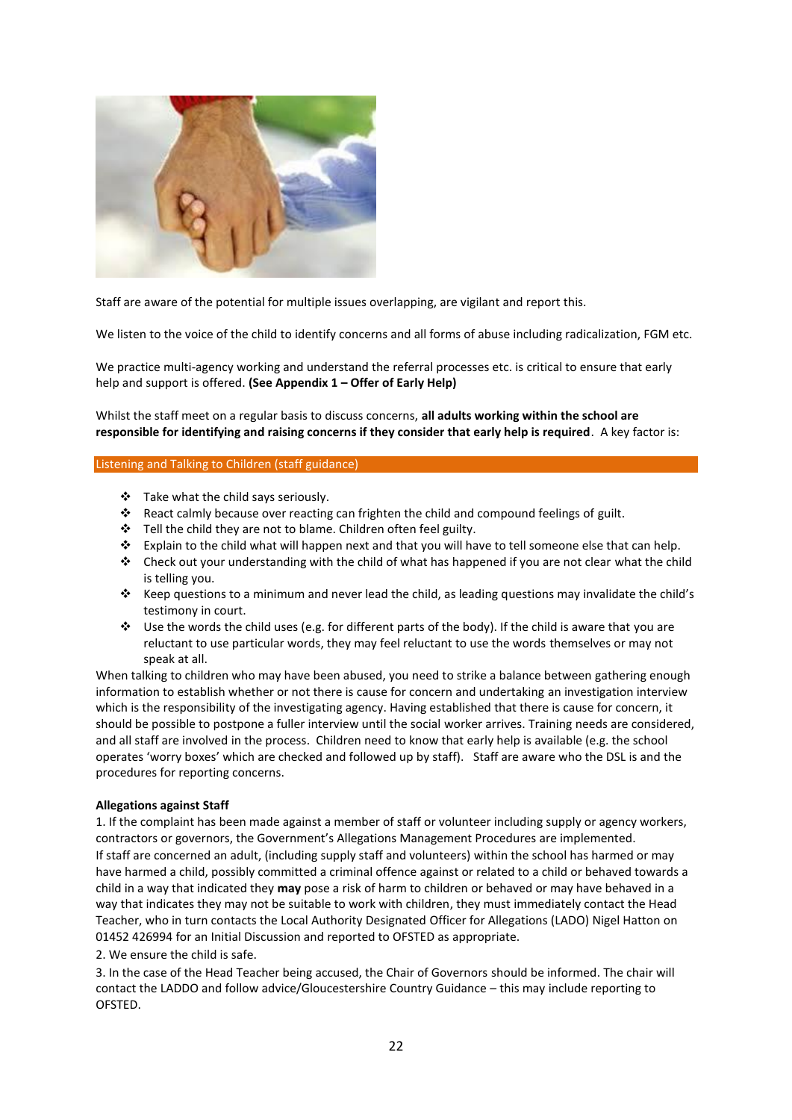

Staff are aware of the potential for multiple issues overlapping, are vigilant and report this.

We listen to the voice of the child to identify concerns and all forms of abuse including radicalization, FGM etc.

We practice multi-agency working and understand the referral processes etc. is critical to ensure that early help and support is offered. **(See Appendix 1 – Offer of Early Help)**

Whilst the staff meet on a regular basis to discuss concerns, **all adults working within the school are responsible for identifying and raising concerns if they consider that early help is required**. A key factor is:

## Listening and Talking to Children (staff guidance)

- ❖ Take what the child says seriously.
- ❖ React calmly because over reacting can frighten the child and compound feelings of guilt.
- ❖ Tell the child they are not to blame. Children often feel guilty.
- ❖ Explain to the child what will happen next and that you will have to tell someone else that can help.
- ❖ Check out your understanding with the child of what has happened if you are not clear what the child is telling you.
- ❖ Keep questions to a minimum and never lead the child, as leading questions may invalidate the child's testimony in court.
- ❖ Use the words the child uses (e.g. for different parts of the body). If the child is aware that you are reluctant to use particular words, they may feel reluctant to use the words themselves or may not speak at all.

When talking to children who may have been abused, you need to strike a balance between gathering enough information to establish whether or not there is cause for concern and undertaking an investigation interview which is the responsibility of the investigating agency. Having established that there is cause for concern, it should be possible to postpone a fuller interview until the social worker arrives. Training needs are considered, and all staff are involved in the process. Children need to know that early help is available (e.g. the school operates 'worry boxes' which are checked and followed up by staff). Staff are aware who the DSL is and the procedures for reporting concerns.

## **Allegations against Staff**

1. If the complaint has been made against a member of staff or volunteer including supply or agency workers, contractors or governors, the Government's Allegations Management Procedures are implemented. If staff are concerned an adult, (including supply staff and volunteers) within the school has harmed or may have harmed a child, possibly committed a criminal offence against or related to a child or behaved towards a child in a way that indicated they **may** pose a risk of harm to children or behaved or may have behaved in a way that indicates they may not be suitable to work with children, they must immediately contact the Head Teacher, who in turn contacts the Local Authority Designated Officer for Allegations (LADO) Nigel Hatton on 01452 426994 for an Initial Discussion and reported to OFSTED as appropriate.

2. We ensure the child is safe.

3. In the case of the Head Teacher being accused, the Chair of Governors should be informed. The chair will contact the LADDO and follow advice/Gloucestershire Country Guidance – this may include reporting to OFSTED.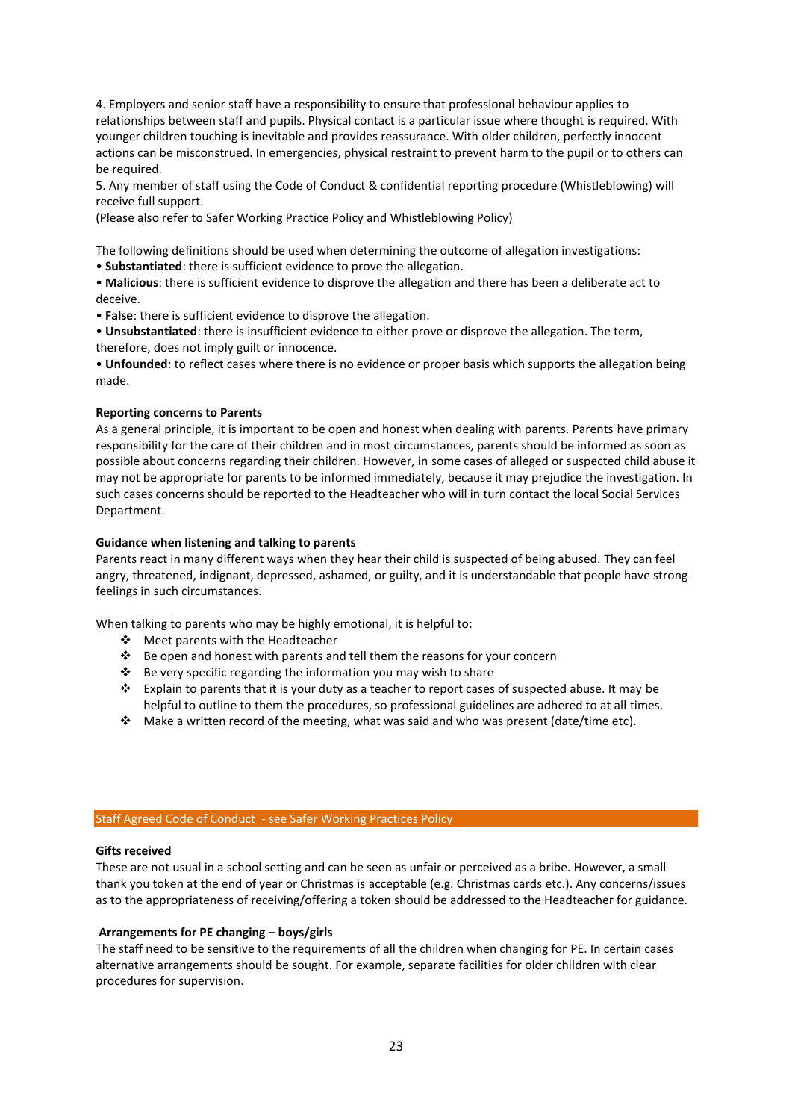4. Employers and senior staff have a responsibility to ensure that professional behaviour applies to relationships between staff and pupils. Physical contact is a particular issue where thought is required. With younger children touching is inevitable and provides reassurance. With older children, perfectly innocent actions can be misconstrued. In emergencies, physical restraint to prevent harm to the pupil or to others can be required.

5. Any member of staff using the Code of Conduct & confidential reporting procedure (Whistleblowing) will receive full support.

(Please also refer to Safer Working Practice Policy and Whistleblowing Policy)

The following definitions should be used when determining the outcome of allegation investigations:

• **Substantiated**: there is sufficient evidence to prove the allegation.

• **Malicious**: there is sufficient evidence to disprove the allegation and there has been a deliberate act to deceive.

• **False**: there is sufficient evidence to disprove the allegation.

• **Unsubstantiated**: there is insufficient evidence to either prove or disprove the allegation. The term, therefore, does not imply guilt or innocence.

• **Unfounded**: to reflect cases where there is no evidence or proper basis which supports the allegation being made.

## **Reporting concerns to Parents**

As a general principle, it is important to be open and honest when dealing with parents. Parents have primary responsibility for the care of their children and in most circumstances, parents should be informed as soon as possible about concerns regarding their children. However, in some cases of alleged or suspected child abuse it may not be appropriate for parents to be informed immediately, because it may prejudice the investigation. In such cases concerns should be reported to the Headteacher who will in turn contact the local Social Services Department.

## **Guidance when listening and talking to parents**

Parents react in many different ways when they hear their child is suspected of being abused. They can feel angry, threatened, indignant, depressed, ashamed, or guilty, and it is understandable that people have strong feelings in such circumstances.

When talking to parents who may be highly emotional, it is helpful to:

- ❖ Meet parents with the Headteacher
- ❖ Be open and honest with parents and tell them the reasons for your concern
- ❖ Be very specific regarding the information you may wish to share
- ❖ Explain to parents that it is your duty as a teacher to report cases of suspected abuse. It may be helpful to outline to them the procedures, so professional guidelines are adhered to at all times.
- ❖ Make a written record of the meeting, what was said and who was present (date/time etc).

## Staff Agreed Code of Conduct - see Safer Working Practices Policy

## **Gifts received**

These are not usual in a school setting and can be seen as unfair or perceived as a bribe. However, a small thank you token at the end of year or Christmas is acceptable (e.g. Christmas cards etc.). Any concerns/issues as to the appropriateness of receiving/offering a token should be addressed to the Headteacher for guidance.

#### **Arrangements for PE changing – boys/girls**

The staff need to be sensitive to the requirements of all the children when changing for PE. In certain cases alternative arrangements should be sought. For example, separate facilities for older children with clear procedures for supervision.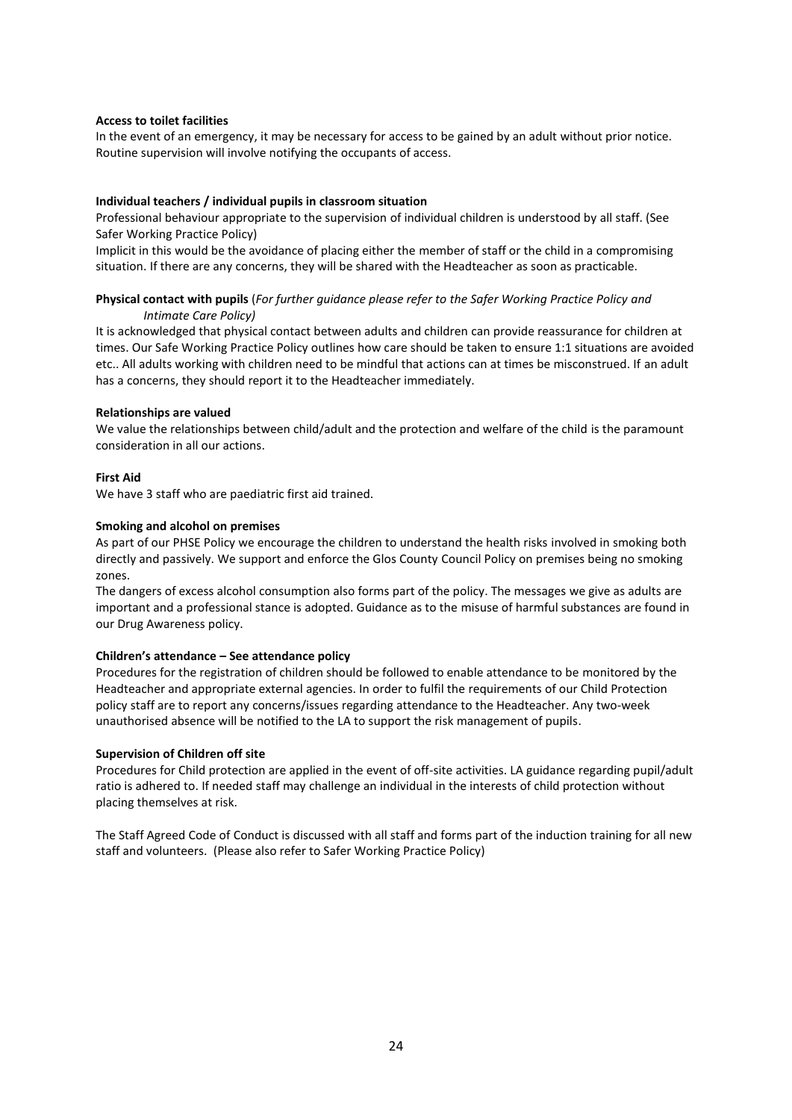## **Access to toilet facilities**

In the event of an emergency, it may be necessary for access to be gained by an adult without prior notice. Routine supervision will involve notifying the occupants of access.

## **Individual teachers / individual pupils in classroom situation**

Professional behaviour appropriate to the supervision of individual children is understood by all staff. (See Safer Working Practice Policy)

Implicit in this would be the avoidance of placing either the member of staff or the child in a compromising situation. If there are any concerns, they will be shared with the Headteacher as soon as practicable.

## **Physical contact with pupils** (*For further guidance please refer to the Safer Working Practice Policy and*

## *Intimate Care Policy)*

It is acknowledged that physical contact between adults and children can provide reassurance for children at times. Our Safe Working Practice Policy outlines how care should be taken to ensure 1:1 situations are avoided etc.. All adults working with children need to be mindful that actions can at times be misconstrued. If an adult has a concerns, they should report it to the Headteacher immediately.

## **Relationships are valued**

We value the relationships between child/adult and the protection and welfare of the child is the paramount consideration in all our actions.

## **First Aid**

We have 3 staff who are paediatric first aid trained.

## **Smoking and alcohol on premises**

As part of our PHSE Policy we encourage the children to understand the health risks involved in smoking both directly and passively. We support and enforce the Glos County Council Policy on premises being no smoking zones.

The dangers of excess alcohol consumption also forms part of the policy. The messages we give as adults are important and a professional stance is adopted. Guidance as to the misuse of harmful substances are found in our Drug Awareness policy.

## **Children's attendance – See attendance policy**

Procedures for the registration of children should be followed to enable attendance to be monitored by the Headteacher and appropriate external agencies. In order to fulfil the requirements of our Child Protection policy staff are to report any concerns/issues regarding attendance to the Headteacher. Any two-week unauthorised absence will be notified to the LA to support the risk management of pupils.

## **Supervision of Children off site**

Procedures for Child protection are applied in the event of off-site activities. LA guidance regarding pupil/adult ratio is adhered to. If needed staff may challenge an individual in the interests of child protection without placing themselves at risk.

The Staff Agreed Code of Conduct is discussed with all staff and forms part of the induction training for all new staff and volunteers. (Please also refer to Safer Working Practice Policy)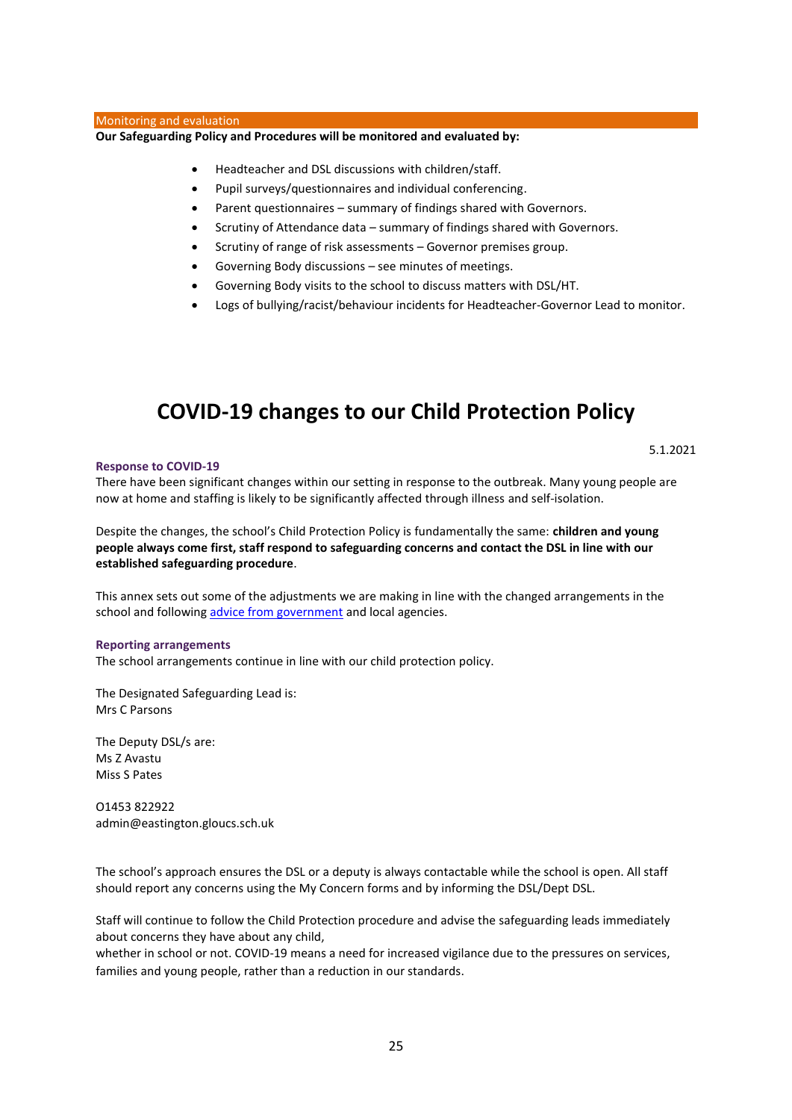#### Monitoring and evaluation

**Our Safeguarding Policy and Procedures will be monitored and evaluated by:**

- Headteacher and DSL discussions with children/staff.
- Pupil surveys/questionnaires and individual conferencing.
- Parent questionnaires summary of findings shared with Governors.
- Scrutiny of Attendance data summary of findings shared with Governors.
- Scrutiny of range of risk assessments Governor premises group.
- Governing Body discussions see minutes of meetings.
- Governing Body visits to the school to discuss matters with DSL/HT.
- Logs of bullying/racist/behaviour incidents for Headteacher-Governor Lead to monitor.

# **COVID-19 changes to our Child Protection Policy**

#### **Response to COVID-19**

5.1.2021

There have been significant changes within our setting in response to the outbreak. Many young people are now at home and staffing is likely to be significantly affected through illness and self-isolation.

Despite the changes, the school's Child Protection Policy is fundamentally the same: **children and young people always come first, staff respond to safeguarding concerns and contact the DSL in line with our established safeguarding procedure**.

This annex sets out some of the adjustments we are making in line with the changed arrangements in the school and following [advice from government](https://www.gov.uk/government/publications/covid-19-safeguarding-in-schools-colleges-and-other-providers/coronavirus-covid-19-safeguarding-in-schools-colleges-and-other-providers) and local agencies.

#### **Reporting arrangements**

The school arrangements continue in line with our child protection policy.

The Designated Safeguarding Lead is: Mrs C Parsons

The Deputy DSL/s are: Ms Z Avastu Miss S Pates

O1453 822922 admin@eastington.gloucs.sch.uk

The school's approach ensures the DSL or a deputy is always contactable while the school is open. All staff should report any concerns using the My Concern forms and by informing the DSL/Dept DSL.

Staff will continue to follow the Child Protection procedure and advise the safeguarding leads immediately about concerns they have about any child,

whether in school or not. COVID-19 means a need for increased vigilance due to the pressures on services, families and young people, rather than a reduction in our standards.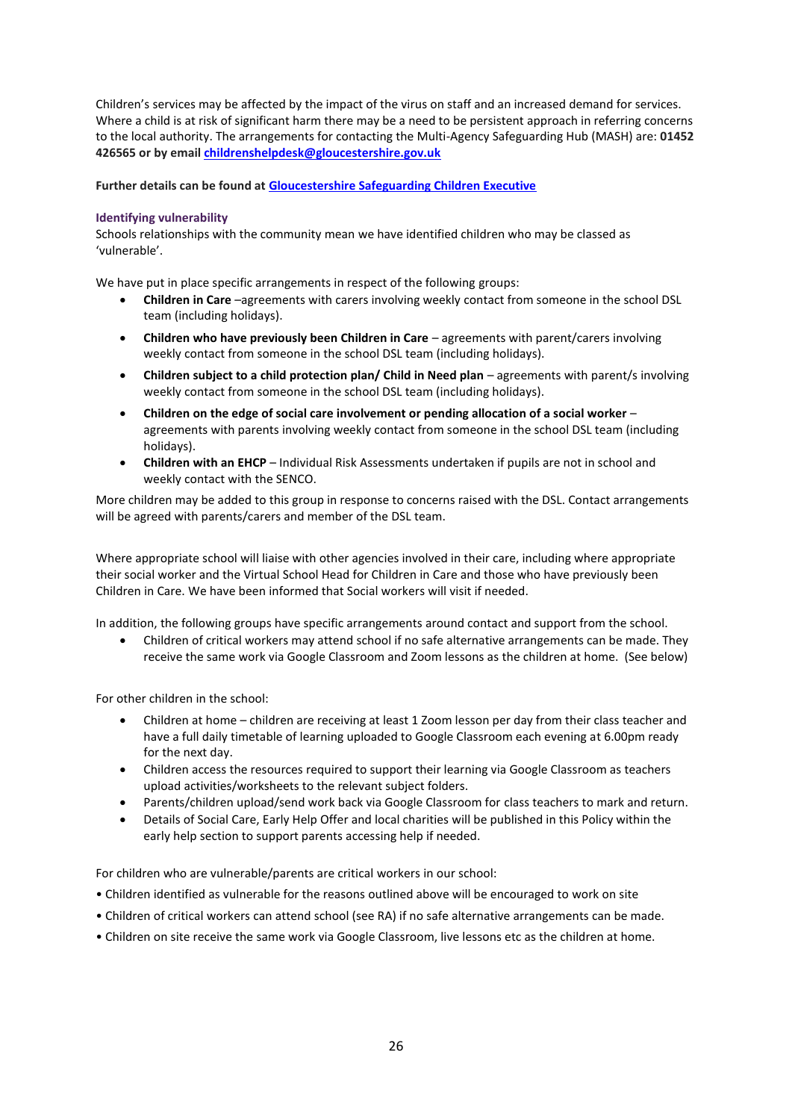Children's services may be affected by the impact of the virus on staff and an increased demand for services. Where a child is at risk of significant harm there may be a need to be persistent approach in referring concerns to the local authority. The arrangements for contacting the Multi-Agency Safeguarding Hub (MASH) are: **01452 426565 or by emai[l childrenshelpdesk@gloucestershire.gov.uk](mailto:childrenshelpdesk@gloucestershire.gov.uk)**

**Further details can be found at [Gloucestershire Safeguarding Children Executive](https://www.gscb.org.uk/i-work-with-children-young-people-and-parents/guidance-for-working-with-children-and-young-people/)**

## **Identifying vulnerability**

Schools relationships with the community mean we have identified children who may be classed as 'vulnerable'.

We have put in place specific arrangements in respect of the following groups:

- **Children in Care** –agreements with carers involving weekly contact from someone in the school DSL team (including holidays).
- **Children who have previously been Children in Care** agreements with parent/carers involving weekly contact from someone in the school DSL team (including holidays).
- **Children subject to a child protection plan/ Child in Need plan** agreements with parent/s involving weekly contact from someone in the school DSL team (including holidays).
- **Children on the edge of social care involvement or pending allocation of a social worker** agreements with parents involving weekly contact from someone in the school DSL team (including holidays).
- **Children with an EHCP** Individual Risk Assessments undertaken if pupils are not in school and weekly contact with the SENCO.

More children may be added to this group in response to concerns raised with the DSL. Contact arrangements will be agreed with parents/carers and member of the DSL team.

Where appropriate school will liaise with other agencies involved in their care, including where appropriate their social worker and the Virtual School Head for Children in Care and those who have previously been Children in Care. We have been informed that Social workers will visit if needed.

In addition, the following groups have specific arrangements around contact and support from the school.

• Children of critical workers may attend school if no safe alternative arrangements can be made. They receive the same work via Google Classroom and Zoom lessons as the children at home. (See below)

For other children in the school:

- Children at home children are receiving at least 1 Zoom lesson per day from their class teacher and have a full daily timetable of learning uploaded to Google Classroom each evening at 6.00pm ready for the next day.
- Children access the resources required to support their learning via Google Classroom as teachers upload activities/worksheets to the relevant subject folders.
- Parents/children upload/send work back via Google Classroom for class teachers to mark and return.
- Details of Social Care, Early Help Offer and local charities will be published in this Policy within the early help section to support parents accessing help if needed.

For children who are vulnerable/parents are critical workers in our school:

- Children identified as vulnerable for the reasons outlined above will be encouraged to work on site
- Children of critical workers can attend school (see RA) if no safe alternative arrangements can be made.
- Children on site receive the same work via Google Classroom, live lessons etc as the children at home.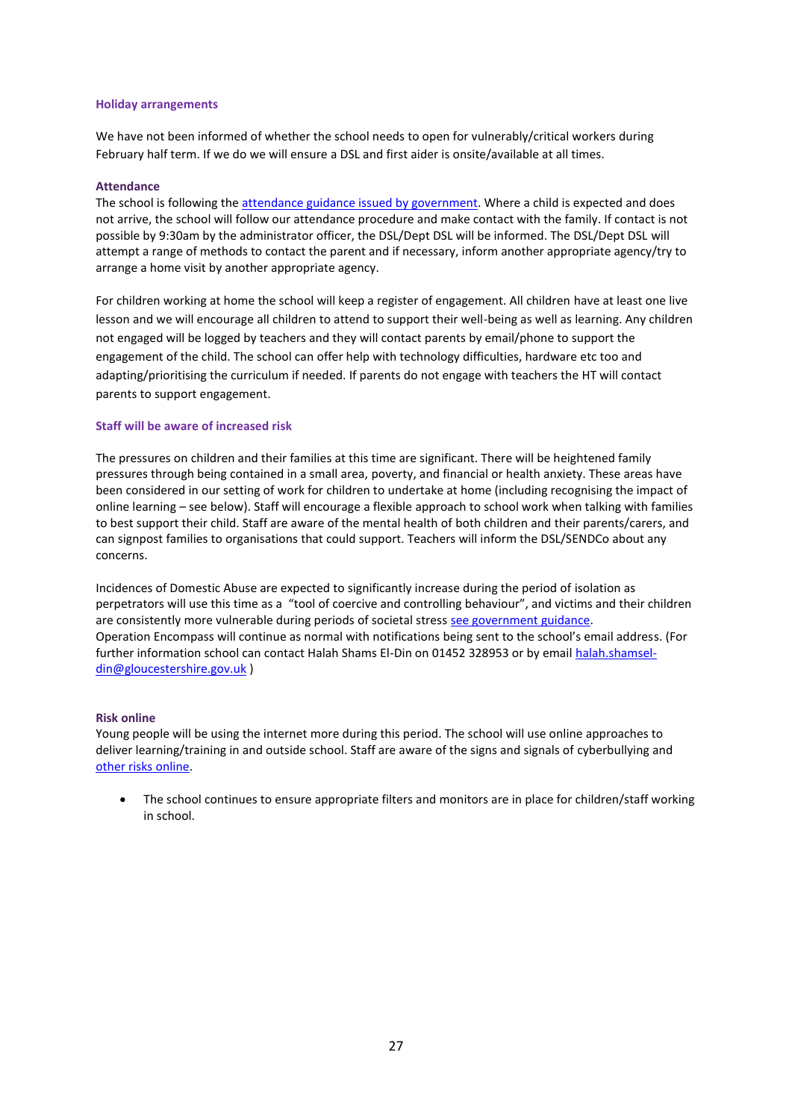#### **Holiday arrangements**

We have not been informed of whether the school needs to open for vulnerably/critical workers during February half term. If we do we will ensure a DSL and first aider is onsite/available at all times.

#### **Attendance**

The school is following the [attendance guidance issued by government.](https://www.gov.uk/government/publications/coronavirus-covid-19-attendance-recording-for-educational-settings) Where a child is expected and does not arrive, the school will follow our attendance procedure and make contact with the family. If contact is not possible by 9:30am by the administrator officer, the DSL/Dept DSL will be informed. The DSL/Dept DSL will attempt a range of methods to contact the parent and if necessary, inform another appropriate agency/try to arrange a home visit by another appropriate agency.

For children working at home the school will keep a register of engagement. All children have at least one live lesson and we will encourage all children to attend to support their well-being as well as learning. Any children not engaged will be logged by teachers and they will contact parents by email/phone to support the engagement of the child. The school can offer help with technology difficulties, hardware etc too and adapting/prioritising the curriculum if needed. If parents do not engage with teachers the HT will contact parents to support engagement.

## **Staff will be aware of increased risk**

The pressures on children and their families at this time are significant. There will be heightened family pressures through being contained in a small area, poverty, and financial or health anxiety. These areas have been considered in our setting of work for children to undertake at home (including recognising the impact of online learning – see below). Staff will encourage a flexible approach to school work when talking with families to best support their child. Staff are aware of the mental health of both children and their parents/carers, and can signpost families to organisations that could support. Teachers will inform the DSL/SENDCo about any concerns.

Incidences of Domestic Abuse are expected to significantly increase during the period of isolation as perpetrators will use this time as a "tool of coercive and controlling behaviour", and victims and their children are consistently more vulnerable during periods of societal stres[s see government guidance.](https://www.gov.uk/guidance/domestic-abuse-how-to-get-help?utm_source=9edb434c-8bd7-4ca1-b369-97fee02097fe&utm_medium=email&utm_campaign=govuk-notifications&utm_content=immediate) Operation Encompass will continue as normal with notifications being sent to the school's email address. (For further information school can contact Halah Shams El-Din on 01452 328953 or by email [halah.shamsel](mailto:halah.shamsel-din@gloucestershire.gov.uk)[din@gloucestershire.gov.uk](mailto:halah.shamsel-din@gloucestershire.gov.uk) )

#### **Risk online**

Young people will be using the internet more during this period. The school will use online approaches to deliver learning/training in and outside school. Staff are aware of the signs and signals of cyberbullying and [other risks online.](https://www.nspcc.org.uk/keeping-children-safe/online-safety/)

• The school continues to ensure appropriate filters and monitors are in place for children/staff working in school.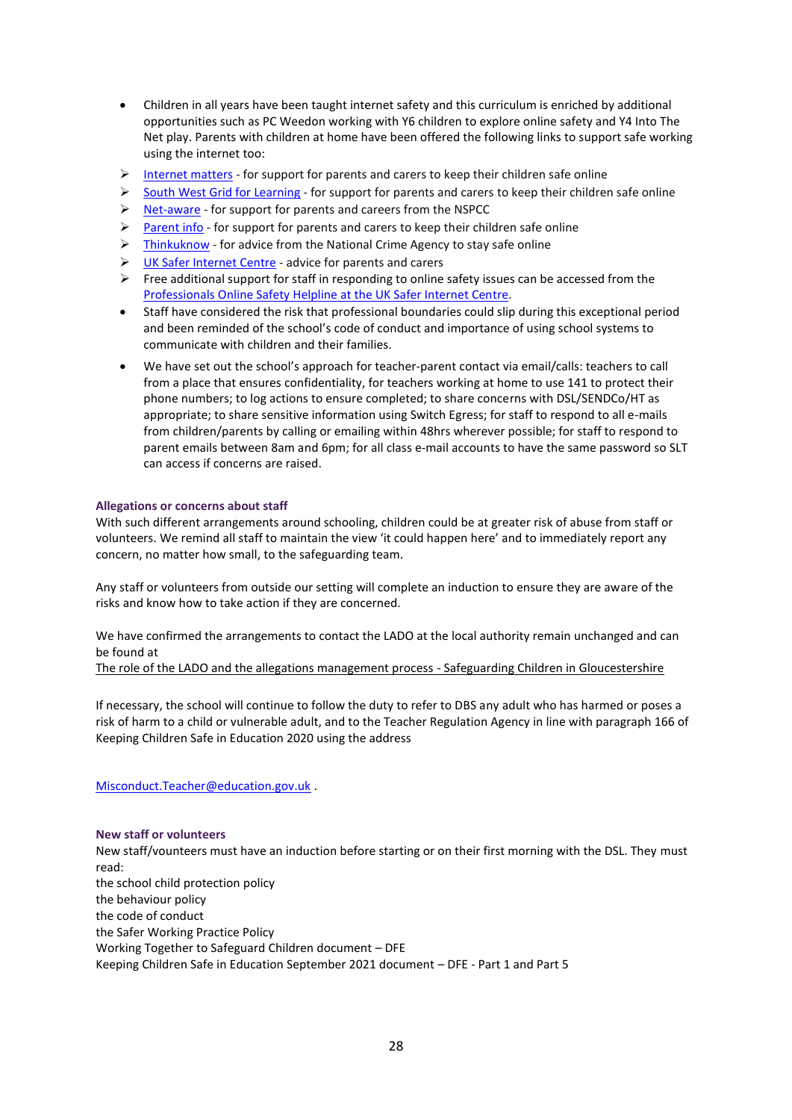- Children in all years have been taught internet safety and this curriculum is enriched by additional opportunities such as PC Weedon working with Y6 children to explore online safety and Y4 Into The Net play. Parents with children at home have been offered the following links to support safe working using the internet too:
- $\triangleright$  [Internet matters](https://www.internetmatters.org/?gclid=EAIaIQobChMIktuA5LWK2wIVRYXVCh2afg2aEAAYASAAEgIJ5vD_BwE) for support for parents and carers to keep their children safe online
- $\triangleright$  [South West Grid for Learning](https://swgfl.org.uk/) for support for parents and carers to keep their children safe online
- ➢ [Net-aware](https://www.net-aware.org.uk/) for support for parents and careers from the NSPCC
- $\triangleright$  [Parent info](https://parentinfo.org/favicon.ico) for support for parents and carers to keep their children safe online
- $\triangleright$  [Thinkuknow](https://www.thinkuknow.co.uk/) for advice from the National Crime Agency to stay safe online
- ➢ [UK Safer Internet Centre](https://www.saferinternet.org.uk/) advice for parents and carers
- $\triangleright$  Free additional support for staff in responding to online safety issues can be accessed from the [Professionals Online Safety Helpline at the UK Safer Internet Centre.](https://www.saferinternet.org.uk/helpline/professionals-online-safety-helpline)
- Staff have considered the risk that professional boundaries could slip during this exceptional period and been reminded of the school's code of conduct and importance of using school systems to communicate with children and their families.
- We have set out the school's approach for teacher-parent contact via email/calls: teachers to call from a place that ensures confidentiality, for teachers working at home to use 141 to protect their phone numbers; to log actions to ensure completed; to share concerns with DSL/SENDCo/HT as appropriate; to share sensitive information using Switch Egress; for staff to respond to all e-mails from children/parents by calling or emailing within 48hrs wherever possible; for staff to respond to parent emails between 8am and 6pm; for all class e-mail accounts to have the same password so SLT can access if concerns are raised.

## **Allegations or concerns about staff**

With such different arrangements around schooling, children could be at greater risk of abuse from staff or volunteers. We remind all staff to maintain the view 'it could happen here' and to immediately report any concern, no matter how small, to the safeguarding team.

Any staff or volunteers from outside our setting will complete an induction to ensure they are aware of the risks and know how to take action if they are concerned.

We have confirmed the arrangements to contact the LADO at the local authority remain unchanged and can be found at

[The role of the LADO and the allegations management process -](https://www.gscb.org.uk/i-work-with-children-young-people-and-parents/the-role-of-the-lado-and-the-allegations-management-process/) Safeguarding Children in Gloucestershire

If necessary, the school will continue to follow the duty to refer to DBS any adult who has harmed or poses a risk of harm to a child or vulnerable adult, and to the Teacher Regulation Agency in line with paragraph 166 of Keeping Children Safe in Education 2020 using the address

[Misconduct.Teacher@education.gov.uk](mailto:Misconduct.Teacher@education.gov.uk) .

#### **New staff or volunteers**

New staff/vounteers must have an induction before starting or on their first morning with the DSL. They must read: the school child protection policy the behaviour policy the code of conduct the Safer Working Practice Policy

Working Together to Safeguard Children document – DFE

Keeping Children Safe in Education September 2021 document – DFE - Part 1 and Part 5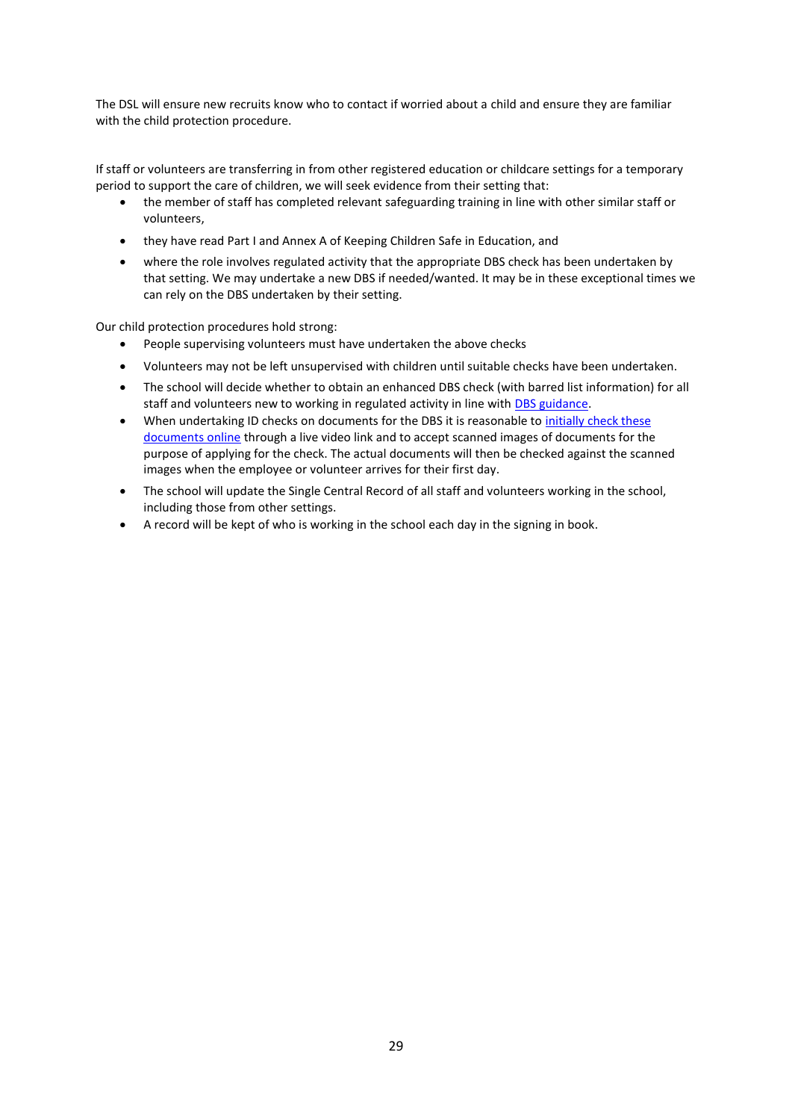The DSL will ensure new recruits know who to contact if worried about a child and ensure they are familiar with the child protection procedure.

If staff or volunteers are transferring in from other registered education or childcare settings for a temporary period to support the care of children, we will seek evidence from their setting that:

- the member of staff has completed relevant safeguarding training in line with other similar staff or volunteers,
- they have read Part I and Annex A of Keeping Children Safe in Education, and
- where the role involves regulated activity that the appropriate DBS check has been undertaken by that setting. We may undertake a new DBS if needed/wanted. It may be in these exceptional times we can rely on the DBS undertaken by their setting.

Our child protection procedures hold strong:

- People supervising volunteers must have undertaken the above checks
- Volunteers may not be left unsupervised with children until suitable checks have been undertaken.
- The school will decide whether to obtain an enhanced DBS check (with barred list information) for all staff and volunteers new to working in regulated activity in line with [DBS guidance.](https://www.gov.uk/government/collections/dbs-eligibility-guidance)
- When undertaking ID checks on documents for the DBS it is reasonable to [initially check these](https://www.gov.uk/government/news/covid-19-changes-to-dbs-id-checking-guidelines)  [documents online](https://www.gov.uk/government/news/covid-19-changes-to-dbs-id-checking-guidelines) through a live video link and to accept scanned images of documents for the purpose of applying for the check. The actual documents will then be checked against the scanned images when the employee or volunteer arrives for their first day.
- The school will update the Single Central Record of all staff and volunteers working in the school, including those from other settings.
- A record will be kept of who is working in the school each day in the signing in book.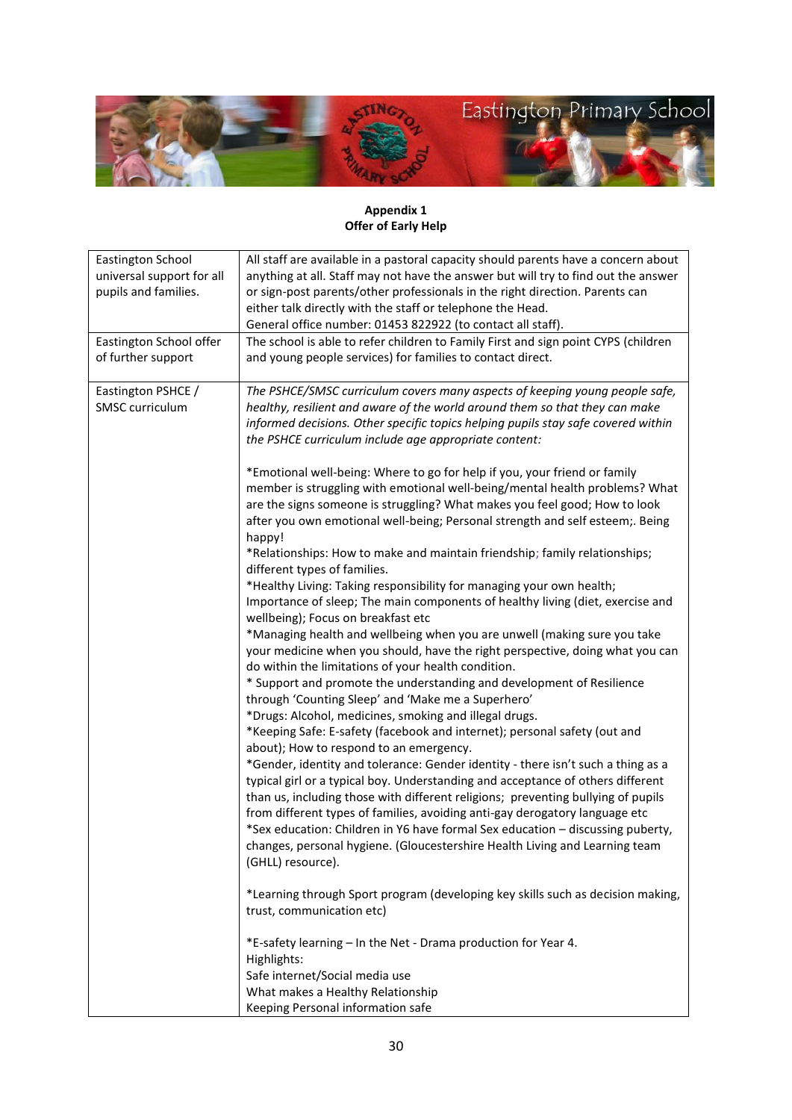

## **Appendix 1 Offer of Early Help**

| <b>Eastington School</b><br>universal support for all<br>pupils and families. | All staff are available in a pastoral capacity should parents have a concern about<br>anything at all. Staff may not have the answer but will try to find out the answer<br>or sign-post parents/other professionals in the right direction. Parents can<br>either talk directly with the staff or telephone the Head.<br>General office number: 01453 822922 (to contact all staff).                                                                                                                                        |
|-------------------------------------------------------------------------------|------------------------------------------------------------------------------------------------------------------------------------------------------------------------------------------------------------------------------------------------------------------------------------------------------------------------------------------------------------------------------------------------------------------------------------------------------------------------------------------------------------------------------|
| Eastington School offer<br>of further support                                 | The school is able to refer children to Family First and sign point CYPS (children<br>and young people services) for families to contact direct.                                                                                                                                                                                                                                                                                                                                                                             |
| Eastington PSHCE /<br>SMSC curriculum                                         | The PSHCE/SMSC curriculum covers many aspects of keeping young people safe,<br>healthy, resilient and aware of the world around them so that they can make<br>informed decisions. Other specific topics helping pupils stay safe covered within<br>the PSHCE curriculum include age appropriate content:                                                                                                                                                                                                                     |
|                                                                               | *Emotional well-being: Where to go for help if you, your friend or family<br>member is struggling with emotional well-being/mental health problems? What<br>are the signs someone is struggling? What makes you feel good; How to look<br>after you own emotional well-being; Personal strength and self esteem;. Being<br>happy!                                                                                                                                                                                            |
|                                                                               | *Relationships: How to make and maintain friendship; family relationships;<br>different types of families.<br>*Healthy Living: Taking responsibility for managing your own health;                                                                                                                                                                                                                                                                                                                                           |
|                                                                               | Importance of sleep; The main components of healthy living (diet, exercise and<br>wellbeing); Focus on breakfast etc                                                                                                                                                                                                                                                                                                                                                                                                         |
|                                                                               | *Managing health and wellbeing when you are unwell (making sure you take<br>your medicine when you should, have the right perspective, doing what you can<br>do within the limitations of your health condition.                                                                                                                                                                                                                                                                                                             |
|                                                                               | * Support and promote the understanding and development of Resilience<br>through 'Counting Sleep' and 'Make me a Superhero'                                                                                                                                                                                                                                                                                                                                                                                                  |
|                                                                               | *Drugs: Alcohol, medicines, smoking and illegal drugs.<br>*Keeping Safe: E-safety (facebook and internet); personal safety (out and<br>about); How to respond to an emergency.                                                                                                                                                                                                                                                                                                                                               |
|                                                                               | *Gender, identity and tolerance: Gender identity - there isn't such a thing as a<br>typical girl or a typical boy. Understanding and acceptance of others different<br>than us, including those with different religions; preventing bullying of pupils<br>from different types of families, avoiding anti-gay derogatory language etc<br>*Sex education: Children in Y6 have formal Sex education - discussing puberty,<br>changes, personal hygiene. (Gloucestershire Health Living and Learning team<br>(GHLL) resource). |
|                                                                               | *Learning through Sport program (developing key skills such as decision making,<br>trust, communication etc)                                                                                                                                                                                                                                                                                                                                                                                                                 |
|                                                                               | *E-safety learning - In the Net - Drama production for Year 4.<br>Highlights:                                                                                                                                                                                                                                                                                                                                                                                                                                                |
|                                                                               | Safe internet/Social media use<br>What makes a Healthy Relationship                                                                                                                                                                                                                                                                                                                                                                                                                                                          |
|                                                                               | Keeping Personal information safe                                                                                                                                                                                                                                                                                                                                                                                                                                                                                            |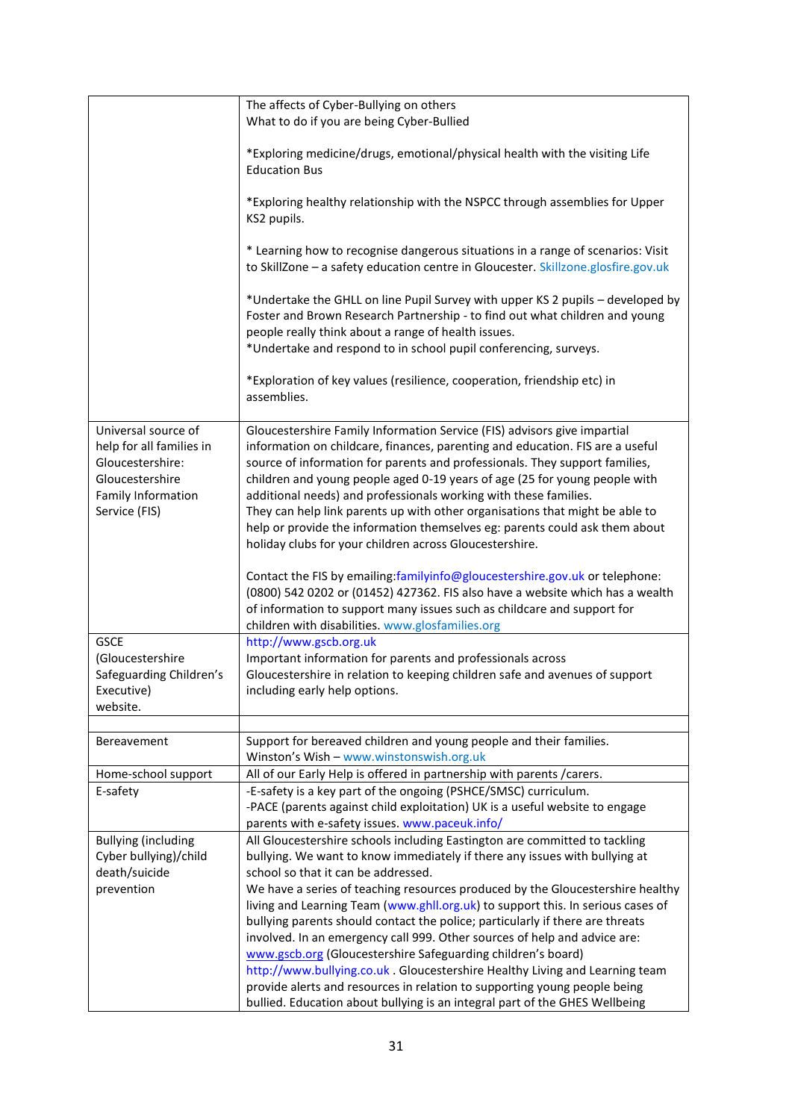|                                                                                        | The affects of Cyber-Bullying on others                                                                                                                                                                                                                                                                                |
|----------------------------------------------------------------------------------------|------------------------------------------------------------------------------------------------------------------------------------------------------------------------------------------------------------------------------------------------------------------------------------------------------------------------|
|                                                                                        | What to do if you are being Cyber-Bullied                                                                                                                                                                                                                                                                              |
|                                                                                        | *Exploring medicine/drugs, emotional/physical health with the visiting Life                                                                                                                                                                                                                                            |
|                                                                                        | <b>Education Bus</b>                                                                                                                                                                                                                                                                                                   |
|                                                                                        | *Exploring healthy relationship with the NSPCC through assemblies for Upper<br>KS2 pupils.                                                                                                                                                                                                                             |
|                                                                                        | * Learning how to recognise dangerous situations in a range of scenarios: Visit<br>to SkillZone - a safety education centre in Gloucester. Skillzone.glosfire.gov.uk                                                                                                                                                   |
|                                                                                        | *Undertake the GHLL on line Pupil Survey with upper KS 2 pupils - developed by<br>Foster and Brown Research Partnership - to find out what children and young<br>people really think about a range of health issues.                                                                                                   |
|                                                                                        | *Undertake and respond to in school pupil conferencing, surveys.                                                                                                                                                                                                                                                       |
|                                                                                        | *Exploration of key values (resilience, cooperation, friendship etc) in<br>assemblies.                                                                                                                                                                                                                                 |
|                                                                                        |                                                                                                                                                                                                                                                                                                                        |
| Universal source of<br>help for all families in<br>Gloucestershire:<br>Gloucestershire | Gloucestershire Family Information Service (FIS) advisors give impartial<br>information on childcare, finances, parenting and education. FIS are a useful<br>source of information for parents and professionals. They support families,<br>children and young people aged 0-19 years of age (25 for young people with |
| Family Information                                                                     | additional needs) and professionals working with these families.                                                                                                                                                                                                                                                       |
| Service (FIS)                                                                          | They can help link parents up with other organisations that might be able to                                                                                                                                                                                                                                           |
|                                                                                        | help or provide the information themselves eg: parents could ask them about                                                                                                                                                                                                                                            |
|                                                                                        | holiday clubs for your children across Gloucestershire.                                                                                                                                                                                                                                                                |
|                                                                                        |                                                                                                                                                                                                                                                                                                                        |
|                                                                                        | Contact the FIS by emailing:familyinfo@gloucestershire.gov.uk or telephone:                                                                                                                                                                                                                                            |
|                                                                                        | (0800) 542 0202 or (01452) 427362. FIS also have a website which has a wealth                                                                                                                                                                                                                                          |
|                                                                                        | of information to support many issues such as childcare and support for                                                                                                                                                                                                                                                |
|                                                                                        | children with disabilities. www.glosfamilies.org                                                                                                                                                                                                                                                                       |
| <b>GSCE</b>                                                                            | http://www.gscb.org.uk                                                                                                                                                                                                                                                                                                 |
| (Gloucestershire                                                                       | Important information for parents and professionals across                                                                                                                                                                                                                                                             |
| Safeguarding Children's                                                                | Gloucestershire in relation to keeping children safe and avenues of support                                                                                                                                                                                                                                            |
| Executive)                                                                             | including early help options.                                                                                                                                                                                                                                                                                          |
| website.                                                                               |                                                                                                                                                                                                                                                                                                                        |
|                                                                                        |                                                                                                                                                                                                                                                                                                                        |
| Bereavement                                                                            | Support for bereaved children and young people and their families.                                                                                                                                                                                                                                                     |
|                                                                                        | Winston's Wish - www.winstonswish.org.uk                                                                                                                                                                                                                                                                               |
| Home-school support                                                                    | All of our Early Help is offered in partnership with parents / carers.                                                                                                                                                                                                                                                 |
| E-safety                                                                               | -E-safety is a key part of the ongoing (PSHCE/SMSC) curriculum.                                                                                                                                                                                                                                                        |
|                                                                                        | -PACE (parents against child exploitation) UK is a useful website to engage                                                                                                                                                                                                                                            |
|                                                                                        | parents with e-safety issues. www.paceuk.info/                                                                                                                                                                                                                                                                         |
| <b>Bullying (including</b>                                                             | All Gloucestershire schools including Eastington are committed to tackling                                                                                                                                                                                                                                             |
| Cyber bullying)/child                                                                  | bullying. We want to know immediately if there any issues with bullying at                                                                                                                                                                                                                                             |
| death/suicide                                                                          | school so that it can be addressed.                                                                                                                                                                                                                                                                                    |
| prevention                                                                             | We have a series of teaching resources produced by the Gloucestershire healthy                                                                                                                                                                                                                                         |
|                                                                                        | living and Learning Team (www.ghll.org.uk) to support this. In serious cases of                                                                                                                                                                                                                                        |
|                                                                                        | bullying parents should contact the police; particularly if there are threats                                                                                                                                                                                                                                          |
|                                                                                        | involved. In an emergency call 999. Other sources of help and advice are:                                                                                                                                                                                                                                              |
|                                                                                        | www.gscb.org (Gloucestershire Safeguarding children's board)<br>http://www.bullying.co.uk. Gloucestershire Healthy Living and Learning team                                                                                                                                                                            |
|                                                                                        | provide alerts and resources in relation to supporting young people being                                                                                                                                                                                                                                              |
|                                                                                        | bullied. Education about bullying is an integral part of the GHES Wellbeing                                                                                                                                                                                                                                            |
|                                                                                        |                                                                                                                                                                                                                                                                                                                        |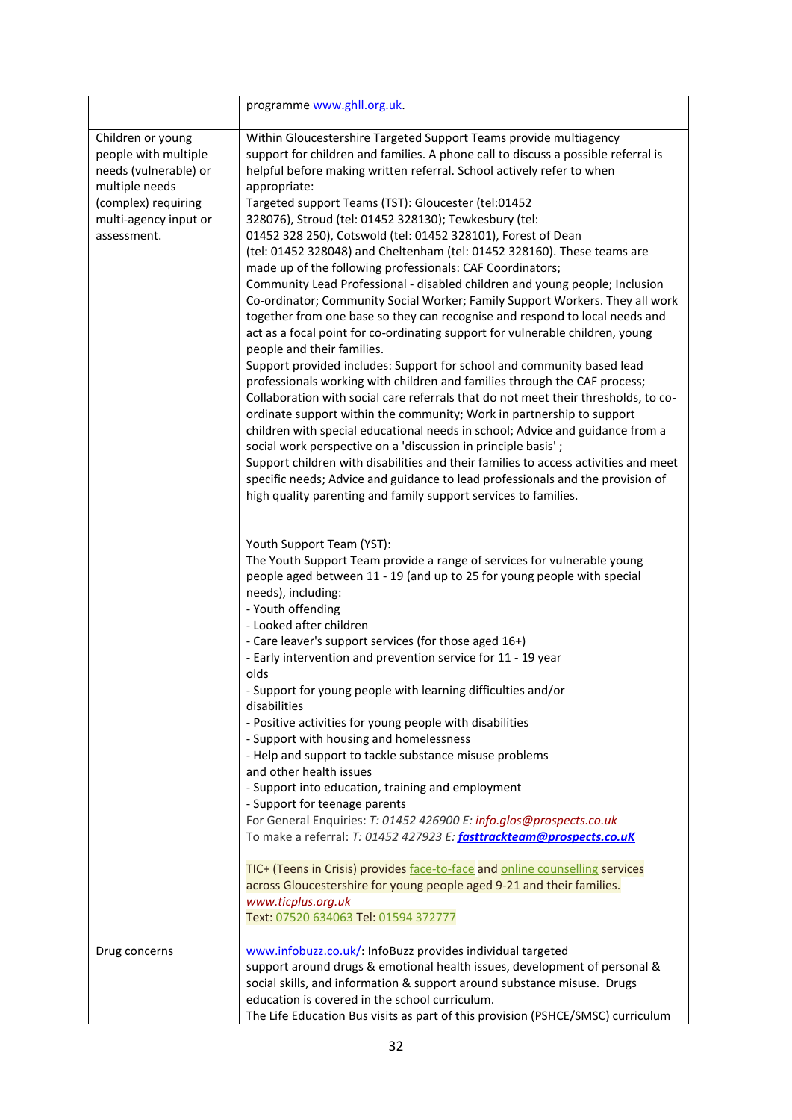|                                                                                                                                                     | programme www.ghll.org.uk.                                                                                                                                                                                                                                                                                                                                                                                                                                                                                                                                                                                                                                                                                                                                                                                                                                                                                                                                                                                                                                                                  |
|-----------------------------------------------------------------------------------------------------------------------------------------------------|---------------------------------------------------------------------------------------------------------------------------------------------------------------------------------------------------------------------------------------------------------------------------------------------------------------------------------------------------------------------------------------------------------------------------------------------------------------------------------------------------------------------------------------------------------------------------------------------------------------------------------------------------------------------------------------------------------------------------------------------------------------------------------------------------------------------------------------------------------------------------------------------------------------------------------------------------------------------------------------------------------------------------------------------------------------------------------------------|
| Children or young<br>people with multiple<br>needs (vulnerable) or<br>multiple needs<br>(complex) requiring<br>multi-agency input or<br>assessment. | Within Gloucestershire Targeted Support Teams provide multiagency<br>support for children and families. A phone call to discuss a possible referral is<br>helpful before making written referral. School actively refer to when<br>appropriate:<br>Targeted support Teams (TST): Gloucester (tel:01452<br>328076), Stroud (tel: 01452 328130); Tewkesbury (tel:<br>01452 328 250), Cotswold (tel: 01452 328101), Forest of Dean<br>(tel: 01452 328048) and Cheltenham (tel: 01452 328160). These teams are<br>made up of the following professionals: CAF Coordinators;<br>Community Lead Professional - disabled children and young people; Inclusion<br>Co-ordinator; Community Social Worker; Family Support Workers. They all work<br>together from one base so they can recognise and respond to local needs and<br>act as a focal point for co-ordinating support for vulnerable children, young<br>people and their families.<br>Support provided includes: Support for school and community based lead<br>professionals working with children and families through the CAF process; |
|                                                                                                                                                     | Collaboration with social care referrals that do not meet their thresholds, to co-<br>ordinate support within the community; Work in partnership to support<br>children with special educational needs in school; Advice and guidance from a<br>social work perspective on a 'discussion in principle basis';<br>Support children with disabilities and their families to access activities and meet<br>specific needs; Advice and guidance to lead professionals and the provision of<br>high quality parenting and family support services to families.                                                                                                                                                                                                                                                                                                                                                                                                                                                                                                                                   |
|                                                                                                                                                     | Youth Support Team (YST):<br>The Youth Support Team provide a range of services for vulnerable young<br>people aged between 11 - 19 (and up to 25 for young people with special<br>needs), including:<br>- Youth offending<br>- Looked after children<br>- Care leaver's support services (for those aged 16+)<br>- Early intervention and prevention service for 11 - 19 year<br>olds                                                                                                                                                                                                                                                                                                                                                                                                                                                                                                                                                                                                                                                                                                      |
|                                                                                                                                                     | - Support for young people with learning difficulties and/or<br>disabilities<br>- Positive activities for young people with disabilities<br>- Support with housing and homelessness<br>- Help and support to tackle substance misuse problems<br>and other health issues<br>- Support into education, training and employment<br>- Support for teenage parents<br>For General Enquiries: T: 01452 426900 E: info.glos@prospects.co.uk<br>To make a referral: T: 01452 427923 E: fasttrackteam@prospects.co.uK                                                                                                                                                                                                                                                                                                                                                                                                                                                                                                                                                                               |
|                                                                                                                                                     | TIC+ (Teens in Crisis) provides face-to-face and online counselling services<br>across Gloucestershire for young people aged 9-21 and their families.<br>www.ticplus.org.uk<br>Text: 07520 634063 Tel: 01594 372777                                                                                                                                                                                                                                                                                                                                                                                                                                                                                                                                                                                                                                                                                                                                                                                                                                                                         |
| Drug concerns                                                                                                                                       | www.infobuzz.co.uk/: InfoBuzz provides individual targeted<br>support around drugs & emotional health issues, development of personal &<br>social skills, and information & support around substance misuse. Drugs<br>education is covered in the school curriculum.<br>The Life Education Bus visits as part of this provision (PSHCE/SMSC) curriculum                                                                                                                                                                                                                                                                                                                                                                                                                                                                                                                                                                                                                                                                                                                                     |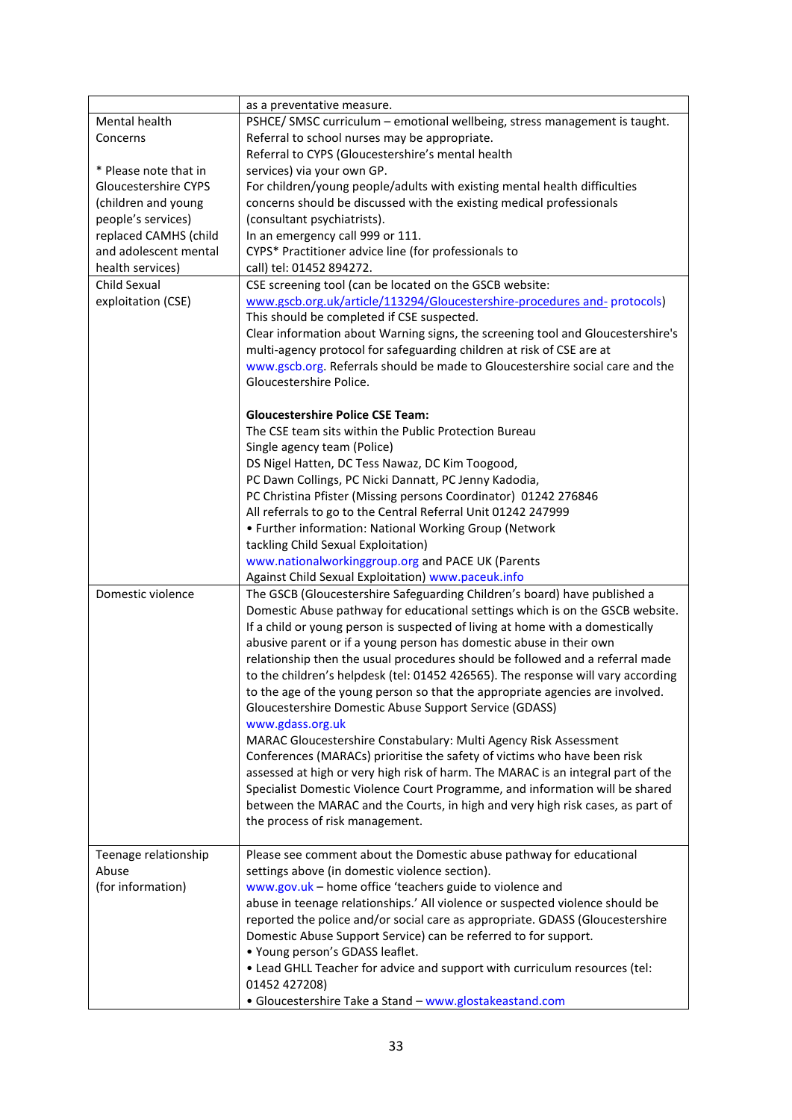|                             | as a preventative measure.                                                       |  |
|-----------------------------|----------------------------------------------------------------------------------|--|
| Mental health               | PSHCE/ SMSC curriculum - emotional wellbeing, stress management is taught.       |  |
| Concerns                    | Referral to school nurses may be appropriate.                                    |  |
|                             | Referral to CYPS (Gloucestershire's mental health                                |  |
| * Please note that in       | services) via your own GP.                                                       |  |
| <b>Gloucestershire CYPS</b> | For children/young people/adults with existing mental health difficulties        |  |
| (children and young         |                                                                                  |  |
| people's services)          | concerns should be discussed with the existing medical professionals             |  |
| replaced CAMHS (child       | (consultant psychiatrists).                                                      |  |
|                             | In an emergency call 999 or 111.                                                 |  |
| and adolescent mental       | CYPS* Practitioner advice line (for professionals to                             |  |
| health services)            | call) tel: 01452 894272.                                                         |  |
| Child Sexual                | CSE screening tool (can be located on the GSCB website:                          |  |
| exploitation (CSE)          | www.gscb.org.uk/article/113294/Gloucestershire-procedures and- protocols)        |  |
|                             | This should be completed if CSE suspected.                                       |  |
|                             | Clear information about Warning signs, the screening tool and Gloucestershire's  |  |
|                             | multi-agency protocol for safeguarding children at risk of CSE are at            |  |
|                             | www.gscb.org. Referrals should be made to Gloucestershire social care and the    |  |
|                             | Gloucestershire Police.                                                          |  |
|                             |                                                                                  |  |
|                             | <b>Gloucestershire Police CSE Team:</b>                                          |  |
|                             | The CSE team sits within the Public Protection Bureau                            |  |
|                             | Single agency team (Police)                                                      |  |
|                             | DS Nigel Hatten, DC Tess Nawaz, DC Kim Toogood,                                  |  |
|                             |                                                                                  |  |
|                             | PC Dawn Collings, PC Nicki Dannatt, PC Jenny Kadodia,                            |  |
|                             | PC Christina Pfister (Missing persons Coordinator) 01242 276846                  |  |
|                             | All referrals to go to the Central Referral Unit 01242 247999                    |  |
|                             | • Further information: National Working Group (Network                           |  |
|                             | tackling Child Sexual Exploitation)                                              |  |
|                             | www.nationalworkinggroup.org and PACE UK (Parents                                |  |
|                             | Against Child Sexual Exploitation) www.paceuk.info                               |  |
| Domestic violence           | The GSCB (Gloucestershire Safeguarding Children's board) have published a        |  |
|                             | Domestic Abuse pathway for educational settings which is on the GSCB website.    |  |
|                             | If a child or young person is suspected of living at home with a domestically    |  |
|                             | abusive parent or if a young person has domestic abuse in their own              |  |
|                             | relationship then the usual procedures should be followed and a referral made    |  |
|                             | to the children's helpdesk (tel: 01452 426565). The response will vary according |  |
|                             | to the age of the young person so that the appropriate agencies are involved.    |  |
|                             | Gloucestershire Domestic Abuse Support Service (GDASS)                           |  |
|                             |                                                                                  |  |
|                             | www.gdass.org.uk                                                                 |  |
|                             | MARAC Gloucestershire Constabulary: Multi Agency Risk Assessment                 |  |
|                             | Conferences (MARACs) prioritise the safety of victims who have been risk         |  |
|                             | assessed at high or very high risk of harm. The MARAC is an integral part of the |  |
|                             | Specialist Domestic Violence Court Programme, and information will be shared     |  |
|                             | between the MARAC and the Courts, in high and very high risk cases, as part of   |  |
|                             | the process of risk management.                                                  |  |
|                             |                                                                                  |  |
| Teenage relationship        | Please see comment about the Domestic abuse pathway for educational              |  |
| Abuse                       | settings above (in domestic violence section).                                   |  |
| (for information)           | www.gov.uk - home office 'teachers guide to violence and                         |  |
|                             | abuse in teenage relationships.' All violence or suspected violence should be    |  |
|                             | reported the police and/or social care as appropriate. GDASS (Gloucestershire    |  |
|                             | Domestic Abuse Support Service) can be referred to for support.                  |  |
|                             |                                                                                  |  |
|                             | • Young person's GDASS leaflet.                                                  |  |
|                             | • Lead GHLL Teacher for advice and support with curriculum resources (tel:       |  |
|                             | 01452 427208)                                                                    |  |
|                             | · Gloucestershire Take a Stand - www.glostakeastand.com                          |  |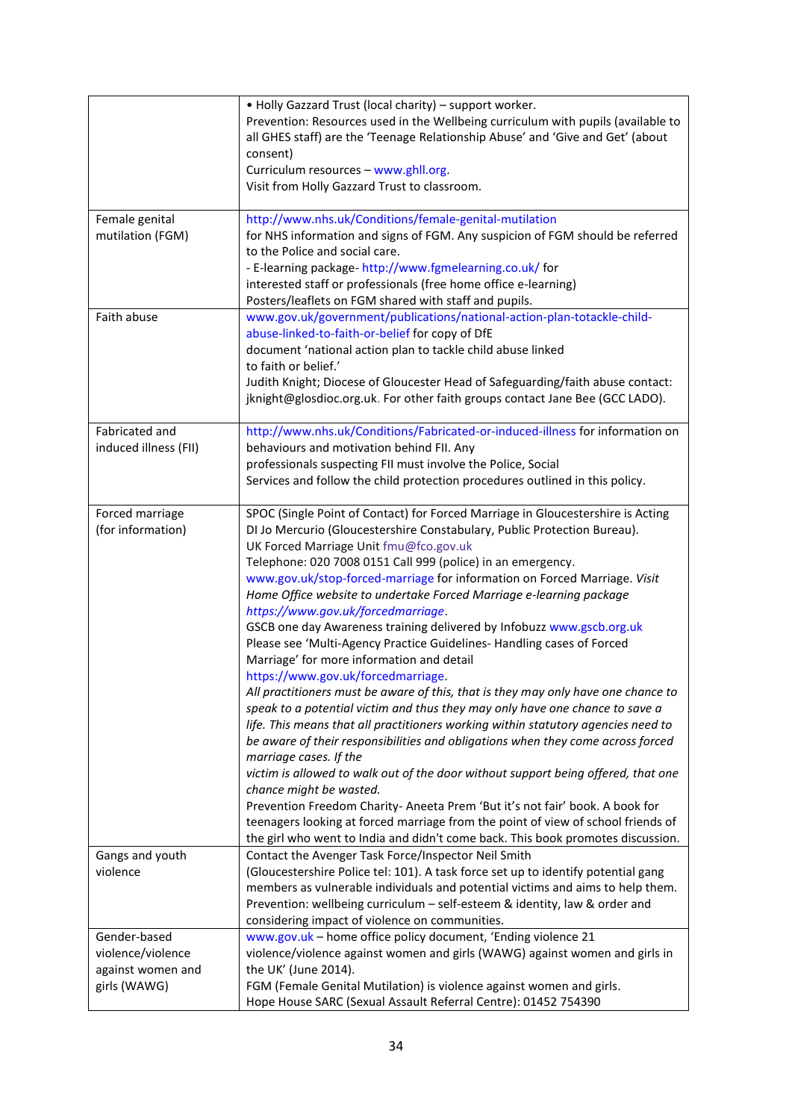|                                                                        | • Holly Gazzard Trust (local charity) – support worker.<br>Prevention: Resources used in the Wellbeing curriculum with pupils (available to<br>all GHES staff) are the 'Teenage Relationship Abuse' and 'Give and Get' (about<br>consent)<br>Curriculum resources - www.ghll.org.<br>Visit from Holly Gazzard Trust to classroom.                                                                                                                                                                                                                                                                                                                                                                                                                                                                                                                                                                                                                                                                                                                                                                                                                                                                                                                                                                                                                                                                                                                  |
|------------------------------------------------------------------------|----------------------------------------------------------------------------------------------------------------------------------------------------------------------------------------------------------------------------------------------------------------------------------------------------------------------------------------------------------------------------------------------------------------------------------------------------------------------------------------------------------------------------------------------------------------------------------------------------------------------------------------------------------------------------------------------------------------------------------------------------------------------------------------------------------------------------------------------------------------------------------------------------------------------------------------------------------------------------------------------------------------------------------------------------------------------------------------------------------------------------------------------------------------------------------------------------------------------------------------------------------------------------------------------------------------------------------------------------------------------------------------------------------------------------------------------------|
| Female genital<br>mutilation (FGM)                                     | http://www.nhs.uk/Conditions/female-genital-mutilation<br>for NHS information and signs of FGM. Any suspicion of FGM should be referred<br>to the Police and social care.<br>- E-learning package- http://www.fgmelearning.co.uk/ for<br>interested staff or professionals (free home office e-learning)<br>Posters/leaflets on FGM shared with staff and pupils.                                                                                                                                                                                                                                                                                                                                                                                                                                                                                                                                                                                                                                                                                                                                                                                                                                                                                                                                                                                                                                                                                  |
| Faith abuse                                                            | www.gov.uk/government/publications/national-action-plan-totackle-child-<br>abuse-linked-to-faith-or-belief for copy of DfE<br>document 'national action plan to tackle child abuse linked<br>to faith or belief.'<br>Judith Knight; Diocese of Gloucester Head of Safeguarding/faith abuse contact:<br>jknight@glosdioc.org.uk. For other faith groups contact Jane Bee (GCC LADO).                                                                                                                                                                                                                                                                                                                                                                                                                                                                                                                                                                                                                                                                                                                                                                                                                                                                                                                                                                                                                                                                |
| Fabricated and<br>induced illness (FII)                                | http://www.nhs.uk/Conditions/Fabricated-or-induced-illness for information on<br>behaviours and motivation behind FII. Any<br>professionals suspecting FII must involve the Police, Social<br>Services and follow the child protection procedures outlined in this policy.                                                                                                                                                                                                                                                                                                                                                                                                                                                                                                                                                                                                                                                                                                                                                                                                                                                                                                                                                                                                                                                                                                                                                                         |
| Forced marriage<br>(for information)                                   | SPOC (Single Point of Contact) for Forced Marriage in Gloucestershire is Acting<br>DI Jo Mercurio (Gloucestershire Constabulary, Public Protection Bureau).<br>UK Forced Marriage Unit fmu@fco.gov.uk<br>Telephone: 020 7008 0151 Call 999 (police) in an emergency.<br>www.gov.uk/stop-forced-marriage for information on Forced Marriage. Visit<br>Home Office website to undertake Forced Marriage e-learning package<br>https://www.gov.uk/forcedmarriage.<br>GSCB one day Awareness training delivered by Infobuzz www.gscb.org.uk<br>Please see 'Multi-Agency Practice Guidelines- Handling cases of Forced<br>Marriage' for more information and detail<br>https://www.gov.uk/forcedmarriage.<br>All practitioners must be aware of this, that is they may only have one chance to<br>speak to a potential victim and thus they may only have one chance to save a<br>life. This means that all practitioners working within statutory agencies need to<br>be aware of their responsibilities and obligations when they come across forced<br>marriage cases. If the<br>victim is allowed to walk out of the door without support being offered, that one<br>chance might be wasted.<br>Prevention Freedom Charity- Aneeta Prem 'But it's not fair' book. A book for<br>teenagers looking at forced marriage from the point of view of school friends of<br>the girl who went to India and didn't come back. This book promotes discussion. |
| Gangs and youth<br>violence                                            | Contact the Avenger Task Force/Inspector Neil Smith<br>(Gloucestershire Police tel: 101). A task force set up to identify potential gang<br>members as vulnerable individuals and potential victims and aims to help them.<br>Prevention: wellbeing curriculum - self-esteem & identity, law & order and<br>considering impact of violence on communities.                                                                                                                                                                                                                                                                                                                                                                                                                                                                                                                                                                                                                                                                                                                                                                                                                                                                                                                                                                                                                                                                                         |
| Gender-based<br>violence/violence<br>against women and<br>girls (WAWG) | www.gov.uk - home office policy document, 'Ending violence 21<br>violence/violence against women and girls (WAWG) against women and girls in<br>the UK' (June 2014).<br>FGM (Female Genital Mutilation) is violence against women and girls.<br>Hope House SARC (Sexual Assault Referral Centre): 01452 754390                                                                                                                                                                                                                                                                                                                                                                                                                                                                                                                                                                                                                                                                                                                                                                                                                                                                                                                                                                                                                                                                                                                                     |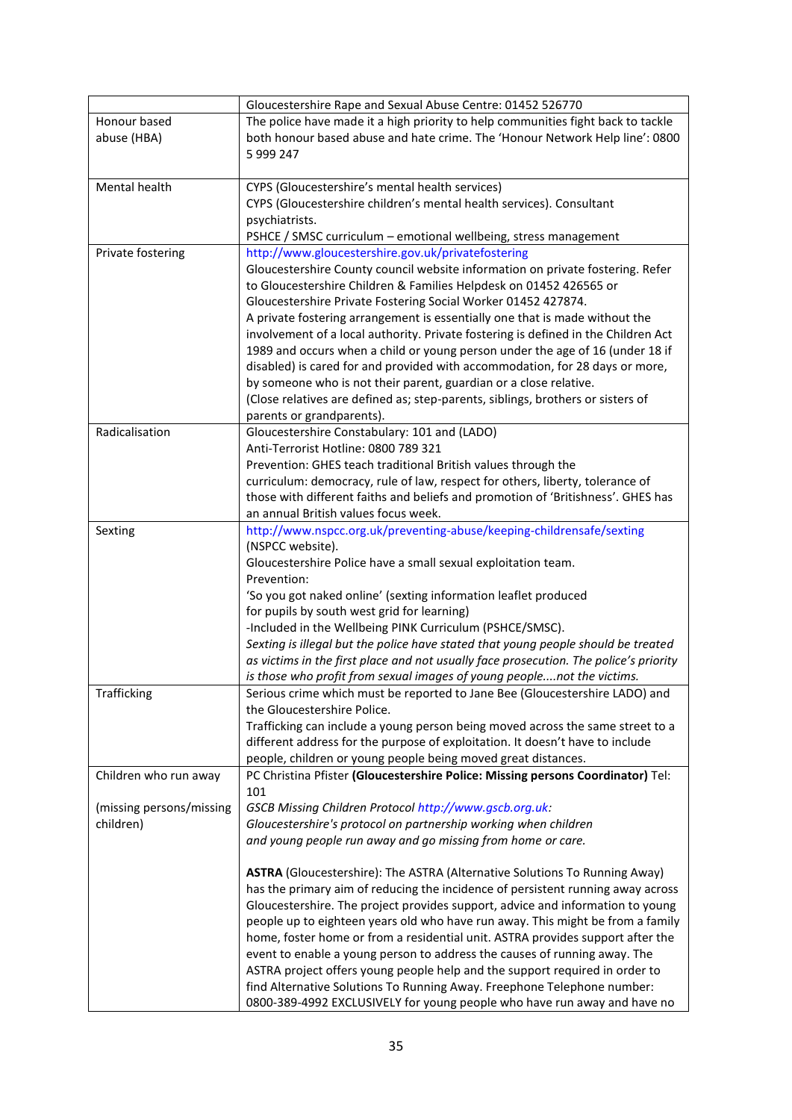|                          | Gloucestershire Rape and Sexual Abuse Centre: 01452 526770                            |
|--------------------------|---------------------------------------------------------------------------------------|
| Honour based             | The police have made it a high priority to help communities fight back to tackle      |
| abuse (HBA)              | both honour based abuse and hate crime. The 'Honour Network Help line': 0800          |
|                          | 5999247                                                                               |
|                          |                                                                                       |
| Mental health            | CYPS (Gloucestershire's mental health services)                                       |
|                          | CYPS (Gloucestershire children's mental health services). Consultant                  |
|                          | psychiatrists.                                                                        |
|                          | PSHCE / SMSC curriculum - emotional wellbeing, stress management                      |
| Private fostering        | http://www.gloucestershire.gov.uk/privatefostering                                    |
|                          | Gloucestershire County council website information on private fostering. Refer        |
|                          | to Gloucestershire Children & Families Helpdesk on 01452 426565 or                    |
|                          | Gloucestershire Private Fostering Social Worker 01452 427874.                         |
|                          | A private fostering arrangement is essentially one that is made without the           |
|                          | involvement of a local authority. Private fostering is defined in the Children Act    |
|                          |                                                                                       |
|                          | 1989 and occurs when a child or young person under the age of 16 (under 18 if         |
|                          | disabled) is cared for and provided with accommodation, for 28 days or more,          |
|                          | by someone who is not their parent, guardian or a close relative.                     |
|                          | (Close relatives are defined as; step-parents, siblings, brothers or sisters of       |
|                          | parents or grandparents).                                                             |
| Radicalisation           | Gloucestershire Constabulary: 101 and (LADO)                                          |
|                          | Anti-Terrorist Hotline: 0800 789 321                                                  |
|                          | Prevention: GHES teach traditional British values through the                         |
|                          | curriculum: democracy, rule of law, respect for others, liberty, tolerance of         |
|                          | those with different faiths and beliefs and promotion of 'Britishness'. GHES has      |
|                          | an annual British values focus week.                                                  |
| Sexting                  | http://www.nspcc.org.uk/preventing-abuse/keeping-childrensafe/sexting                 |
|                          | (NSPCC website).                                                                      |
|                          | Gloucestershire Police have a small sexual exploitation team.                         |
|                          | Prevention:                                                                           |
|                          | 'So you got naked online' (sexting information leaflet produced                       |
|                          | for pupils by south west grid for learning)                                           |
|                          | -Included in the Wellbeing PINK Curriculum (PSHCE/SMSC).                              |
|                          | Sexting is illegal but the police have stated that young people should be treated     |
|                          | as victims in the first place and not usually face prosecution. The police's priority |
|                          | is those who profit from sexual images of young peoplenot the victims.                |
| Trafficking              | Serious crime which must be reported to Jane Bee (Gloucestershire LADO) and           |
|                          | the Gloucestershire Police.                                                           |
|                          | Trafficking can include a young person being moved across the same street to a        |
|                          | different address for the purpose of exploitation. It doesn't have to include         |
|                          | people, children or young people being moved great distances.                         |
| Children who run away    | PC Christina Pfister (Gloucestershire Police: Missing persons Coordinator) Tel:       |
|                          | 101                                                                                   |
| (missing persons/missing | GSCB Missing Children Protocol http://www.gscb.org.uk:                                |
| children)                | Gloucestershire's protocol on partnership working when children                       |
|                          | and young people run away and go missing from home or care.                           |
|                          |                                                                                       |
|                          | ASTRA (Gloucestershire): The ASTRA (Alternative Solutions To Running Away)            |
|                          | has the primary aim of reducing the incidence of persistent running away across       |
|                          | Gloucestershire. The project provides support, advice and information to young        |
|                          |                                                                                       |
|                          | people up to eighteen years old who have run away. This might be from a family        |
|                          | home, foster home or from a residential unit. ASTRA provides support after the        |
|                          | event to enable a young person to address the causes of running away. The             |
|                          | ASTRA project offers young people help and the support required in order to           |
|                          | find Alternative Solutions To Running Away. Freephone Telephone number:               |
|                          | 0800-389-4992 EXCLUSIVELY for young people who have run away and have no              |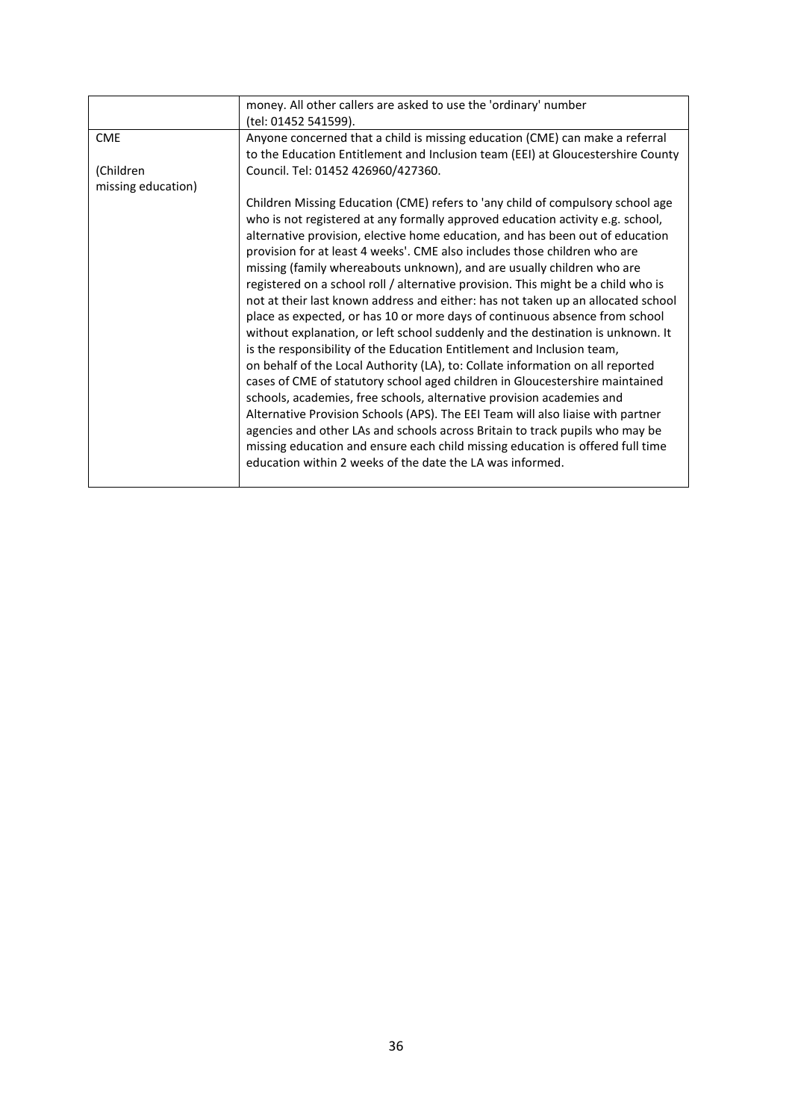|                         | money. All other callers are asked to use the 'ordinary' number<br>(tel: 01452 541599).                                                                                                                                                                                                                                                                                                                                                                                                                                                                                                                                                                                                                                                                                                                                                                                                                                                                                                                                                                                                                                                                                                                                                                                                                                                                                                    |
|-------------------------|--------------------------------------------------------------------------------------------------------------------------------------------------------------------------------------------------------------------------------------------------------------------------------------------------------------------------------------------------------------------------------------------------------------------------------------------------------------------------------------------------------------------------------------------------------------------------------------------------------------------------------------------------------------------------------------------------------------------------------------------------------------------------------------------------------------------------------------------------------------------------------------------------------------------------------------------------------------------------------------------------------------------------------------------------------------------------------------------------------------------------------------------------------------------------------------------------------------------------------------------------------------------------------------------------------------------------------------------------------------------------------------------|
| <b>CME</b><br>(Children | Anyone concerned that a child is missing education (CME) can make a referral<br>to the Education Entitlement and Inclusion team (EEI) at Gloucestershire County<br>Council. Tel: 01452 426960/427360.                                                                                                                                                                                                                                                                                                                                                                                                                                                                                                                                                                                                                                                                                                                                                                                                                                                                                                                                                                                                                                                                                                                                                                                      |
| missing education)      |                                                                                                                                                                                                                                                                                                                                                                                                                                                                                                                                                                                                                                                                                                                                                                                                                                                                                                                                                                                                                                                                                                                                                                                                                                                                                                                                                                                            |
|                         | Children Missing Education (CME) refers to 'any child of compulsory school age<br>who is not registered at any formally approved education activity e.g. school,<br>alternative provision, elective home education, and has been out of education<br>provision for at least 4 weeks'. CME also includes those children who are<br>missing (family whereabouts unknown), and are usually children who are<br>registered on a school roll / alternative provision. This might be a child who is<br>not at their last known address and either: has not taken up an allocated school<br>place as expected, or has 10 or more days of continuous absence from school<br>without explanation, or left school suddenly and the destination is unknown. It<br>is the responsibility of the Education Entitlement and Inclusion team,<br>on behalf of the Local Authority (LA), to: Collate information on all reported<br>cases of CME of statutory school aged children in Gloucestershire maintained<br>schools, academies, free schools, alternative provision academies and<br>Alternative Provision Schools (APS). The EEI Team will also liaise with partner<br>agencies and other LAs and schools across Britain to track pupils who may be<br>missing education and ensure each child missing education is offered full time<br>education within 2 weeks of the date the LA was informed. |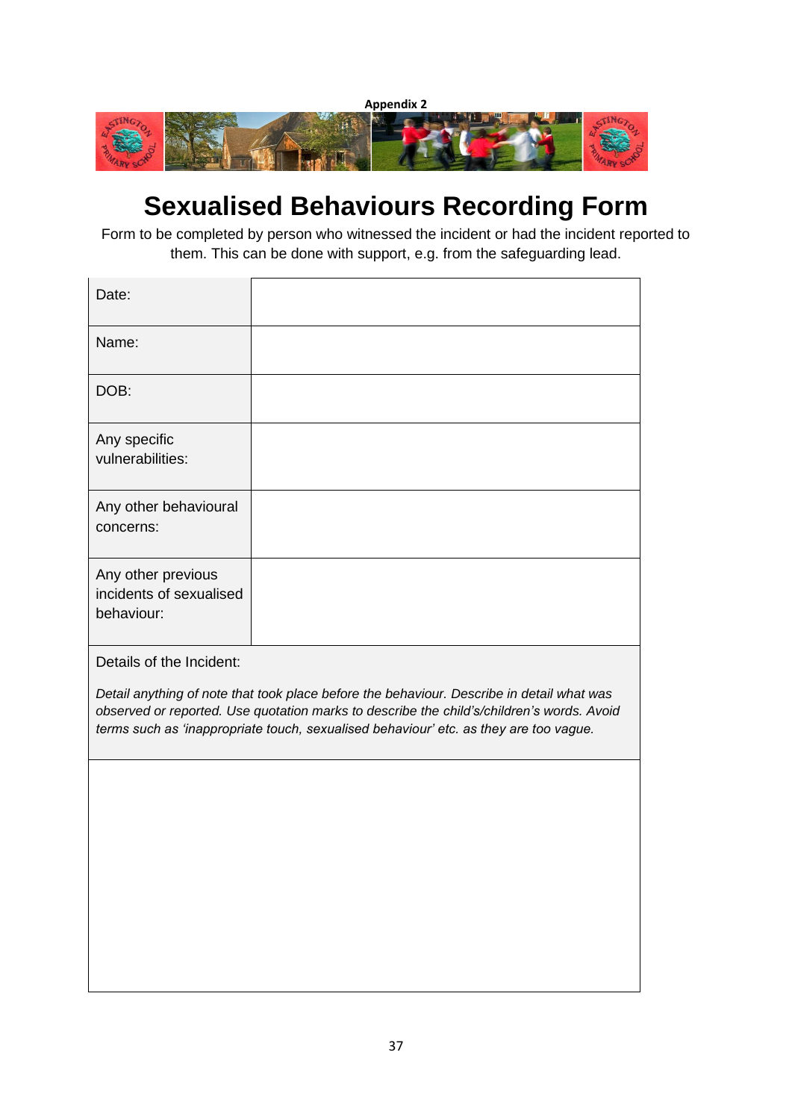

# **Sexualised Behaviours Recording Form**

Form to be completed by person who witnessed the incident or had the incident reported to them. This can be done with support, e.g. from the safeguarding lead.

| Date:                                                       |                                                                                                                                                                                                                                                                                 |
|-------------------------------------------------------------|---------------------------------------------------------------------------------------------------------------------------------------------------------------------------------------------------------------------------------------------------------------------------------|
| Name:                                                       |                                                                                                                                                                                                                                                                                 |
| DOB:                                                        |                                                                                                                                                                                                                                                                                 |
| Any specific<br>vulnerabilities:                            |                                                                                                                                                                                                                                                                                 |
| Any other behavioural<br>concerns:                          |                                                                                                                                                                                                                                                                                 |
| Any other previous<br>incidents of sexualised<br>behaviour: |                                                                                                                                                                                                                                                                                 |
| Details of the Incident:                                    |                                                                                                                                                                                                                                                                                 |
|                                                             | Detail anything of note that took place before the behaviour. Describe in detail what was<br>observed or reported. Use quotation marks to describe the child's/children's words. Avoid<br>terms such as 'inappropriate touch, sexualised behaviour' etc. as they are too vague. |
|                                                             |                                                                                                                                                                                                                                                                                 |
|                                                             |                                                                                                                                                                                                                                                                                 |
|                                                             |                                                                                                                                                                                                                                                                                 |
|                                                             |                                                                                                                                                                                                                                                                                 |
|                                                             |                                                                                                                                                                                                                                                                                 |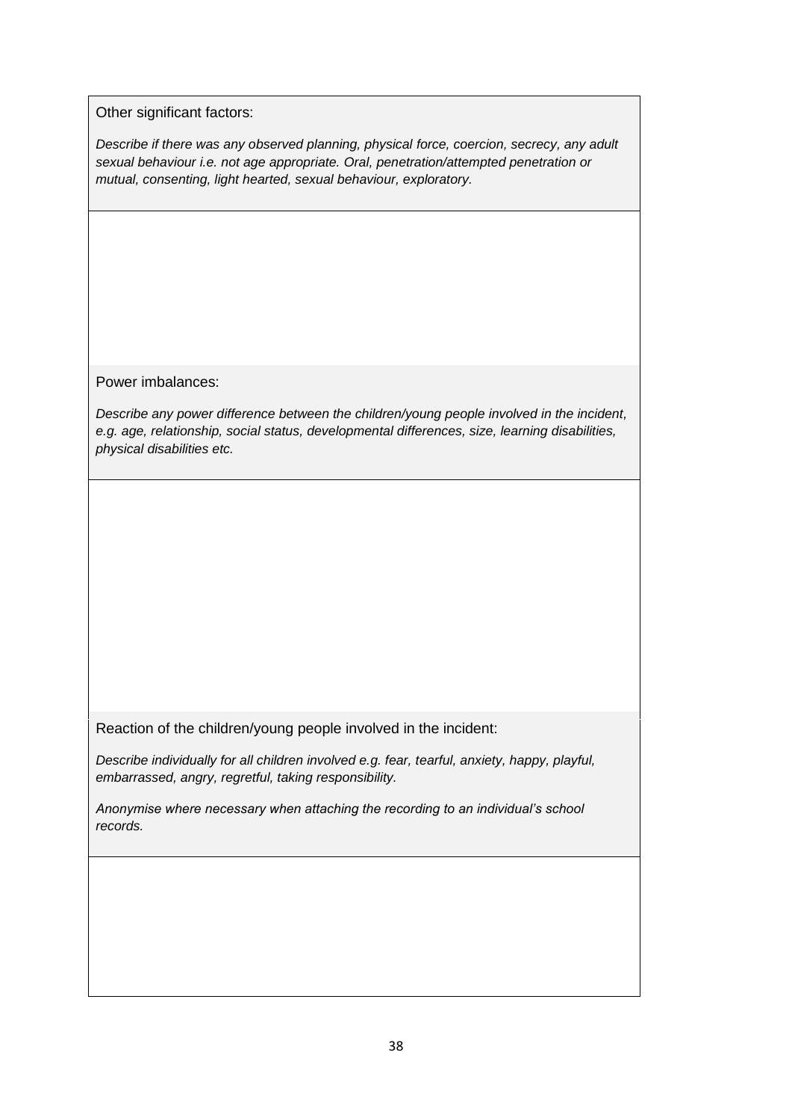Other significant factors:

*Describe if there was any observed planning, physical force, coercion, secrecy, any adult sexual behaviour i.e. not age appropriate. Oral, penetration/attempted penetration or mutual, consenting, light hearted, sexual behaviour, exploratory.*

Power imbalances:

*Describe any power difference between the children/young people involved in the incident, e.g. age, relationship, social status, developmental differences, size, learning disabilities, physical disabilities etc.*

Reaction of the children/young people involved in the incident:

*Describe individually for all children involved e.g. fear, tearful, anxiety, happy, playful, embarrassed, angry, regretful, taking responsibility.* 

*Anonymise where necessary when attaching the recording to an individual's school records.*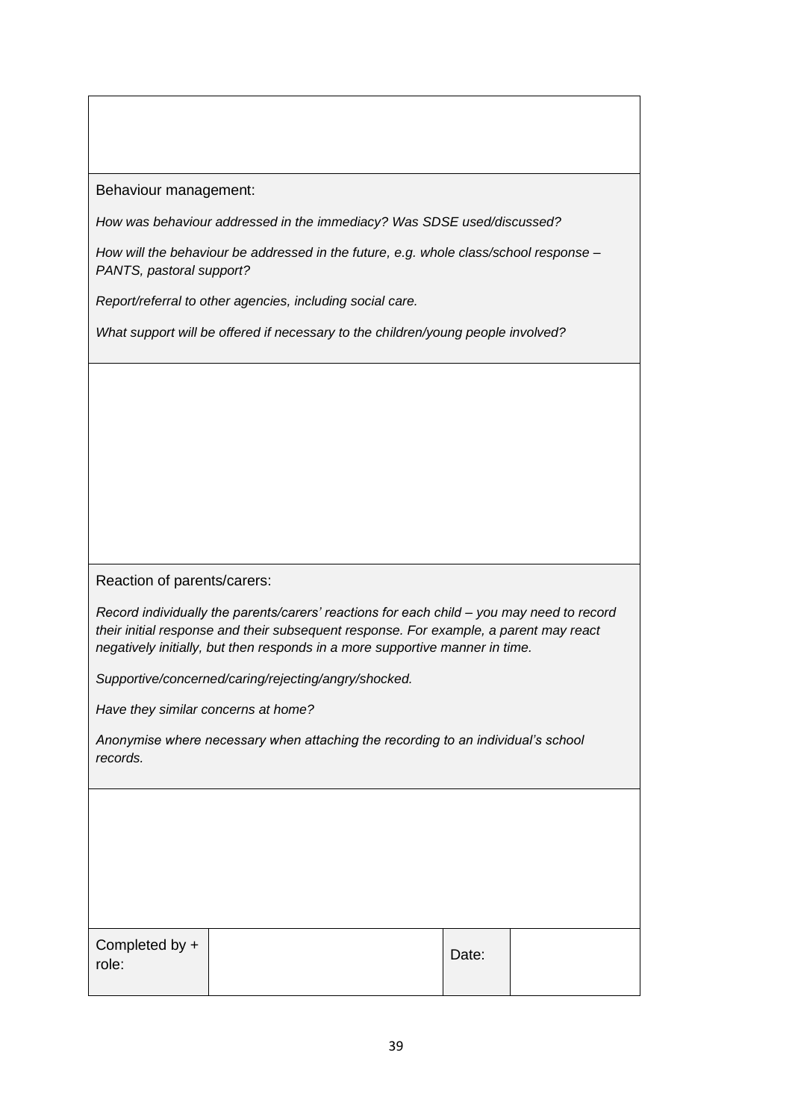## Behaviour management:

*How was behaviour addressed in the immediacy? Was SDSE used/discussed?*

*How will the behaviour be addressed in the future, e.g. whole class/school response – PANTS, pastoral support?*

*Report/referral to other agencies, including social care.*

*What support will be offered if necessary to the children/young people involved?*

Reaction of parents/carers:

*Record individually the parents/carers' reactions for each child – you may need to record their initial response and their subsequent response. For example, a parent may react negatively initially, but then responds in a more supportive manner in time.* 

*Supportive/concerned/caring/rejecting/angry/shocked.*

*Have they similar concerns at home?*

*Anonymise where necessary when attaching the recording to an individual's school records.*

| Completed by +<br>role: | Date: |  |
|-------------------------|-------|--|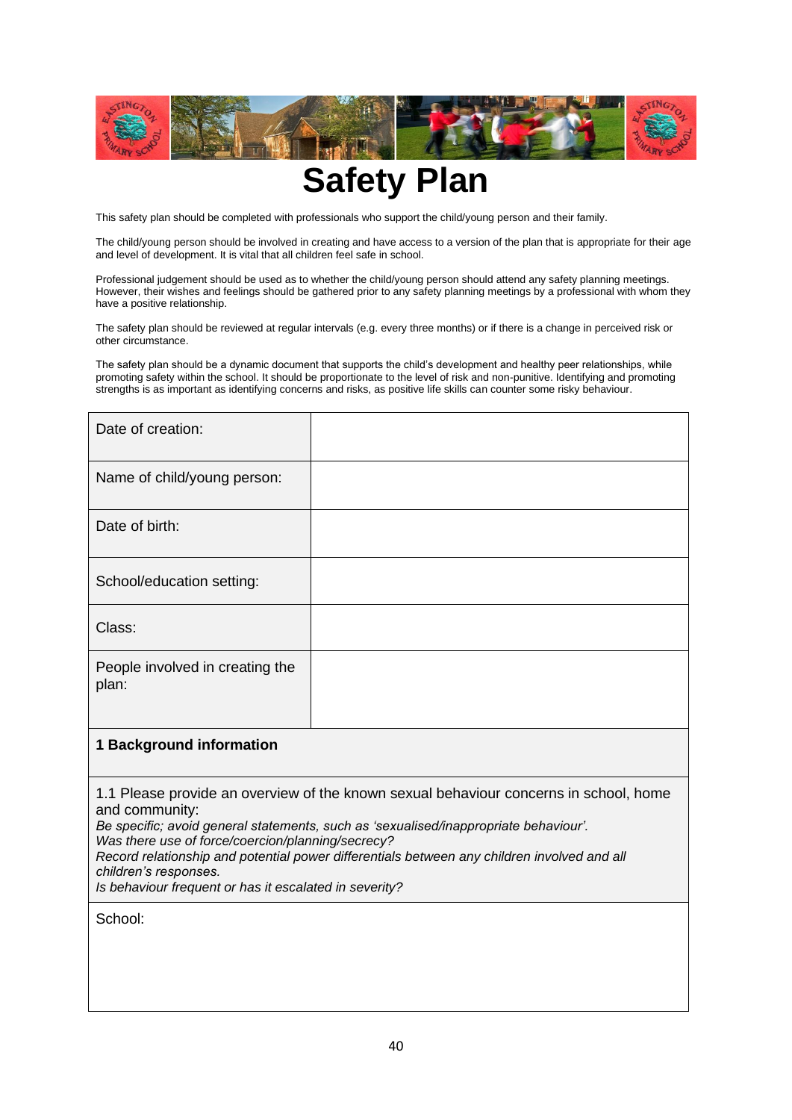

# **Safety Plan**

This safety plan should be completed with professionals who support the child/young person and their family.

The child/young person should be involved in creating and have access to a version of the plan that is appropriate for their age and level of development. It is vital that all children feel safe in school.

Professional judgement should be used as to whether the child/young person should attend any safety planning meetings. However, their wishes and feelings should be gathered prior to any safety planning meetings by a professional with whom they have a positive relationship.

The safety plan should be reviewed at regular intervals (e.g. every three months) or if there is a change in perceived risk or other circumstance.

The safety plan should be a dynamic document that supports the child's development and healthy peer relationships, while promoting safety within the school. It should be proportionate to the level of risk and non-punitive. Identifying and promoting strengths is as important as identifying concerns and risks, as positive life skills can counter some risky behaviour.

| Date of creation:                        |  |
|------------------------------------------|--|
| Name of child/young person:              |  |
| Date of birth:                           |  |
| School/education setting:                |  |
| Class:                                   |  |
| People involved in creating the<br>plan: |  |
|                                          |  |

## **1 Background information**

1.1 Please provide an overview of the known sexual behaviour concerns in school, home and community:

*Be specific; avoid general statements, such as 'sexualised/inappropriate behaviour'.*

*Was there use of force/coercion/planning/secrecy?*

*Record relationship and potential power differentials between any children involved and all children's responses.* 

*Is behaviour frequent or has it escalated in severity?* 

School: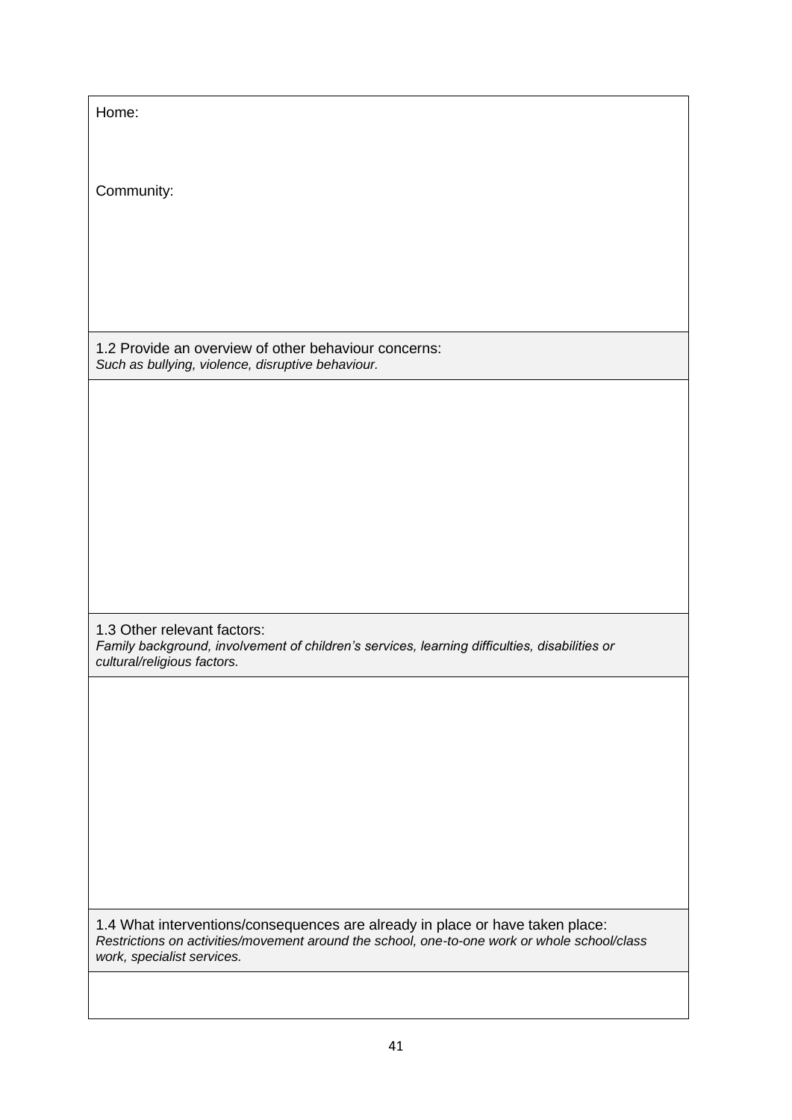| Home:                                                                                                                                                                                                       |
|-------------------------------------------------------------------------------------------------------------------------------------------------------------------------------------------------------------|
| Community:                                                                                                                                                                                                  |
|                                                                                                                                                                                                             |
| 1.2 Provide an overview of other behaviour concerns:<br>Such as bullying, violence, disruptive behaviour.                                                                                                   |
|                                                                                                                                                                                                             |
|                                                                                                                                                                                                             |
|                                                                                                                                                                                                             |
|                                                                                                                                                                                                             |
| 1.3 Other relevant factors:<br>Family background, involvement of children's services, learning difficulties, disabilities or<br>cultural/religious factors.                                                 |
|                                                                                                                                                                                                             |
|                                                                                                                                                                                                             |
|                                                                                                                                                                                                             |
|                                                                                                                                                                                                             |
| 1.4 What interventions/consequences are already in place or have taken place:<br>Restrictions on activities/movement around the school, one-to-one work or whole school/class<br>work, specialist services. |
|                                                                                                                                                                                                             |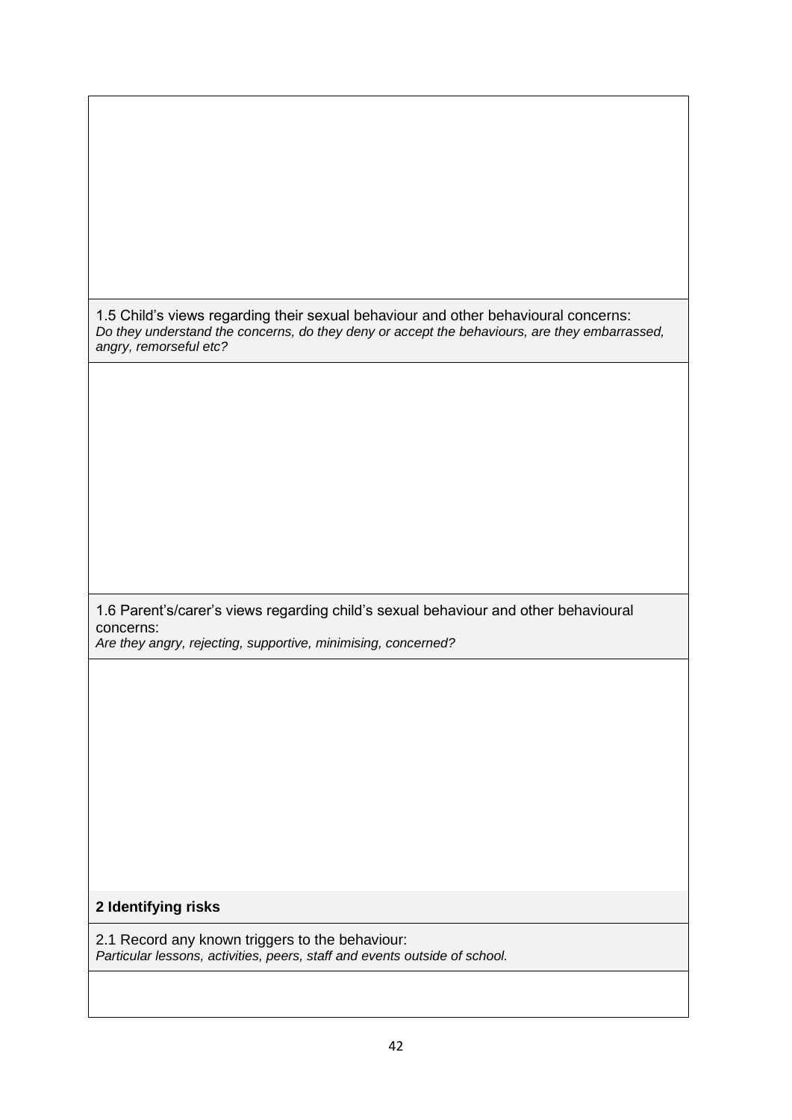1.5 Child's views regarding their sexual behaviour and other behavioural concerns: *Do they understand the concerns, do they deny or accept the behaviours, are they embarrassed, angry, remorseful etc?*

1.6 Parent's/carer's views regarding child's sexual behaviour and other behavioural concerns:

*Are they angry, rejecting, supportive, minimising, concerned?*

## **2 Identifying risks**

2.1 Record any known triggers to the behaviour: *Particular lessons, activities, peers, staff and events outside of school.*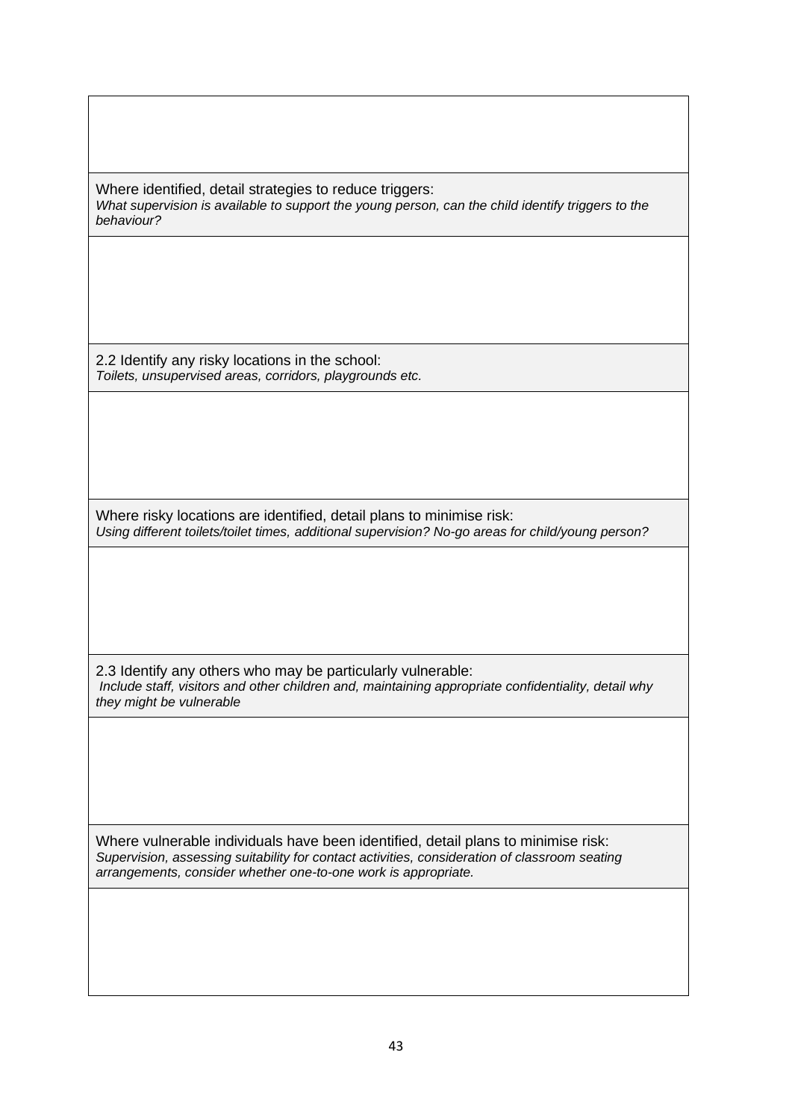Where identified, detail strategies to reduce triggers: *What supervision is available to support the young person, can the child identify triggers to the behaviour?*

2.2 Identify any risky locations in the school: *Toilets, unsupervised areas, corridors, playgrounds etc.* 

Where risky locations are identified, detail plans to minimise risk: *Using different toilets/toilet times, additional supervision? No-go areas for child/young person?*

2.3 Identify any others who may be particularly vulnerable: *Include staff, visitors and other children and, maintaining appropriate confidentiality, detail why they might be vulnerable*

Where vulnerable individuals have been identified, detail plans to minimise risk: *Supervision, assessing suitability for contact activities, consideration of classroom seating arrangements, consider whether one-to-one work is appropriate.*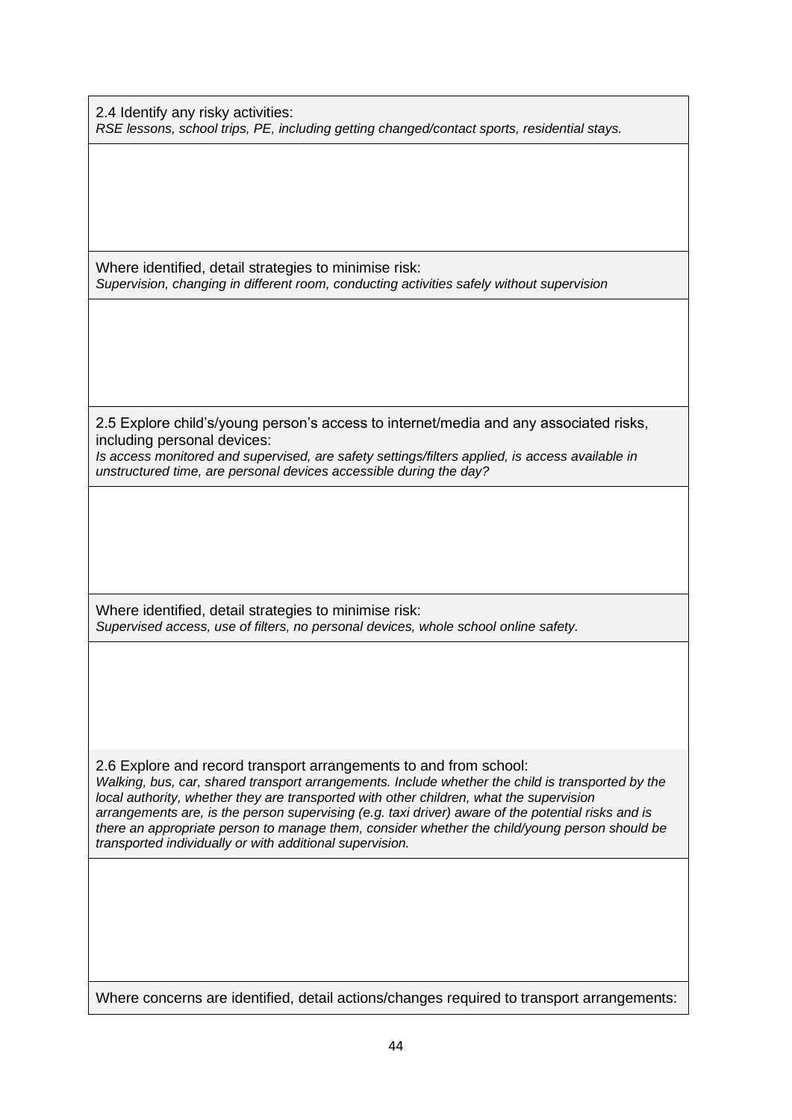| 2.4 Identify any risky activities:<br>RSE lessons, school trips, PE, including getting changed/contact sports, residential stays.                                                                                                                                                                                                                                                                                                                                                                                                    |
|--------------------------------------------------------------------------------------------------------------------------------------------------------------------------------------------------------------------------------------------------------------------------------------------------------------------------------------------------------------------------------------------------------------------------------------------------------------------------------------------------------------------------------------|
|                                                                                                                                                                                                                                                                                                                                                                                                                                                                                                                                      |
|                                                                                                                                                                                                                                                                                                                                                                                                                                                                                                                                      |
| Where identified, detail strategies to minimise risk:<br>Supervision, changing in different room, conducting activities safely without supervision                                                                                                                                                                                                                                                                                                                                                                                   |
|                                                                                                                                                                                                                                                                                                                                                                                                                                                                                                                                      |
|                                                                                                                                                                                                                                                                                                                                                                                                                                                                                                                                      |
| 2.5 Explore child's/young person's access to internet/media and any associated risks,<br>including personal devices:<br>Is access monitored and supervised, are safety settings/filters applied, is access available in<br>unstructured time, are personal devices accessible during the day?                                                                                                                                                                                                                                        |
|                                                                                                                                                                                                                                                                                                                                                                                                                                                                                                                                      |
|                                                                                                                                                                                                                                                                                                                                                                                                                                                                                                                                      |
| Where identified, detail strategies to minimise risk:<br>Supervised access, use of filters, no personal devices, whole school online safety.                                                                                                                                                                                                                                                                                                                                                                                         |
|                                                                                                                                                                                                                                                                                                                                                                                                                                                                                                                                      |
|                                                                                                                                                                                                                                                                                                                                                                                                                                                                                                                                      |
| 2.6 Explore and record transport arrangements to and from school:<br>Walking, bus, car, shared transport arrangements. Include whether the child is transported by the<br>local authority, whether they are transported with other children, what the supervision<br>arrangements are, is the person supervising (e.g. taxi driver) aware of the potential risks and is<br>there an appropriate person to manage them, consider whether the child/young person should be<br>transported individually or with additional supervision. |
|                                                                                                                                                                                                                                                                                                                                                                                                                                                                                                                                      |
|                                                                                                                                                                                                                                                                                                                                                                                                                                                                                                                                      |
| Where concerns are identified, detail actions/changes required to transport arrangements:                                                                                                                                                                                                                                                                                                                                                                                                                                            |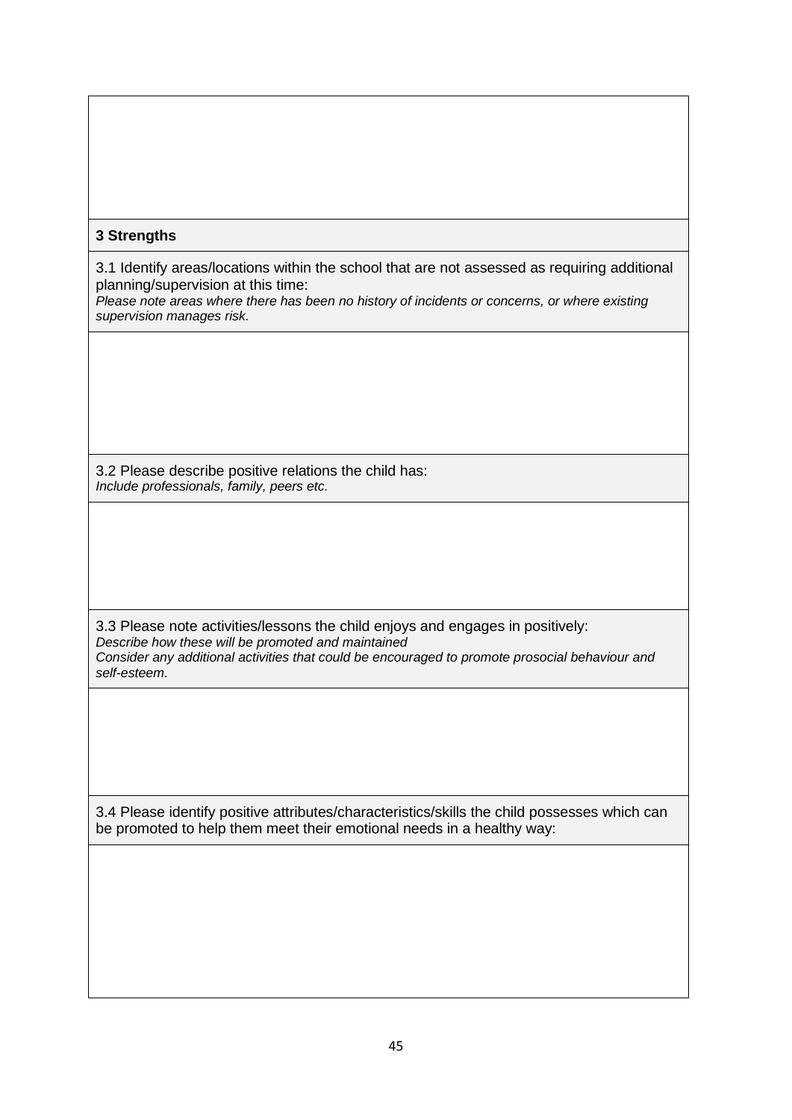| 3 Strengths |
|-------------|
|-------------|

3.1 Identify areas/locations within the school that are not assessed as requiring additional planning/supervision at this time:

*Please note areas where there has been no history of incidents or concerns, or where existing supervision manages risk.*

3.2 Please describe positive relations the child has: *Include professionals, family, peers etc.* 

3.3 Please note activities/lessons the child enjoys and engages in positively: *Describe how these will be promoted and maintained Consider any additional activities that could be encouraged to promote prosocial behaviour and self-esteem.*

3.4 Please identify positive attributes/characteristics/skills the child possesses which can be promoted to help them meet their emotional needs in a healthy way: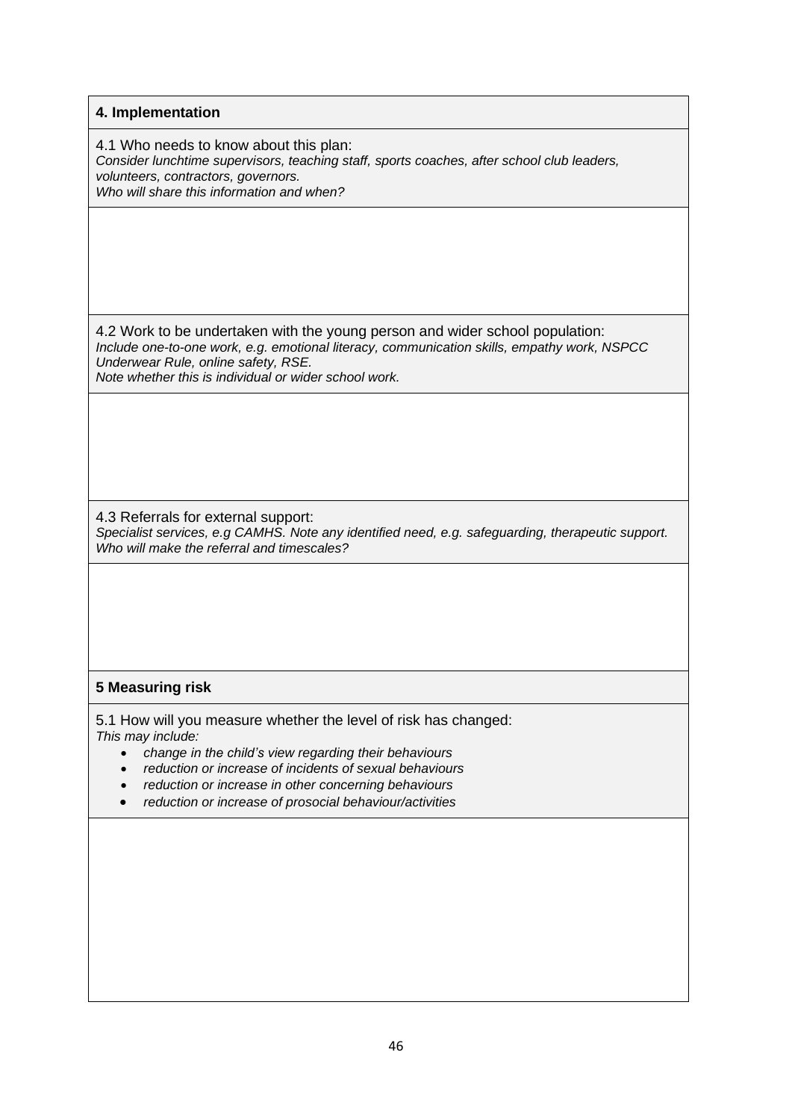## **4. Implementation**

4.1 Who needs to know about this plan: *Consider lunchtime supervisors, teaching staff, sports coaches, after school club leaders, volunteers, contractors, governors. Who will share this information and when?*

4.2 Work to be undertaken with the young person and wider school population: *Include one-to-one work, e.g. emotional literacy, communication skills, empathy work, NSPCC Underwear Rule, online safety, RSE. Note whether this is individual or wider school work.*

4.3 Referrals for external support: *Specialist services, e.g CAMHS. Note any identified need, e.g. safeguarding, therapeutic support. Who will make the referral and timescales?*

## **5 Measuring risk**

5.1 How will you measure whether the level of risk has changed: *This may include:*

- *change in the child's view regarding their behaviours*
- *reduction or increase of incidents of sexual behaviours*
- *reduction or increase in other concerning behaviours*
- *reduction or increase of prosocial behaviour/activities*